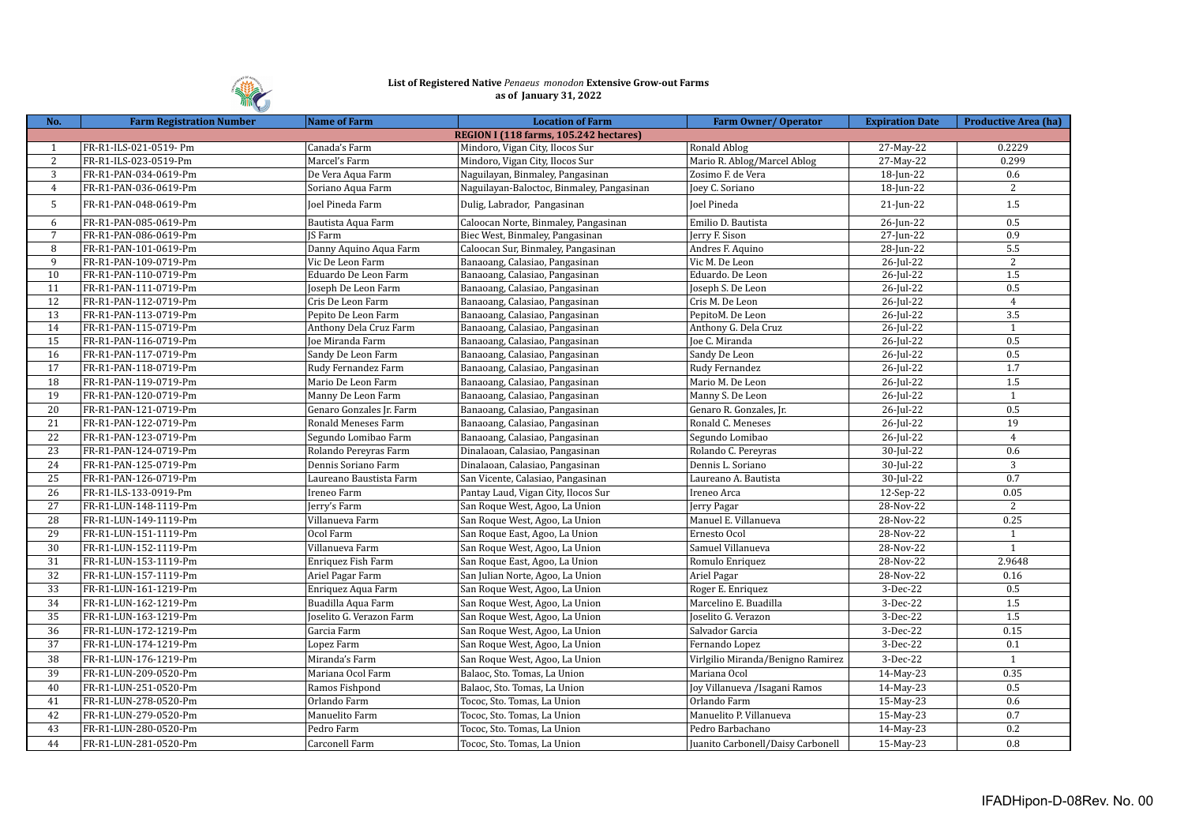

## **List of Registered Native** *Penaeus monodon* **Extensive Grow-out Farms as of January 31, 2022**

| REGION I (118 farms, 105.242 hectares)<br>0.2229<br>FR-R1-ILS-021-0519- Pm<br>Canada's Farm<br>Mindoro, Vigan City, Ilocos Sur<br>Ronald Ablog<br>27-May-22<br>$\mathbf{1}$<br>$\mathbf{2}$<br>Mario R. Ablog/Marcel Ablog<br>$\overline{27}$ -May-22<br>0.299<br>FR-R1-ILS-023-0519-Pm<br>Marcel's Farm<br>Mindoro, Vigan City, Ilocos Sur<br>3<br>0.6<br>FR-R1-PAN-034-0619-Pm<br>De Vera Aqua Farm<br>Naguilayan, Binmaley, Pangasinan<br>Zosimo F. de Vera<br>18-Jun-22<br>2<br>$\overline{4}$<br>FR-R1-PAN-036-0619-Pm<br>Joey C. Soriano<br>18-Jun-22<br>Soriano Aqua Farm<br>Naguilayan-Baloctoc, Binmaley, Pangasinan<br>5<br>1.5<br>FR-R1-PAN-048-0619-Pm<br>Joel Pineda Farm<br>Dulig, Labrador, Pangasinan<br>Joel Pineda<br>$21$ -Jun-22<br>0.5<br>6<br>FR-R1-PAN-085-0619-Pm<br>Emilio D. Bautista<br>26-Jun-22<br>Bautista Aqua Farm<br>Caloocan Norte, Binmaley, Pangasinan<br>$7\overline{ }$<br>0.9<br>Jerry F. Sison<br>27-Jun-22<br>FR-R1-PAN-086-0619-Pm<br>JS Farm<br>Biec West, Binmaley, Pangasinan<br>Andres F. Aquino<br>5.5<br>8<br>FR-R1-PAN-101-0619-Pm<br>Danny Aquino Aqua Farm<br>Caloocan Sur, Binmaley, Pangasinan<br>28-Jun-22<br>2<br>9<br>FR-R1-PAN-109-0719-Pm<br>Vic De Leon Farm<br>Vic M. De Leon<br>26-Jul-22<br>Banaoang, Calasiao, Pangasinan<br>1.5<br>Eduardo De Leon Farm<br>Eduardo. De Leon<br>26-Jul-22<br>10<br>FR-R1-PAN-110-0719-Pm<br>Banaoang, Calasiao, Pangasinan<br>0.5<br>26-Jul-22<br>11<br>FR-R1-PAN-111-0719-Pm<br>Joseph De Leon Farm<br>Banaoang, Calasiao, Pangasinan<br>Joseph S. De Leon<br>12<br>26-Jul-22<br>$\overline{4}$<br>FR-R1-PAN-112-0719-Pm<br>Cris De Leon Farm<br>Banaoang, Calasiao, Pangasinan<br>Cris M. De Leon<br>$\overline{3.5}$<br>13<br>FR-R1-PAN-113-0719-Pm<br>Banaoang, Calasiao, Pangasinan<br>PepitoM. De Leon<br>26-Jul-22<br>Pepito De Leon Farm<br>$26$ -Jul-22<br>14<br>FR-R1-PAN-115-0719-Pm<br>Anthony Dela Cruz Farm<br>Banaoang, Calasiao, Pangasinan<br>Anthony G. Dela Cruz<br>$\mathbf{1}$<br>0.5<br>15<br>26-Jul-22<br>FR-R1-PAN-116-0719-Pm<br>Joe Miranda Farm<br>Banaoang, Calasiao, Pangasinan<br>Joe C. Miranda<br>0.5<br>16<br>Sandy De Leon<br>26-Jul-22<br>FR-R1-PAN-117-0719-Pm<br>Sandy De Leon Farm<br>Banaoang, Calasiao, Pangasinan<br>1.7<br>$17\,$<br>26-Jul-22<br>FR-R1-PAN-118-0719-Pm<br>Rudy Fernandez Farm<br>Banaoang, Calasiao, Pangasinan<br>Rudy Fernandez<br>1.5<br>Mario M. De Leon<br>26-Jul-22<br>18<br>FR-R1-PAN-119-0719-Pm<br>Mario De Leon Farm<br>Banaoang, Calasiao, Pangasinan<br>19<br>FR-R1-PAN-120-0719-Pm<br>Banaoang, Calasiao, Pangasinan<br>Manny S. De Leon<br>26-Jul-22<br>Manny De Leon Farm<br>$\mathbf{1}$<br>0.5<br>20<br>$26$ -Jul-22<br>FR-R1-PAN-121-0719-Pm<br>Genaro Gonzales Jr. Farm<br>Banaoang, Calasiao, Pangasinan<br>Genaro R. Gonzales, Jr.<br>19<br>21<br>FR-R1-PAN-122-0719-Pm<br>Ronald Meneses Farm<br>Ronald C. Meneses<br>26-Jul-22<br>Banaoang, Calasiao, Pangasinan<br>22<br>FR-R1-PAN-123-0719-Pm<br>Banaoang, Calasiao, Pangasinan<br>Segundo Lomibao<br>26-Jul-22<br>$\overline{4}$<br>Segundo Lomibao Farm<br>23<br>0.6<br>FR-R1-PAN-124-0719-Pm<br>Rolando Pereyras Farm<br>Dinalaoan, Calasiao, Pangasinan<br>Rolando C. Pereyras<br>$30$ -Jul-22<br>24<br>3<br>FR-R1-PAN-125-0719-Pm<br>Dennis Soriano Farm<br>Dinalaoan, Calasiao, Pangasinan<br>Dennis L. Soriano<br>$30$ -Jul-22<br>0.7<br>25<br>FR-R1-PAN-126-0719-Pm<br>$30$ -Jul-22<br>Laureano Baustista Farm<br>San Vicente, Calasiao, Pangasinan<br>Laureano A. Bautista<br>26<br>0.05<br>FR-R1-ILS-133-0919-Pm<br>Ireneo Farm<br>Ireneo Arca<br>12-Sep-22<br>Pantay Laud, Vigan City, Ilocos Sur<br>27<br>28-Nov-22<br>2<br>FR-R1-LUN-148-1119-Pm<br>Jerry's Farm<br>San Roque West, Agoo, La Union<br>Jerry Pagar<br>0.25<br>28<br>Manuel E. Villanueva<br>FR-R1-LUN-149-1119-Pm<br>Villanueva Farm<br>San Roque West, Agoo, La Union<br>28-Nov-22<br>29<br>FR-R1-LUN-151-1119-Pm<br>Ocol Farm<br>Ernesto Ocol<br>28-Nov-22<br>San Roque East, Agoo, La Union<br>$\mathbf{1}$<br>Villanueva Farm<br>Samuel Villanueva<br>$\mathbf{1}$<br>30<br>FR-R1-LUN-152-1119-Pm<br>San Roque West, Agoo, La Union<br>28-Nov-22<br>2.9648<br>31<br>FR-R1-LUN-153-1119-Pm<br>Enriquez Fish Farm<br>28-Nov-22<br>San Roque East, Agoo, La Union<br>Romulo Enriquez<br>$\overline{32}$<br>Ariel Pagar Farm<br>28-Nov-22<br>0.16<br>FR-R1-LUN-157-1119-Pm<br>San Julian Norte, Agoo, La Union<br>Ariel Pagar<br>33<br>0.5<br>FR-R1-LUN-161-1219-Pm<br>Enriquez Aqua Farm<br>San Roque West, Agoo, La Union<br>Roger E. Enriquez<br>3-Dec-22<br>34<br>FR-R1-LUN-162-1219-Pm<br>Buadilla Aqua Farm<br>1.5<br>San Roque West, Agoo, La Union<br>Marcelino E. Buadilla<br>3-Dec-22<br>1.5<br>35<br>FR-R1-LUN-163-1219-Pm<br>Joselito G. Verazon Farm<br>Joselito G. Verazon<br>3-Dec-22<br>San Roque West, Agoo, La Union<br>0.15<br>36<br>FR-R1-LUN-172-1219-Pm<br>Garcia Farm<br>San Roque West, Agoo, La Union<br>Salvador Garcia<br>3-Dec-22<br>37<br>3-Dec-22<br>FR-R1-LUN-174-1219-Pm<br>Lopez Farm<br>San Roque West, Agoo, La Union<br>Fernando Lopez<br>0.1<br>38<br>FR-R1-LUN-176-1219-Pm<br>Miranda's Farm<br>San Roque West, Agoo, La Union<br>3-Dec-22<br>$\mathbf{1}$<br>Virlgilio Miranda/Benigno Ramirez<br>39<br>FR-R1-LUN-209-0520-Pm<br>0.35<br>Mariana Ocol Farm<br>Balaoc, Sto. Tomas, La Union<br>Mariana Ocol<br>14-May-23<br>40<br>Joy Villanueva / Isagani Ramos<br>0.5<br>FR-R1-LUN-251-0520-Pm<br>Ramos Fishpond<br>Balaoc, Sto. Tomas, La Union<br>14-May-23 | No. | <b>Farm Registration Number</b> | Name of Farm | <b>Location of Farm</b>     | Farm Owner/Operator | <b>Expiration Date</b> | <b>Productive Area (ha)</b> |  |  |  |
|----------------------------------------------------------------------------------------------------------------------------------------------------------------------------------------------------------------------------------------------------------------------------------------------------------------------------------------------------------------------------------------------------------------------------------------------------------------------------------------------------------------------------------------------------------------------------------------------------------------------------------------------------------------------------------------------------------------------------------------------------------------------------------------------------------------------------------------------------------------------------------------------------------------------------------------------------------------------------------------------------------------------------------------------------------------------------------------------------------------------------------------------------------------------------------------------------------------------------------------------------------------------------------------------------------------------------------------------------------------------------------------------------------------------------------------------------------------------------------------------------------------------------------------------------------------------------------------------------------------------------------------------------------------------------------------------------------------------------------------------------------------------------------------------------------------------------------------------------------------------------------------------------------------------------------------------------------------------------------------------------------------------------------------------------------------------------------------------------------------------------------------------------------------------------------------------------------------------------------------------------------------------------------------------------------------------------------------------------------------------------------------------------------------------------------------------------------------------------------------------------------------------------------------------------------------------------------------------------------------------------------------------------------------------------------------------------------------------------------------------------------------------------------------------------------------------------------------------------------------------------------------------------------------------------------------------------------------------------------------------------------------------------------------------------------------------------------------------------------------------------------------------------------------------------------------------------------------------------------------------------------------------------------------------------------------------------------------------------------------------------------------------------------------------------------------------------------------------------------------------------------------------------------------------------------------------------------------------------------------------------------------------------------------------------------------------------------------------------------------------------------------------------------------------------------------------------------------------------------------------------------------------------------------------------------------------------------------------------------------------------------------------------------------------------------------------------------------------------------------------------------------------------------------------------------------------------------------------------------------------------------------------------------------------------------------------------------------------------------------------------------------------------------------------------------------------------------------------------------------------------------------------------------------------------------------------------------------------------------------------------------------------------------------------------------------------------------------------------------------------------------------------------------------------------------------------------------------------------------------------------------------------------------------------------------------------------------------------------------------------------------------------------------------------------------------------------------------------------------------------------------------------------------------------------------------------------------------------------------------------------------------------------------------------------------------------------------------------------------------------------------------------------------------------------------------------------------------------------------------------------------------------|-----|---------------------------------|--------------|-----------------------------|---------------------|------------------------|-----------------------------|--|--|--|
|                                                                                                                                                                                                                                                                                                                                                                                                                                                                                                                                                                                                                                                                                                                                                                                                                                                                                                                                                                                                                                                                                                                                                                                                                                                                                                                                                                                                                                                                                                                                                                                                                                                                                                                                                                                                                                                                                                                                                                                                                                                                                                                                                                                                                                                                                                                                                                                                                                                                                                                                                                                                                                                                                                                                                                                                                                                                                                                                                                                                                                                                                                                                                                                                                                                                                                                                                                                                                                                                                                                                                                                                                                                                                                                                                                                                                                                                                                                                                                                                                                                                                                                                                                                                                                                                                                                                                                                                                                                                                                                                                                                                                                                                                                                                                                                                                                                                                                                                                                                                                                                                                                                                                                                                                                                                                                                                                                                                                                                                                                                      |     |                                 |              |                             |                     |                        |                             |  |  |  |
|                                                                                                                                                                                                                                                                                                                                                                                                                                                                                                                                                                                                                                                                                                                                                                                                                                                                                                                                                                                                                                                                                                                                                                                                                                                                                                                                                                                                                                                                                                                                                                                                                                                                                                                                                                                                                                                                                                                                                                                                                                                                                                                                                                                                                                                                                                                                                                                                                                                                                                                                                                                                                                                                                                                                                                                                                                                                                                                                                                                                                                                                                                                                                                                                                                                                                                                                                                                                                                                                                                                                                                                                                                                                                                                                                                                                                                                                                                                                                                                                                                                                                                                                                                                                                                                                                                                                                                                                                                                                                                                                                                                                                                                                                                                                                                                                                                                                                                                                                                                                                                                                                                                                                                                                                                                                                                                                                                                                                                                                                                                      |     |                                 |              |                             |                     |                        |                             |  |  |  |
|                                                                                                                                                                                                                                                                                                                                                                                                                                                                                                                                                                                                                                                                                                                                                                                                                                                                                                                                                                                                                                                                                                                                                                                                                                                                                                                                                                                                                                                                                                                                                                                                                                                                                                                                                                                                                                                                                                                                                                                                                                                                                                                                                                                                                                                                                                                                                                                                                                                                                                                                                                                                                                                                                                                                                                                                                                                                                                                                                                                                                                                                                                                                                                                                                                                                                                                                                                                                                                                                                                                                                                                                                                                                                                                                                                                                                                                                                                                                                                                                                                                                                                                                                                                                                                                                                                                                                                                                                                                                                                                                                                                                                                                                                                                                                                                                                                                                                                                                                                                                                                                                                                                                                                                                                                                                                                                                                                                                                                                                                                                      |     |                                 |              |                             |                     |                        |                             |  |  |  |
|                                                                                                                                                                                                                                                                                                                                                                                                                                                                                                                                                                                                                                                                                                                                                                                                                                                                                                                                                                                                                                                                                                                                                                                                                                                                                                                                                                                                                                                                                                                                                                                                                                                                                                                                                                                                                                                                                                                                                                                                                                                                                                                                                                                                                                                                                                                                                                                                                                                                                                                                                                                                                                                                                                                                                                                                                                                                                                                                                                                                                                                                                                                                                                                                                                                                                                                                                                                                                                                                                                                                                                                                                                                                                                                                                                                                                                                                                                                                                                                                                                                                                                                                                                                                                                                                                                                                                                                                                                                                                                                                                                                                                                                                                                                                                                                                                                                                                                                                                                                                                                                                                                                                                                                                                                                                                                                                                                                                                                                                                                                      |     |                                 |              |                             |                     |                        |                             |  |  |  |
|                                                                                                                                                                                                                                                                                                                                                                                                                                                                                                                                                                                                                                                                                                                                                                                                                                                                                                                                                                                                                                                                                                                                                                                                                                                                                                                                                                                                                                                                                                                                                                                                                                                                                                                                                                                                                                                                                                                                                                                                                                                                                                                                                                                                                                                                                                                                                                                                                                                                                                                                                                                                                                                                                                                                                                                                                                                                                                                                                                                                                                                                                                                                                                                                                                                                                                                                                                                                                                                                                                                                                                                                                                                                                                                                                                                                                                                                                                                                                                                                                                                                                                                                                                                                                                                                                                                                                                                                                                                                                                                                                                                                                                                                                                                                                                                                                                                                                                                                                                                                                                                                                                                                                                                                                                                                                                                                                                                                                                                                                                                      |     |                                 |              |                             |                     |                        |                             |  |  |  |
|                                                                                                                                                                                                                                                                                                                                                                                                                                                                                                                                                                                                                                                                                                                                                                                                                                                                                                                                                                                                                                                                                                                                                                                                                                                                                                                                                                                                                                                                                                                                                                                                                                                                                                                                                                                                                                                                                                                                                                                                                                                                                                                                                                                                                                                                                                                                                                                                                                                                                                                                                                                                                                                                                                                                                                                                                                                                                                                                                                                                                                                                                                                                                                                                                                                                                                                                                                                                                                                                                                                                                                                                                                                                                                                                                                                                                                                                                                                                                                                                                                                                                                                                                                                                                                                                                                                                                                                                                                                                                                                                                                                                                                                                                                                                                                                                                                                                                                                                                                                                                                                                                                                                                                                                                                                                                                                                                                                                                                                                                                                      |     |                                 |              |                             |                     |                        |                             |  |  |  |
|                                                                                                                                                                                                                                                                                                                                                                                                                                                                                                                                                                                                                                                                                                                                                                                                                                                                                                                                                                                                                                                                                                                                                                                                                                                                                                                                                                                                                                                                                                                                                                                                                                                                                                                                                                                                                                                                                                                                                                                                                                                                                                                                                                                                                                                                                                                                                                                                                                                                                                                                                                                                                                                                                                                                                                                                                                                                                                                                                                                                                                                                                                                                                                                                                                                                                                                                                                                                                                                                                                                                                                                                                                                                                                                                                                                                                                                                                                                                                                                                                                                                                                                                                                                                                                                                                                                                                                                                                                                                                                                                                                                                                                                                                                                                                                                                                                                                                                                                                                                                                                                                                                                                                                                                                                                                                                                                                                                                                                                                                                                      |     |                                 |              |                             |                     |                        |                             |  |  |  |
|                                                                                                                                                                                                                                                                                                                                                                                                                                                                                                                                                                                                                                                                                                                                                                                                                                                                                                                                                                                                                                                                                                                                                                                                                                                                                                                                                                                                                                                                                                                                                                                                                                                                                                                                                                                                                                                                                                                                                                                                                                                                                                                                                                                                                                                                                                                                                                                                                                                                                                                                                                                                                                                                                                                                                                                                                                                                                                                                                                                                                                                                                                                                                                                                                                                                                                                                                                                                                                                                                                                                                                                                                                                                                                                                                                                                                                                                                                                                                                                                                                                                                                                                                                                                                                                                                                                                                                                                                                                                                                                                                                                                                                                                                                                                                                                                                                                                                                                                                                                                                                                                                                                                                                                                                                                                                                                                                                                                                                                                                                                      |     |                                 |              |                             |                     |                        |                             |  |  |  |
|                                                                                                                                                                                                                                                                                                                                                                                                                                                                                                                                                                                                                                                                                                                                                                                                                                                                                                                                                                                                                                                                                                                                                                                                                                                                                                                                                                                                                                                                                                                                                                                                                                                                                                                                                                                                                                                                                                                                                                                                                                                                                                                                                                                                                                                                                                                                                                                                                                                                                                                                                                                                                                                                                                                                                                                                                                                                                                                                                                                                                                                                                                                                                                                                                                                                                                                                                                                                                                                                                                                                                                                                                                                                                                                                                                                                                                                                                                                                                                                                                                                                                                                                                                                                                                                                                                                                                                                                                                                                                                                                                                                                                                                                                                                                                                                                                                                                                                                                                                                                                                                                                                                                                                                                                                                                                                                                                                                                                                                                                                                      |     |                                 |              |                             |                     |                        |                             |  |  |  |
|                                                                                                                                                                                                                                                                                                                                                                                                                                                                                                                                                                                                                                                                                                                                                                                                                                                                                                                                                                                                                                                                                                                                                                                                                                                                                                                                                                                                                                                                                                                                                                                                                                                                                                                                                                                                                                                                                                                                                                                                                                                                                                                                                                                                                                                                                                                                                                                                                                                                                                                                                                                                                                                                                                                                                                                                                                                                                                                                                                                                                                                                                                                                                                                                                                                                                                                                                                                                                                                                                                                                                                                                                                                                                                                                                                                                                                                                                                                                                                                                                                                                                                                                                                                                                                                                                                                                                                                                                                                                                                                                                                                                                                                                                                                                                                                                                                                                                                                                                                                                                                                                                                                                                                                                                                                                                                                                                                                                                                                                                                                      |     |                                 |              |                             |                     |                        |                             |  |  |  |
|                                                                                                                                                                                                                                                                                                                                                                                                                                                                                                                                                                                                                                                                                                                                                                                                                                                                                                                                                                                                                                                                                                                                                                                                                                                                                                                                                                                                                                                                                                                                                                                                                                                                                                                                                                                                                                                                                                                                                                                                                                                                                                                                                                                                                                                                                                                                                                                                                                                                                                                                                                                                                                                                                                                                                                                                                                                                                                                                                                                                                                                                                                                                                                                                                                                                                                                                                                                                                                                                                                                                                                                                                                                                                                                                                                                                                                                                                                                                                                                                                                                                                                                                                                                                                                                                                                                                                                                                                                                                                                                                                                                                                                                                                                                                                                                                                                                                                                                                                                                                                                                                                                                                                                                                                                                                                                                                                                                                                                                                                                                      |     |                                 |              |                             |                     |                        |                             |  |  |  |
|                                                                                                                                                                                                                                                                                                                                                                                                                                                                                                                                                                                                                                                                                                                                                                                                                                                                                                                                                                                                                                                                                                                                                                                                                                                                                                                                                                                                                                                                                                                                                                                                                                                                                                                                                                                                                                                                                                                                                                                                                                                                                                                                                                                                                                                                                                                                                                                                                                                                                                                                                                                                                                                                                                                                                                                                                                                                                                                                                                                                                                                                                                                                                                                                                                                                                                                                                                                                                                                                                                                                                                                                                                                                                                                                                                                                                                                                                                                                                                                                                                                                                                                                                                                                                                                                                                                                                                                                                                                                                                                                                                                                                                                                                                                                                                                                                                                                                                                                                                                                                                                                                                                                                                                                                                                                                                                                                                                                                                                                                                                      |     |                                 |              |                             |                     |                        |                             |  |  |  |
|                                                                                                                                                                                                                                                                                                                                                                                                                                                                                                                                                                                                                                                                                                                                                                                                                                                                                                                                                                                                                                                                                                                                                                                                                                                                                                                                                                                                                                                                                                                                                                                                                                                                                                                                                                                                                                                                                                                                                                                                                                                                                                                                                                                                                                                                                                                                                                                                                                                                                                                                                                                                                                                                                                                                                                                                                                                                                                                                                                                                                                                                                                                                                                                                                                                                                                                                                                                                                                                                                                                                                                                                                                                                                                                                                                                                                                                                                                                                                                                                                                                                                                                                                                                                                                                                                                                                                                                                                                                                                                                                                                                                                                                                                                                                                                                                                                                                                                                                                                                                                                                                                                                                                                                                                                                                                                                                                                                                                                                                                                                      |     |                                 |              |                             |                     |                        |                             |  |  |  |
|                                                                                                                                                                                                                                                                                                                                                                                                                                                                                                                                                                                                                                                                                                                                                                                                                                                                                                                                                                                                                                                                                                                                                                                                                                                                                                                                                                                                                                                                                                                                                                                                                                                                                                                                                                                                                                                                                                                                                                                                                                                                                                                                                                                                                                                                                                                                                                                                                                                                                                                                                                                                                                                                                                                                                                                                                                                                                                                                                                                                                                                                                                                                                                                                                                                                                                                                                                                                                                                                                                                                                                                                                                                                                                                                                                                                                                                                                                                                                                                                                                                                                                                                                                                                                                                                                                                                                                                                                                                                                                                                                                                                                                                                                                                                                                                                                                                                                                                                                                                                                                                                                                                                                                                                                                                                                                                                                                                                                                                                                                                      |     |                                 |              |                             |                     |                        |                             |  |  |  |
|                                                                                                                                                                                                                                                                                                                                                                                                                                                                                                                                                                                                                                                                                                                                                                                                                                                                                                                                                                                                                                                                                                                                                                                                                                                                                                                                                                                                                                                                                                                                                                                                                                                                                                                                                                                                                                                                                                                                                                                                                                                                                                                                                                                                                                                                                                                                                                                                                                                                                                                                                                                                                                                                                                                                                                                                                                                                                                                                                                                                                                                                                                                                                                                                                                                                                                                                                                                                                                                                                                                                                                                                                                                                                                                                                                                                                                                                                                                                                                                                                                                                                                                                                                                                                                                                                                                                                                                                                                                                                                                                                                                                                                                                                                                                                                                                                                                                                                                                                                                                                                                                                                                                                                                                                                                                                                                                                                                                                                                                                                                      |     |                                 |              |                             |                     |                        |                             |  |  |  |
|                                                                                                                                                                                                                                                                                                                                                                                                                                                                                                                                                                                                                                                                                                                                                                                                                                                                                                                                                                                                                                                                                                                                                                                                                                                                                                                                                                                                                                                                                                                                                                                                                                                                                                                                                                                                                                                                                                                                                                                                                                                                                                                                                                                                                                                                                                                                                                                                                                                                                                                                                                                                                                                                                                                                                                                                                                                                                                                                                                                                                                                                                                                                                                                                                                                                                                                                                                                                                                                                                                                                                                                                                                                                                                                                                                                                                                                                                                                                                                                                                                                                                                                                                                                                                                                                                                                                                                                                                                                                                                                                                                                                                                                                                                                                                                                                                                                                                                                                                                                                                                                                                                                                                                                                                                                                                                                                                                                                                                                                                                                      |     |                                 |              |                             |                     |                        |                             |  |  |  |
|                                                                                                                                                                                                                                                                                                                                                                                                                                                                                                                                                                                                                                                                                                                                                                                                                                                                                                                                                                                                                                                                                                                                                                                                                                                                                                                                                                                                                                                                                                                                                                                                                                                                                                                                                                                                                                                                                                                                                                                                                                                                                                                                                                                                                                                                                                                                                                                                                                                                                                                                                                                                                                                                                                                                                                                                                                                                                                                                                                                                                                                                                                                                                                                                                                                                                                                                                                                                                                                                                                                                                                                                                                                                                                                                                                                                                                                                                                                                                                                                                                                                                                                                                                                                                                                                                                                                                                                                                                                                                                                                                                                                                                                                                                                                                                                                                                                                                                                                                                                                                                                                                                                                                                                                                                                                                                                                                                                                                                                                                                                      |     |                                 |              |                             |                     |                        |                             |  |  |  |
|                                                                                                                                                                                                                                                                                                                                                                                                                                                                                                                                                                                                                                                                                                                                                                                                                                                                                                                                                                                                                                                                                                                                                                                                                                                                                                                                                                                                                                                                                                                                                                                                                                                                                                                                                                                                                                                                                                                                                                                                                                                                                                                                                                                                                                                                                                                                                                                                                                                                                                                                                                                                                                                                                                                                                                                                                                                                                                                                                                                                                                                                                                                                                                                                                                                                                                                                                                                                                                                                                                                                                                                                                                                                                                                                                                                                                                                                                                                                                                                                                                                                                                                                                                                                                                                                                                                                                                                                                                                                                                                                                                                                                                                                                                                                                                                                                                                                                                                                                                                                                                                                                                                                                                                                                                                                                                                                                                                                                                                                                                                      |     |                                 |              |                             |                     |                        |                             |  |  |  |
|                                                                                                                                                                                                                                                                                                                                                                                                                                                                                                                                                                                                                                                                                                                                                                                                                                                                                                                                                                                                                                                                                                                                                                                                                                                                                                                                                                                                                                                                                                                                                                                                                                                                                                                                                                                                                                                                                                                                                                                                                                                                                                                                                                                                                                                                                                                                                                                                                                                                                                                                                                                                                                                                                                                                                                                                                                                                                                                                                                                                                                                                                                                                                                                                                                                                                                                                                                                                                                                                                                                                                                                                                                                                                                                                                                                                                                                                                                                                                                                                                                                                                                                                                                                                                                                                                                                                                                                                                                                                                                                                                                                                                                                                                                                                                                                                                                                                                                                                                                                                                                                                                                                                                                                                                                                                                                                                                                                                                                                                                                                      |     |                                 |              |                             |                     |                        |                             |  |  |  |
|                                                                                                                                                                                                                                                                                                                                                                                                                                                                                                                                                                                                                                                                                                                                                                                                                                                                                                                                                                                                                                                                                                                                                                                                                                                                                                                                                                                                                                                                                                                                                                                                                                                                                                                                                                                                                                                                                                                                                                                                                                                                                                                                                                                                                                                                                                                                                                                                                                                                                                                                                                                                                                                                                                                                                                                                                                                                                                                                                                                                                                                                                                                                                                                                                                                                                                                                                                                                                                                                                                                                                                                                                                                                                                                                                                                                                                                                                                                                                                                                                                                                                                                                                                                                                                                                                                                                                                                                                                                                                                                                                                                                                                                                                                                                                                                                                                                                                                                                                                                                                                                                                                                                                                                                                                                                                                                                                                                                                                                                                                                      |     |                                 |              |                             |                     |                        |                             |  |  |  |
|                                                                                                                                                                                                                                                                                                                                                                                                                                                                                                                                                                                                                                                                                                                                                                                                                                                                                                                                                                                                                                                                                                                                                                                                                                                                                                                                                                                                                                                                                                                                                                                                                                                                                                                                                                                                                                                                                                                                                                                                                                                                                                                                                                                                                                                                                                                                                                                                                                                                                                                                                                                                                                                                                                                                                                                                                                                                                                                                                                                                                                                                                                                                                                                                                                                                                                                                                                                                                                                                                                                                                                                                                                                                                                                                                                                                                                                                                                                                                                                                                                                                                                                                                                                                                                                                                                                                                                                                                                                                                                                                                                                                                                                                                                                                                                                                                                                                                                                                                                                                                                                                                                                                                                                                                                                                                                                                                                                                                                                                                                                      |     |                                 |              |                             |                     |                        |                             |  |  |  |
|                                                                                                                                                                                                                                                                                                                                                                                                                                                                                                                                                                                                                                                                                                                                                                                                                                                                                                                                                                                                                                                                                                                                                                                                                                                                                                                                                                                                                                                                                                                                                                                                                                                                                                                                                                                                                                                                                                                                                                                                                                                                                                                                                                                                                                                                                                                                                                                                                                                                                                                                                                                                                                                                                                                                                                                                                                                                                                                                                                                                                                                                                                                                                                                                                                                                                                                                                                                                                                                                                                                                                                                                                                                                                                                                                                                                                                                                                                                                                                                                                                                                                                                                                                                                                                                                                                                                                                                                                                                                                                                                                                                                                                                                                                                                                                                                                                                                                                                                                                                                                                                                                                                                                                                                                                                                                                                                                                                                                                                                                                                      |     |                                 |              |                             |                     |                        |                             |  |  |  |
|                                                                                                                                                                                                                                                                                                                                                                                                                                                                                                                                                                                                                                                                                                                                                                                                                                                                                                                                                                                                                                                                                                                                                                                                                                                                                                                                                                                                                                                                                                                                                                                                                                                                                                                                                                                                                                                                                                                                                                                                                                                                                                                                                                                                                                                                                                                                                                                                                                                                                                                                                                                                                                                                                                                                                                                                                                                                                                                                                                                                                                                                                                                                                                                                                                                                                                                                                                                                                                                                                                                                                                                                                                                                                                                                                                                                                                                                                                                                                                                                                                                                                                                                                                                                                                                                                                                                                                                                                                                                                                                                                                                                                                                                                                                                                                                                                                                                                                                                                                                                                                                                                                                                                                                                                                                                                                                                                                                                                                                                                                                      |     |                                 |              |                             |                     |                        |                             |  |  |  |
|                                                                                                                                                                                                                                                                                                                                                                                                                                                                                                                                                                                                                                                                                                                                                                                                                                                                                                                                                                                                                                                                                                                                                                                                                                                                                                                                                                                                                                                                                                                                                                                                                                                                                                                                                                                                                                                                                                                                                                                                                                                                                                                                                                                                                                                                                                                                                                                                                                                                                                                                                                                                                                                                                                                                                                                                                                                                                                                                                                                                                                                                                                                                                                                                                                                                                                                                                                                                                                                                                                                                                                                                                                                                                                                                                                                                                                                                                                                                                                                                                                                                                                                                                                                                                                                                                                                                                                                                                                                                                                                                                                                                                                                                                                                                                                                                                                                                                                                                                                                                                                                                                                                                                                                                                                                                                                                                                                                                                                                                                                                      |     |                                 |              |                             |                     |                        |                             |  |  |  |
|                                                                                                                                                                                                                                                                                                                                                                                                                                                                                                                                                                                                                                                                                                                                                                                                                                                                                                                                                                                                                                                                                                                                                                                                                                                                                                                                                                                                                                                                                                                                                                                                                                                                                                                                                                                                                                                                                                                                                                                                                                                                                                                                                                                                                                                                                                                                                                                                                                                                                                                                                                                                                                                                                                                                                                                                                                                                                                                                                                                                                                                                                                                                                                                                                                                                                                                                                                                                                                                                                                                                                                                                                                                                                                                                                                                                                                                                                                                                                                                                                                                                                                                                                                                                                                                                                                                                                                                                                                                                                                                                                                                                                                                                                                                                                                                                                                                                                                                                                                                                                                                                                                                                                                                                                                                                                                                                                                                                                                                                                                                      |     |                                 |              |                             |                     |                        |                             |  |  |  |
|                                                                                                                                                                                                                                                                                                                                                                                                                                                                                                                                                                                                                                                                                                                                                                                                                                                                                                                                                                                                                                                                                                                                                                                                                                                                                                                                                                                                                                                                                                                                                                                                                                                                                                                                                                                                                                                                                                                                                                                                                                                                                                                                                                                                                                                                                                                                                                                                                                                                                                                                                                                                                                                                                                                                                                                                                                                                                                                                                                                                                                                                                                                                                                                                                                                                                                                                                                                                                                                                                                                                                                                                                                                                                                                                                                                                                                                                                                                                                                                                                                                                                                                                                                                                                                                                                                                                                                                                                                                                                                                                                                                                                                                                                                                                                                                                                                                                                                                                                                                                                                                                                                                                                                                                                                                                                                                                                                                                                                                                                                                      |     |                                 |              |                             |                     |                        |                             |  |  |  |
|                                                                                                                                                                                                                                                                                                                                                                                                                                                                                                                                                                                                                                                                                                                                                                                                                                                                                                                                                                                                                                                                                                                                                                                                                                                                                                                                                                                                                                                                                                                                                                                                                                                                                                                                                                                                                                                                                                                                                                                                                                                                                                                                                                                                                                                                                                                                                                                                                                                                                                                                                                                                                                                                                                                                                                                                                                                                                                                                                                                                                                                                                                                                                                                                                                                                                                                                                                                                                                                                                                                                                                                                                                                                                                                                                                                                                                                                                                                                                                                                                                                                                                                                                                                                                                                                                                                                                                                                                                                                                                                                                                                                                                                                                                                                                                                                                                                                                                                                                                                                                                                                                                                                                                                                                                                                                                                                                                                                                                                                                                                      |     |                                 |              |                             |                     |                        |                             |  |  |  |
|                                                                                                                                                                                                                                                                                                                                                                                                                                                                                                                                                                                                                                                                                                                                                                                                                                                                                                                                                                                                                                                                                                                                                                                                                                                                                                                                                                                                                                                                                                                                                                                                                                                                                                                                                                                                                                                                                                                                                                                                                                                                                                                                                                                                                                                                                                                                                                                                                                                                                                                                                                                                                                                                                                                                                                                                                                                                                                                                                                                                                                                                                                                                                                                                                                                                                                                                                                                                                                                                                                                                                                                                                                                                                                                                                                                                                                                                                                                                                                                                                                                                                                                                                                                                                                                                                                                                                                                                                                                                                                                                                                                                                                                                                                                                                                                                                                                                                                                                                                                                                                                                                                                                                                                                                                                                                                                                                                                                                                                                                                                      |     |                                 |              |                             |                     |                        |                             |  |  |  |
|                                                                                                                                                                                                                                                                                                                                                                                                                                                                                                                                                                                                                                                                                                                                                                                                                                                                                                                                                                                                                                                                                                                                                                                                                                                                                                                                                                                                                                                                                                                                                                                                                                                                                                                                                                                                                                                                                                                                                                                                                                                                                                                                                                                                                                                                                                                                                                                                                                                                                                                                                                                                                                                                                                                                                                                                                                                                                                                                                                                                                                                                                                                                                                                                                                                                                                                                                                                                                                                                                                                                                                                                                                                                                                                                                                                                                                                                                                                                                                                                                                                                                                                                                                                                                                                                                                                                                                                                                                                                                                                                                                                                                                                                                                                                                                                                                                                                                                                                                                                                                                                                                                                                                                                                                                                                                                                                                                                                                                                                                                                      |     |                                 |              |                             |                     |                        |                             |  |  |  |
|                                                                                                                                                                                                                                                                                                                                                                                                                                                                                                                                                                                                                                                                                                                                                                                                                                                                                                                                                                                                                                                                                                                                                                                                                                                                                                                                                                                                                                                                                                                                                                                                                                                                                                                                                                                                                                                                                                                                                                                                                                                                                                                                                                                                                                                                                                                                                                                                                                                                                                                                                                                                                                                                                                                                                                                                                                                                                                                                                                                                                                                                                                                                                                                                                                                                                                                                                                                                                                                                                                                                                                                                                                                                                                                                                                                                                                                                                                                                                                                                                                                                                                                                                                                                                                                                                                                                                                                                                                                                                                                                                                                                                                                                                                                                                                                                                                                                                                                                                                                                                                                                                                                                                                                                                                                                                                                                                                                                                                                                                                                      |     |                                 |              |                             |                     |                        |                             |  |  |  |
|                                                                                                                                                                                                                                                                                                                                                                                                                                                                                                                                                                                                                                                                                                                                                                                                                                                                                                                                                                                                                                                                                                                                                                                                                                                                                                                                                                                                                                                                                                                                                                                                                                                                                                                                                                                                                                                                                                                                                                                                                                                                                                                                                                                                                                                                                                                                                                                                                                                                                                                                                                                                                                                                                                                                                                                                                                                                                                                                                                                                                                                                                                                                                                                                                                                                                                                                                                                                                                                                                                                                                                                                                                                                                                                                                                                                                                                                                                                                                                                                                                                                                                                                                                                                                                                                                                                                                                                                                                                                                                                                                                                                                                                                                                                                                                                                                                                                                                                                                                                                                                                                                                                                                                                                                                                                                                                                                                                                                                                                                                                      |     |                                 |              |                             |                     |                        |                             |  |  |  |
|                                                                                                                                                                                                                                                                                                                                                                                                                                                                                                                                                                                                                                                                                                                                                                                                                                                                                                                                                                                                                                                                                                                                                                                                                                                                                                                                                                                                                                                                                                                                                                                                                                                                                                                                                                                                                                                                                                                                                                                                                                                                                                                                                                                                                                                                                                                                                                                                                                                                                                                                                                                                                                                                                                                                                                                                                                                                                                                                                                                                                                                                                                                                                                                                                                                                                                                                                                                                                                                                                                                                                                                                                                                                                                                                                                                                                                                                                                                                                                                                                                                                                                                                                                                                                                                                                                                                                                                                                                                                                                                                                                                                                                                                                                                                                                                                                                                                                                                                                                                                                                                                                                                                                                                                                                                                                                                                                                                                                                                                                                                      |     |                                 |              |                             |                     |                        |                             |  |  |  |
|                                                                                                                                                                                                                                                                                                                                                                                                                                                                                                                                                                                                                                                                                                                                                                                                                                                                                                                                                                                                                                                                                                                                                                                                                                                                                                                                                                                                                                                                                                                                                                                                                                                                                                                                                                                                                                                                                                                                                                                                                                                                                                                                                                                                                                                                                                                                                                                                                                                                                                                                                                                                                                                                                                                                                                                                                                                                                                                                                                                                                                                                                                                                                                                                                                                                                                                                                                                                                                                                                                                                                                                                                                                                                                                                                                                                                                                                                                                                                                                                                                                                                                                                                                                                                                                                                                                                                                                                                                                                                                                                                                                                                                                                                                                                                                                                                                                                                                                                                                                                                                                                                                                                                                                                                                                                                                                                                                                                                                                                                                                      |     |                                 |              |                             |                     |                        |                             |  |  |  |
|                                                                                                                                                                                                                                                                                                                                                                                                                                                                                                                                                                                                                                                                                                                                                                                                                                                                                                                                                                                                                                                                                                                                                                                                                                                                                                                                                                                                                                                                                                                                                                                                                                                                                                                                                                                                                                                                                                                                                                                                                                                                                                                                                                                                                                                                                                                                                                                                                                                                                                                                                                                                                                                                                                                                                                                                                                                                                                                                                                                                                                                                                                                                                                                                                                                                                                                                                                                                                                                                                                                                                                                                                                                                                                                                                                                                                                                                                                                                                                                                                                                                                                                                                                                                                                                                                                                                                                                                                                                                                                                                                                                                                                                                                                                                                                                                                                                                                                                                                                                                                                                                                                                                                                                                                                                                                                                                                                                                                                                                                                                      |     |                                 |              |                             |                     |                        |                             |  |  |  |
|                                                                                                                                                                                                                                                                                                                                                                                                                                                                                                                                                                                                                                                                                                                                                                                                                                                                                                                                                                                                                                                                                                                                                                                                                                                                                                                                                                                                                                                                                                                                                                                                                                                                                                                                                                                                                                                                                                                                                                                                                                                                                                                                                                                                                                                                                                                                                                                                                                                                                                                                                                                                                                                                                                                                                                                                                                                                                                                                                                                                                                                                                                                                                                                                                                                                                                                                                                                                                                                                                                                                                                                                                                                                                                                                                                                                                                                                                                                                                                                                                                                                                                                                                                                                                                                                                                                                                                                                                                                                                                                                                                                                                                                                                                                                                                                                                                                                                                                                                                                                                                                                                                                                                                                                                                                                                                                                                                                                                                                                                                                      |     |                                 |              |                             |                     |                        |                             |  |  |  |
|                                                                                                                                                                                                                                                                                                                                                                                                                                                                                                                                                                                                                                                                                                                                                                                                                                                                                                                                                                                                                                                                                                                                                                                                                                                                                                                                                                                                                                                                                                                                                                                                                                                                                                                                                                                                                                                                                                                                                                                                                                                                                                                                                                                                                                                                                                                                                                                                                                                                                                                                                                                                                                                                                                                                                                                                                                                                                                                                                                                                                                                                                                                                                                                                                                                                                                                                                                                                                                                                                                                                                                                                                                                                                                                                                                                                                                                                                                                                                                                                                                                                                                                                                                                                                                                                                                                                                                                                                                                                                                                                                                                                                                                                                                                                                                                                                                                                                                                                                                                                                                                                                                                                                                                                                                                                                                                                                                                                                                                                                                                      |     |                                 |              |                             |                     |                        |                             |  |  |  |
|                                                                                                                                                                                                                                                                                                                                                                                                                                                                                                                                                                                                                                                                                                                                                                                                                                                                                                                                                                                                                                                                                                                                                                                                                                                                                                                                                                                                                                                                                                                                                                                                                                                                                                                                                                                                                                                                                                                                                                                                                                                                                                                                                                                                                                                                                                                                                                                                                                                                                                                                                                                                                                                                                                                                                                                                                                                                                                                                                                                                                                                                                                                                                                                                                                                                                                                                                                                                                                                                                                                                                                                                                                                                                                                                                                                                                                                                                                                                                                                                                                                                                                                                                                                                                                                                                                                                                                                                                                                                                                                                                                                                                                                                                                                                                                                                                                                                                                                                                                                                                                                                                                                                                                                                                                                                                                                                                                                                                                                                                                                      |     |                                 |              |                             |                     |                        |                             |  |  |  |
|                                                                                                                                                                                                                                                                                                                                                                                                                                                                                                                                                                                                                                                                                                                                                                                                                                                                                                                                                                                                                                                                                                                                                                                                                                                                                                                                                                                                                                                                                                                                                                                                                                                                                                                                                                                                                                                                                                                                                                                                                                                                                                                                                                                                                                                                                                                                                                                                                                                                                                                                                                                                                                                                                                                                                                                                                                                                                                                                                                                                                                                                                                                                                                                                                                                                                                                                                                                                                                                                                                                                                                                                                                                                                                                                                                                                                                                                                                                                                                                                                                                                                                                                                                                                                                                                                                                                                                                                                                                                                                                                                                                                                                                                                                                                                                                                                                                                                                                                                                                                                                                                                                                                                                                                                                                                                                                                                                                                                                                                                                                      |     |                                 |              |                             |                     |                        |                             |  |  |  |
|                                                                                                                                                                                                                                                                                                                                                                                                                                                                                                                                                                                                                                                                                                                                                                                                                                                                                                                                                                                                                                                                                                                                                                                                                                                                                                                                                                                                                                                                                                                                                                                                                                                                                                                                                                                                                                                                                                                                                                                                                                                                                                                                                                                                                                                                                                                                                                                                                                                                                                                                                                                                                                                                                                                                                                                                                                                                                                                                                                                                                                                                                                                                                                                                                                                                                                                                                                                                                                                                                                                                                                                                                                                                                                                                                                                                                                                                                                                                                                                                                                                                                                                                                                                                                                                                                                                                                                                                                                                                                                                                                                                                                                                                                                                                                                                                                                                                                                                                                                                                                                                                                                                                                                                                                                                                                                                                                                                                                                                                                                                      |     |                                 |              |                             |                     |                        |                             |  |  |  |
|                                                                                                                                                                                                                                                                                                                                                                                                                                                                                                                                                                                                                                                                                                                                                                                                                                                                                                                                                                                                                                                                                                                                                                                                                                                                                                                                                                                                                                                                                                                                                                                                                                                                                                                                                                                                                                                                                                                                                                                                                                                                                                                                                                                                                                                                                                                                                                                                                                                                                                                                                                                                                                                                                                                                                                                                                                                                                                                                                                                                                                                                                                                                                                                                                                                                                                                                                                                                                                                                                                                                                                                                                                                                                                                                                                                                                                                                                                                                                                                                                                                                                                                                                                                                                                                                                                                                                                                                                                                                                                                                                                                                                                                                                                                                                                                                                                                                                                                                                                                                                                                                                                                                                                                                                                                                                                                                                                                                                                                                                                                      |     |                                 |              |                             |                     |                        |                             |  |  |  |
|                                                                                                                                                                                                                                                                                                                                                                                                                                                                                                                                                                                                                                                                                                                                                                                                                                                                                                                                                                                                                                                                                                                                                                                                                                                                                                                                                                                                                                                                                                                                                                                                                                                                                                                                                                                                                                                                                                                                                                                                                                                                                                                                                                                                                                                                                                                                                                                                                                                                                                                                                                                                                                                                                                                                                                                                                                                                                                                                                                                                                                                                                                                                                                                                                                                                                                                                                                                                                                                                                                                                                                                                                                                                                                                                                                                                                                                                                                                                                                                                                                                                                                                                                                                                                                                                                                                                                                                                                                                                                                                                                                                                                                                                                                                                                                                                                                                                                                                                                                                                                                                                                                                                                                                                                                                                                                                                                                                                                                                                                                                      |     |                                 |              |                             |                     |                        |                             |  |  |  |
|                                                                                                                                                                                                                                                                                                                                                                                                                                                                                                                                                                                                                                                                                                                                                                                                                                                                                                                                                                                                                                                                                                                                                                                                                                                                                                                                                                                                                                                                                                                                                                                                                                                                                                                                                                                                                                                                                                                                                                                                                                                                                                                                                                                                                                                                                                                                                                                                                                                                                                                                                                                                                                                                                                                                                                                                                                                                                                                                                                                                                                                                                                                                                                                                                                                                                                                                                                                                                                                                                                                                                                                                                                                                                                                                                                                                                                                                                                                                                                                                                                                                                                                                                                                                                                                                                                                                                                                                                                                                                                                                                                                                                                                                                                                                                                                                                                                                                                                                                                                                                                                                                                                                                                                                                                                                                                                                                                                                                                                                                                                      |     |                                 |              |                             |                     |                        |                             |  |  |  |
|                                                                                                                                                                                                                                                                                                                                                                                                                                                                                                                                                                                                                                                                                                                                                                                                                                                                                                                                                                                                                                                                                                                                                                                                                                                                                                                                                                                                                                                                                                                                                                                                                                                                                                                                                                                                                                                                                                                                                                                                                                                                                                                                                                                                                                                                                                                                                                                                                                                                                                                                                                                                                                                                                                                                                                                                                                                                                                                                                                                                                                                                                                                                                                                                                                                                                                                                                                                                                                                                                                                                                                                                                                                                                                                                                                                                                                                                                                                                                                                                                                                                                                                                                                                                                                                                                                                                                                                                                                                                                                                                                                                                                                                                                                                                                                                                                                                                                                                                                                                                                                                                                                                                                                                                                                                                                                                                                                                                                                                                                                                      | 41  | FR-R1-LUN-278-0520-Pm           | Orlando Farm | Tococ, Sto. Tomas, La Union | Orlando Farm        | 15-May-23              | 0.6                         |  |  |  |
| 0.7<br>42<br>FR-R1-LUN-279-0520-Pm<br>Manuelito P. Villanueva<br>Manuelito Farm<br>Tococ, Sto. Tomas, La Union<br>15-May-23                                                                                                                                                                                                                                                                                                                                                                                                                                                                                                                                                                                                                                                                                                                                                                                                                                                                                                                                                                                                                                                                                                                                                                                                                                                                                                                                                                                                                                                                                                                                                                                                                                                                                                                                                                                                                                                                                                                                                                                                                                                                                                                                                                                                                                                                                                                                                                                                                                                                                                                                                                                                                                                                                                                                                                                                                                                                                                                                                                                                                                                                                                                                                                                                                                                                                                                                                                                                                                                                                                                                                                                                                                                                                                                                                                                                                                                                                                                                                                                                                                                                                                                                                                                                                                                                                                                                                                                                                                                                                                                                                                                                                                                                                                                                                                                                                                                                                                                                                                                                                                                                                                                                                                                                                                                                                                                                                                                          |     |                                 |              |                             |                     |                        |                             |  |  |  |
| 43<br>0.2<br>Pedro Farm<br>FR-R1-LUN-280-0520-Pm<br>Tococ, Sto. Tomas, La Union<br>Pedro Barbachano<br>14-May-23                                                                                                                                                                                                                                                                                                                                                                                                                                                                                                                                                                                                                                                                                                                                                                                                                                                                                                                                                                                                                                                                                                                                                                                                                                                                                                                                                                                                                                                                                                                                                                                                                                                                                                                                                                                                                                                                                                                                                                                                                                                                                                                                                                                                                                                                                                                                                                                                                                                                                                                                                                                                                                                                                                                                                                                                                                                                                                                                                                                                                                                                                                                                                                                                                                                                                                                                                                                                                                                                                                                                                                                                                                                                                                                                                                                                                                                                                                                                                                                                                                                                                                                                                                                                                                                                                                                                                                                                                                                                                                                                                                                                                                                                                                                                                                                                                                                                                                                                                                                                                                                                                                                                                                                                                                                                                                                                                                                                     |     |                                 |              |                             |                     |                        |                             |  |  |  |
| 0.8<br>44<br>FR-R1-LUN-281-0520-Pm<br>Carconell Farm<br>Tococ, Sto. Tomas, La Union<br>Juanito Carbonell/Daisy Carbonell<br>15-May-23                                                                                                                                                                                                                                                                                                                                                                                                                                                                                                                                                                                                                                                                                                                                                                                                                                                                                                                                                                                                                                                                                                                                                                                                                                                                                                                                                                                                                                                                                                                                                                                                                                                                                                                                                                                                                                                                                                                                                                                                                                                                                                                                                                                                                                                                                                                                                                                                                                                                                                                                                                                                                                                                                                                                                                                                                                                                                                                                                                                                                                                                                                                                                                                                                                                                                                                                                                                                                                                                                                                                                                                                                                                                                                                                                                                                                                                                                                                                                                                                                                                                                                                                                                                                                                                                                                                                                                                                                                                                                                                                                                                                                                                                                                                                                                                                                                                                                                                                                                                                                                                                                                                                                                                                                                                                                                                                                                                |     |                                 |              |                             |                     |                        |                             |  |  |  |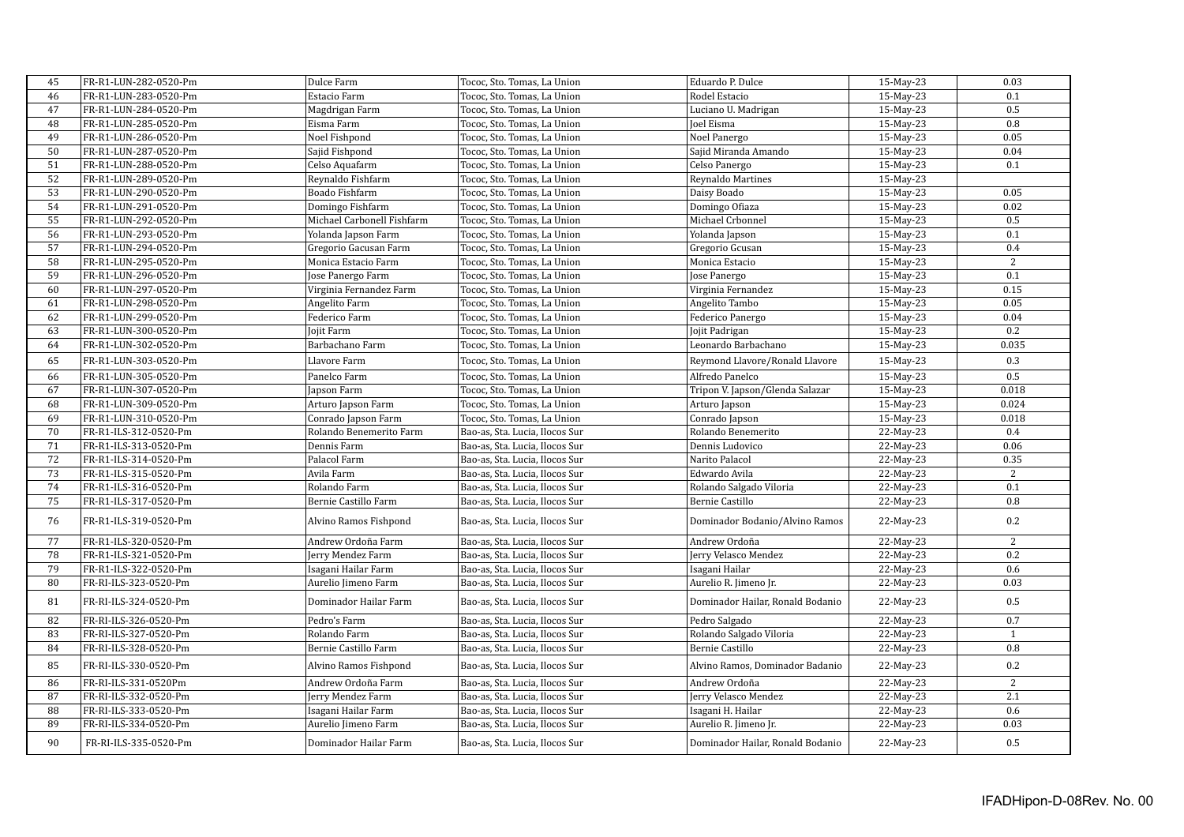| $\rm 45$ | FR-R1-LUN-282-0520-Pm | Dulce Farm                 | Tococ, Sto. Tomas, La Union    | Eduardo P. Dulce                 | 15-May-23 | 0.03             |
|----------|-----------------------|----------------------------|--------------------------------|----------------------------------|-----------|------------------|
| 46       | FR-R1-LUN-283-0520-Pm | Estacio Farm               | Tococ, Sto. Tomas, La Union    | Rodel Estacio                    | 15-May-23 | 0.1              |
| 47       | FR-R1-LUN-284-0520-Pm | Magdrigan Farm             | Tococ, Sto. Tomas, La Union    | Luciano U. Madrigan              | 15-May-23 | 0.5              |
| 48       | FR-R1-LUN-285-0520-Pm | Eisma Farm                 | Tococ, Sto. Tomas, La Union    | Joel Eisma                       | 15-May-23 | 0.8              |
| 49       | FR-R1-LUN-286-0520-Pm | Noel Fishpond              | Tococ, Sto. Tomas, La Union    | Noel Panergo                     | 15-May-23 | 0.05             |
| 50       | FR-R1-LUN-287-0520-Pm | Sajid Fishpond             | Tococ, Sto. Tomas, La Union    | Sajid Miranda Amando             | 15-May-23 | 0.04             |
| 51       | FR-R1-LUN-288-0520-Pm | Celso Aquafarm             | Tococ, Sto. Tomas, La Union    | Celso Panergo                    | 15-May-23 | 0.1              |
| 52       | FR-R1-LUN-289-0520-Pm | Reynaldo Fishfarm          | Tococ, Sto. Tomas, La Union    | Reynaldo Martines                | 15-May-23 |                  |
| 53       | FR-R1-LUN-290-0520-Pm | Boado Fishfarm             | Tococ, Sto. Tomas, La Union    | Daisy Boado                      | 15-May-23 | 0.05             |
| 54       | FR-R1-LUN-291-0520-Pm | Domingo Fishfarm           | Tococ, Sto. Tomas, La Union    | Domingo Ofiaza                   | 15-May-23 | 0.02             |
| 55       | FR-R1-LUN-292-0520-Pm | Michael Carbonell Fishfarm | Tococ, Sto. Tomas, La Union    | Michael Crbonnel                 | 15-May-23 | 0.5              |
| 56       | FR-R1-LUN-293-0520-Pm | Yolanda Japson Farm        | Tococ, Sto. Tomas, La Union    | Yolanda Japson                   | 15-May-23 | 0.1              |
| 57       | FR-R1-LUN-294-0520-Pm | Gregorio Gacusan Farm      | Tococ, Sto. Tomas, La Union    | Gregorio Gcusan                  | 15-May-23 | 0.4              |
| 58       | FR-R1-LUN-295-0520-Pm | Monica Estacio Farm        | Tococ, Sto. Tomas, La Union    | Monica Estacio                   | 15-May-23 | 2                |
| 59       | FR-R1-LUN-296-0520-Pm | Jose Panergo Farm          | Tococ, Sto. Tomas, La Union    | Jose Panergo                     | 15-May-23 | 0.1              |
| 60       | FR-R1-LUN-297-0520-Pm | Virginia Fernandez Farm    | Tococ, Sto. Tomas, La Union    | Virginia Fernandez               | 15-May-23 | 0.15             |
| 61       | FR-R1-LUN-298-0520-Pm | Angelito Farm              | Tococ, Sto. Tomas, La Union    | Angelito Tambo                   | 15-May-23 | 0.05             |
| 62       | FR-R1-LUN-299-0520-Pm | Federico Farm              | Tococ, Sto. Tomas, La Union    | Federico Panergo                 | 15-May-23 | 0.04             |
| 63       | FR-R1-LUN-300-0520-Pm | Jojit Farm                 | Tococ, Sto. Tomas, La Union    | Jojit Padrigan                   | 15-May-23 | 0.2              |
| 64       | FR-R1-LUN-302-0520-Pm | Barbachano Farm            | Tococ, Sto. Tomas, La Union    | Leonardo Barbachano              | 15-May-23 | 0.035            |
| 65       | FR-R1-LUN-303-0520-Pm | Llavore Farm               | Tococ, Sto. Tomas, La Union    | Reymond Llavore/Ronald Llavore   | 15-May-23 | 0.3              |
| 66       | FR-R1-LUN-305-0520-Pm | Panelco Farm               | Tococ, Sto. Tomas, La Union    | Alfredo Panelco                  | 15-May-23 | 0.5              |
| 67       | FR-R1-LUN-307-0520-Pm | Japson Farm                | Tococ, Sto. Tomas, La Union    | Tripon V. Japson/Glenda Salazar  | 15-May-23 | 0.018            |
| 68       | FR-R1-LUN-309-0520-Pm | Arturo Japson Farm         | Tococ, Sto. Tomas, La Union    | Arturo Japson                    | 15-May-23 | 0.024            |
| 69       | FR-R1-LUN-310-0520-Pm | Conrado Japson Farm        | Tococ, Sto. Tomas, La Union    | Conrado Japson                   | 15-May-23 | 0.018            |
| 70       | FR-R1-ILS-312-0520-Pm | Rolando Benemerito Farm    | Bao-as, Sta. Lucia, Ilocos Sur | Rolando Benemerito               | 22-May-23 | 0.4              |
| 71       | FR-R1-ILS-313-0520-Pm | Dennis Farm                | Bao-as, Sta. Lucia, Ilocos Sur | Dennis Ludovico                  | 22-May-23 | 0.06             |
| 72       | FR-R1-ILS-314-0520-Pm | Palacol Farm               | Bao-as, Sta. Lucia, Ilocos Sur | Narito Palacol                   | 22-May-23 | 0.35             |
| 73       | FR-R1-ILS-315-0520-Pm | Avila Farm                 | Bao-as, Sta. Lucia, Ilocos Sur | Edwardo Avila                    | 22-May-23 | 2                |
| 74       | FR-R1-ILS-316-0520-Pm | Rolando Farm               | Bao-as, Sta. Lucia, Ilocos Sur | Rolando Salgado Viloria          | 22-May-23 | 0.1              |
| 75       | FR-R1-ILS-317-0520-Pm | Bernie Castillo Farm       | Bao-as, Sta. Lucia, Ilocos Sur | Bernie Castillo                  | 22-May-23 | 0.8              |
|          |                       |                            |                                |                                  |           |                  |
| 76       | FR-R1-ILS-319-0520-Pm | Alvino Ramos Fishpond      | Bao-as, Sta. Lucia, Ilocos Sur | Dominador Bodanio/Alvino Ramos   | 22-May-23 | 0.2              |
| 77       | FR-R1-ILS-320-0520-Pm | Andrew Ordoña Farm         | Bao-as, Sta. Lucia, Ilocos Sur | Andrew Ordoña                    | 22-May-23 | 2                |
| 78       | FR-R1-ILS-321-0520-Pm | Jerry Mendez Farm          | Bao-as, Sta. Lucia, Ilocos Sur | Jerry Velasco Mendez             | 22-May-23 | 0.2              |
| 79       | FR-R1-ILS-322-0520-Pm | Isagani Hailar Farm        | Bao-as, Sta. Lucia, Ilocos Sur | Isagani Hailar                   | 22-May-23 | 0.6              |
| 80       | FR-RI-ILS-323-0520-Pm | Aurelio Jimeno Farm        | Bao-as, Sta. Lucia, Ilocos Sur | Aurelio R. Jimeno Jr.            | 22-May-23 | 0.03             |
| 81       | FR-RI-ILS-324-0520-Pm | Dominador Hailar Farm      | Bao-as, Sta. Lucia, Ilocos Sur | Dominador Hailar, Ronald Bodanio | 22-May-23 | $0.5\,$          |
| 82       | FR-RI-ILS-326-0520-Pm | Pedro's Farm               | Bao-as, Sta. Lucia, Ilocos Sur | Pedro Salgado                    | 22-May-23 | 0.7              |
| 83       | FR-RI-ILS-327-0520-Pm | Rolando Farm               | Bao-as, Sta. Lucia, Ilocos Sur | Rolando Salgado Viloria          | 22-May-23 | $\mathbf{1}$     |
| 84       | FR-RI-ILS-328-0520-Pm | Bernie Castillo Farm       | Bao-as, Sta. Lucia, Ilocos Sur | Bernie Castillo                  | 22-May-23 | 0.8              |
| 85       | FR-RI-ILS-330-0520-Pm | Alvino Ramos Fishpond      | Bao-as, Sta. Lucia, Ilocos Sur | Alvino Ramos, Dominador Badanio  | 22-May-23 | 0.2              |
| 86       | FR-RI-ILS-331-0520Pm  | Andrew Ordoña Farm         | Bao-as, Sta. Lucia, Ilocos Sur | Andrew Ordoña                    | 22-May-23 | $\overline{c}$   |
| 87       | FR-RI-ILS-332-0520-Pm | Jerry Mendez Farm          | Bao-as, Sta. Lucia, Ilocos Sur | Jerry Velasco Mendez             | 22-May-23 | $\overline{2.1}$ |
| 88       | FR-RI-ILS-333-0520-Pm | Isagani Hailar Farm        | Bao-as, Sta. Lucia, Ilocos Sur | Isagani H. Hailar                | 22-May-23 | 0.6              |
| 89       | FR-RI-ILS-334-0520-Pm | Aurelio Jimeno Farm        | Bao-as, Sta. Lucia, Ilocos Sur | Aurelio R. Jimeno Jr.            | 22-May-23 | 0.03             |
| 90       | FR-RI-ILS-335-0520-Pm | Dominador Hailar Farm      | Bao-as, Sta. Lucia, Ilocos Sur | Dominador Hailar, Ronald Bodanio | 22-May-23 | 0.5              |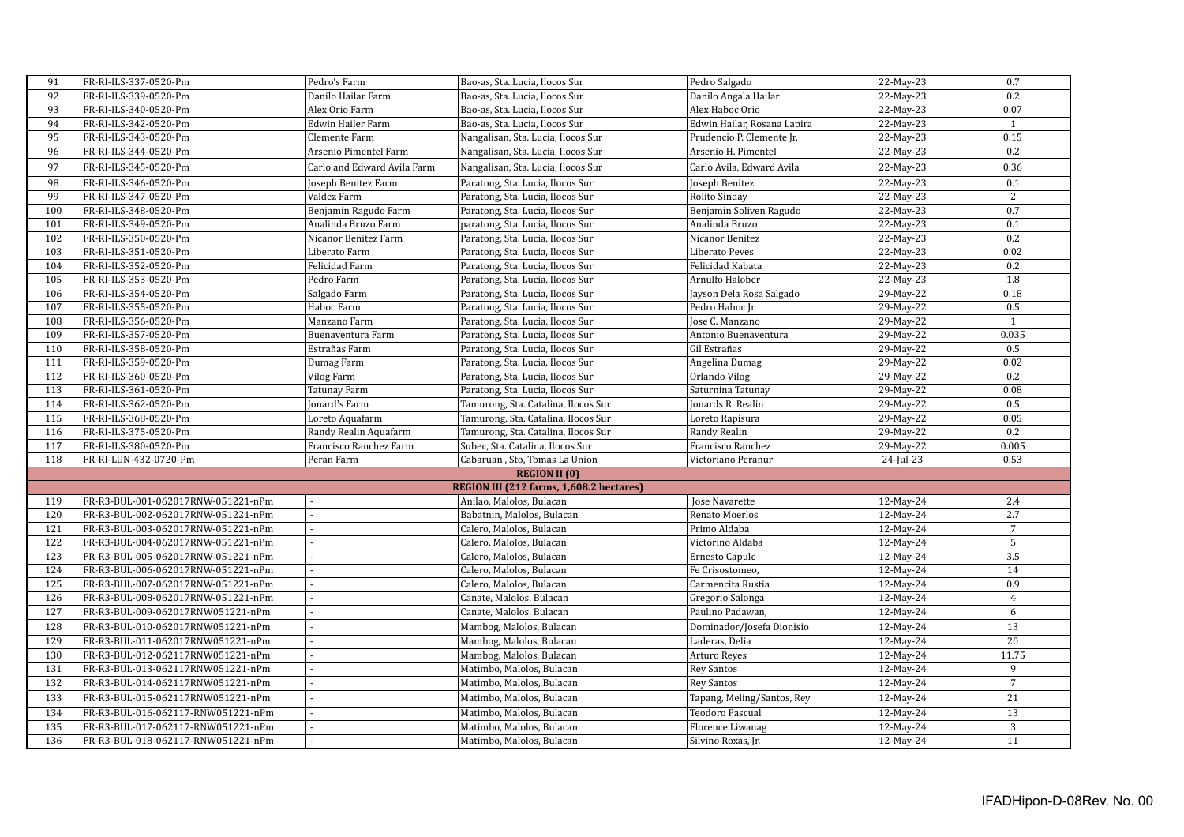| 91  | FR-RI-ILS-337-0520-Pm              | Pedro's Farm                | Bao-as, Sta. Lucia, Ilocos Sur           | Pedro Salgado               | 22-May-23 | 0.7              |
|-----|------------------------------------|-----------------------------|------------------------------------------|-----------------------------|-----------|------------------|
| 92  | FR-RI-ILS-339-0520-Pm              | Danilo Hailar Farm          | Bao-as, Sta. Lucia, Ilocos Sur           | Danilo Angala Hailar        | 22-May-23 | 0.2              |
| 93  | FR-RI-ILS-340-0520-Pm              | Alex Orio Farm              | Bao-as, Sta. Lucia, Ilocos Sur           | Alex Haboc Orio             | 22-May-23 | 0.07             |
| 94  | FR-RI-ILS-342-0520-Pm              | Edwin Hailer Farm           | Bao-as, Sta. Lucia, Ilocos Sur           | Edwin Hailar, Rosana Lapira | 22-May-23 | $\mathbf{1}$     |
| 95  | FR-RI-ILS-343-0520-Pm              | Clemente Farm               | Nangalisan, Sta. Lucia, Ilocos Sur       | Prudencio P. Clemente Jr.   | 22-May-23 | 0.15             |
| 96  | FR-RI-ILS-344-0520-Pm              | Arsenio Pimentel Farm       | Nangalisan, Sta. Lucia, Ilocos Sur       | Arsenio H. Pimentel         | 22-May-23 | 0.2              |
| 97  | FR-RI-ILS-345-0520-Pm              | Carlo and Edward Avila Farm | Nangalisan, Sta. Lucia, Ilocos Sur       | Carlo Avila, Edward Avila   | 22-May-23 | 0.36             |
| 98  | FR-RI-ILS-346-0520-Pm              | Joseph Benitez Farm         | Paratong, Sta. Lucia, Ilocos Sur         | Joseph Benitez              | 22-May-23 | 0.1              |
| 99  | FR-RI-ILS-347-0520-Pm              | Valdez Farm                 | Paratong, Sta. Lucia, Ilocos Sur         | Rolito Sinday               | 22-May-23 | 2                |
| 100 | FR-RI-ILS-348-0520-Pm              | Benjamin Ragudo Farm        | Paratong, Sta. Lucia, Ilocos Sur         | Benjamin Soliven Ragudo     | 22-May-23 | 0.7              |
| 101 | FR-RI-ILS-349-0520-Pm              | Analinda Bruzo Farm         | paratong, Sta. Lucia, Ilocos Sur         | Analinda Bruzo              | 22-May-23 | $\overline{0.1}$ |
| 102 | FR-RI-ILS-350-0520-Pm              | Nicanor Benitez Farm        | Paratong, Sta. Lucia, Ilocos Sur         | Nicanor Benitez             | 22-May-23 | 0.2              |
| 103 | FR-RI-ILS-351-0520-Pm              | Liberato Farm               | Paratong, Sta. Lucia, Ilocos Sur         | Liberato Peves              | 22-May-23 | 0.02             |
| 104 | FR-RI-ILS-352-0520-Pm              | Felicidad Farm              | Paratong, Sta. Lucia, Ilocos Sur         | Felicidad Kabata            | 22-May-23 | 0.2              |
| 105 | FR-RI-ILS-353-0520-Pm              | Pedro Farm                  | Paratong, Sta. Lucia, Ilocos Sur         | Arnulfo Halober             | 22-May-23 | 1.8              |
| 106 | FR-RI-ILS-354-0520-Pm              | Salgado Farm                | Paratong, Sta. Lucia, Ilocos Sur         | Jayson Dela Rosa Salgado    | 29-May-22 | 0.18             |
| 107 | FR-RI-ILS-355-0520-Pm              | Haboc Farm                  | Paratong, Sta. Lucia, Ilocos Sur         | Pedro Haboc Jr.             | 29-May-22 | 0.5              |
| 108 | FR-RI-ILS-356-0520-Pm              | Manzano Farm                | Paratong, Sta. Lucia, Ilocos Sur         | Jose C. Manzano             | 29-May-22 | $\mathbf{1}$     |
| 109 | FR-RI-ILS-357-0520-Pm              | Buenaventura Farm           | Paratong, Sta. Lucia, Ilocos Sur         | Antonio Buenaventura        | 29-May-22 | 0.035            |
| 110 | FR-RI-ILS-358-0520-Pm              | Estrañas Farm               | Paratong, Sta. Lucia, Ilocos Sur         | Gil Estrañas                | 29-May-22 | 0.5              |
| 111 | FR-RI-ILS-359-0520-Pm              | Dumag Farm                  | Paratong, Sta. Lucia, Ilocos Sur         | Angelina Dumag              | 29-May-22 | 0.02             |
| 112 | FR-RI-ILS-360-0520-Pm              | Vilog Farm                  | Paratong, Sta. Lucia, Ilocos Sur         | Orlando Vilog               | 29-May-22 | 0.2              |
| 113 | FR-RI-ILS-361-0520-Pm              | Tatunay Farm                | Paratong, Sta. Lucia, Ilocos Sur         | Saturnina Tatunay           | 29-May-22 | 0.08             |
| 114 | FR-RI-ILS-362-0520-Pm              | Jonard's Farm               | Tamurong, Sta. Catalina, Ilocos Sur      | Jonards R. Realin           | 29-May-22 | 0.5              |
| 115 | FR-RI-ILS-368-0520-Pm              | Loreto Aquafarm             | Tamurong, Sta. Catalina, Ilocos Sur      | Loreto Rapisura             | 29-May-22 | 0.05             |
| 116 | FR-RI-ILS-375-0520-Pm              | Randy Realin Aquafarm       | Tamurong, Sta. Catalina, Ilocos Sur      | Randy Realin                | 29-May-22 | 0.2              |
| 117 | FR-RI-ILS-380-0520-Pm              | Francisco Ranchez Farm      | Subec, Sta. Catalina, Ilocos Sur         | Francisco Ranchez           | 29-May-22 | 0.005            |
| 118 | FR-RI-LUN-432-0720-Pm              | Peran Farm                  | Cabaruan, Sto, Tomas La Union            | Victoriano Peranur          | 24-Jul-23 | 0.53             |
|     |                                    |                             | <b>REGION II (0)</b>                     |                             |           |                  |
|     |                                    |                             | REGION III (212 farms, 1,608.2 hectares) |                             |           |                  |
| 119 | FR-R3-BUL-001-062017RNW-051221-nPm |                             | Anilao, Malolos, Bulacan                 | Jose Navarette              | 12-May-24 | 2.4              |
| 120 | FR-R3-BUL-002-062017RNW-051221-nPm |                             | Babatnin, Malolos, Bulacan               | Renato Moerlos              | 12-May-24 | 2.7              |
| 121 | FR-R3-BUL-003-062017RNW-051221-nPm |                             | Calero, Malolos, Bulacan                 | Primo Aldaba                | 12-May-24 | $\overline{7}$   |
| 122 | FR-R3-BUL-004-062017RNW-051221-nPm |                             | Calero, Malolos, Bulacan                 | Victorino Aldaba            | 12-May-24 | 5                |
| 123 | FR-R3-BUL-005-062017RNW-051221-nPm |                             | Calero, Malolos, Bulacan                 | Ernesto Capule              | 12-May-24 | 3.5              |
| 124 | FR-R3-BUL-006-062017RNW-051221-nPm |                             | Calero, Malolos, Bulacan                 | Fe Crisostomeo,             | 12-May-24 | 14               |
| 125 | FR-R3-BUL-007-062017RNW-051221-nPm |                             | Calero, Malolos, Bulacan                 | Carmencita Rustia           | 12-May-24 | 0.9              |
| 126 | FR-R3-BUL-008-062017RNW-051221-nPm |                             | Canate, Malolos, Bulacan                 | Gregorio Salonga            | 12-May-24 | $\bf 4$          |
| 127 | FR-R3-BUL-009-062017RNW051221-nPm  |                             | Canate, Malolos, Bulacan                 | Paulino Padawan,            | 12-May-24 | 6                |
| 128 | FR-R3-BUL-010-062017RNW051221-nPm  |                             | Mambog, Malolos, Bulacan                 | Dominador/Josefa Dionisio   | 12-May-24 | 13               |
| 129 | FR-R3-BUL-011-062017RNW051221-nPm  |                             | Mambog, Malolos, Bulacan                 | Laderas, Delia              | 12-May-24 | $\overline{20}$  |
| 130 | FR-R3-BUL-012-062117RNW051221-nPm  |                             | Mambog, Malolos, Bulacan                 | Arturo Reyes                | 12-May-24 | 11.75            |
| 131 | FR-R3-BUL-013-062117RNW051221-nPm  |                             | Matimbo, Malolos, Bulacan                | Rey Santos                  | 12-May-24 | 9                |
| 132 | FR-R3-BUL-014-062117RNW051221-nPm  |                             | Matimbo, Malolos, Bulacan                | Rey Santos                  | 12-May-24 | $7\overline{ }$  |
|     |                                    |                             |                                          |                             |           |                  |
| 133 | FR-R3-BUL-015-062117RNW051221-nPm  |                             | Matimbo, Malolos, Bulacan                | Tapang, Meling/Santos, Rey  | 12-May-24 | 21               |
| 134 | FR-R3-BUL-016-062117-RNW051221-nPm |                             | Matimbo, Malolos, Bulacan                | Teodoro Pascual             | 12-May-24 | $\overline{13}$  |
| 135 | FR-R3-BUL-017-062117-RNW051221-nPm |                             | Matimbo, Malolos, Bulacan                | Florence Liwanag            | 12-May-24 | $\overline{3}$   |
| 136 | FR-R3-BUL-018-062117-RNW051221-nPm |                             | Matimbo, Malolos, Bulacan                | Silvino Roxas, Jr.          | 12-May-24 | 11               |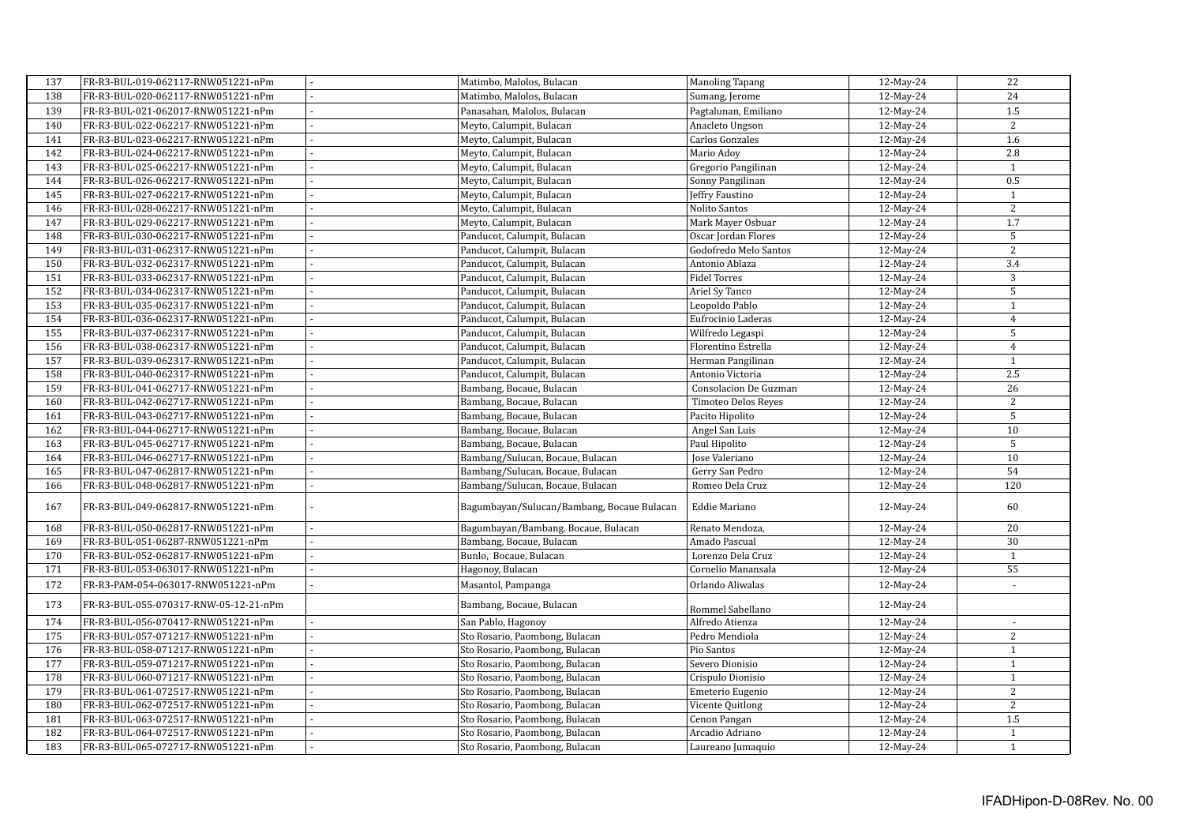| 137 | FR-R3-BUL-019-062117-RNW051221-nPm    |                | Matimbo, Malolos, Bulacan                  | Manoling Tapang            | 12-May-24    | 22               |
|-----|---------------------------------------|----------------|--------------------------------------------|----------------------------|--------------|------------------|
| 138 | FR-R3-BUL-020-062117-RNW051221-nPm    |                | Matimbo, Malolos, Bulacan                  | Sumang, Jerome             | 12-May-24    | 24               |
| 139 | FR-R3-BUL-021-062017-RNW051221-nPm    |                | Panasahan, Malolos, Bulacan                | Pagtalunan, Emiliano       | 12-May-24    | 1.5              |
| 140 | FR-R3-BUL-022-062217-RNW051221-nPm    |                | Meyto, Calumpit, Bulacan                   | Anacleto Ungson            | 12-May-24    | $\overline{2}$   |
| 141 | FR-R3-BUL-023-062217-RNW051221-nPm    |                | Meyto, Calumpit, Bulacan                   | <b>Carlos Gonzales</b>     | 12-May-24    | 1.6              |
| 142 | FR-R3-BUL-024-062217-RNW051221-nPm    |                | Meyto, Calumpit, Bulacan                   | Mario Adov                 | 12-May-24    | 2.8              |
| 143 | FR-R3-BUL-025-062217-RNW051221-nPm    |                | Meyto, Calumpit, Bulacan                   | Gregorio Pangilinan        | 12-May-24    | $\mathbf{1}$     |
| 144 | FR-R3-BUL-026-062217-RNW051221-nPm    |                | Meyto, Calumpit, Bulacan                   | Sonny Pangilinan           | 12-May-24    | 0.5              |
| 145 | FR-R3-BUL-027-062217-RNW051221-nPm    |                | Meyto, Calumpit, Bulacan                   | Jeffry Faustino            | 12-May-24    | $\mathbf{1}$     |
| 146 | FR-R3-BUL-028-062217-RNW051221-nPm    |                | Meyto, Calumpit, Bulacan                   | Nolito Santos              | 12-May-24    | $\overline{2}$   |
| 147 | FR-R3-BUL-029-062217-RNW051221-nPm    |                | Meyto, Calumpit, Bulacan                   | Mark Mayer Osbuar          | 12-May-24    | 1.7              |
| 148 | FR-R3-BUL-030-062217-RNW051221-nPm    |                | Panducot, Calumpit, Bulacan                | Oscar Jordan Flores        | $12$ -May-24 | 5                |
| 149 | FR-R3-BUL-031-062317-RNW051221-nPm    |                | Panducot, Calumpit, Bulacan                | Godofredo Melo Santos      | 12-May-24    | $\overline{2}$   |
| 150 | FR-R3-BUL-032-062317-RNW051221-nPm    |                | Panducot, Calumpit, Bulacan                | Antonio Ablaza             | 12-May-24    | $\overline{3.4}$ |
| 151 | FR-R3-BUL-033-062317-RNW051221-nPm    |                | Panducot, Calumpit, Bulacan                | <b>Fidel Torres</b>        | 12-May-24    | $\sqrt{3}$       |
| 152 | FR-R3-BUL-034-062317-RNW051221-nPm    |                | Panducot, Calumpit, Bulacan                | Ariel Sy Tanco             | 12-May-24    | $\sqrt{5}$       |
| 153 | FR-R3-BUL-035-062317-RNW051221-nPm    |                | Panducot, Calumpit, Bulacan                | Leopoldo Pablo             | 12-May-24    | $\mathbf{1}$     |
| 154 | FR-R3-BUL-036-062317-RNW051221-nPm    |                | Panducot, Calumpit, Bulacan                | Eufrocinio Laderas         | 12-May-24    | $\overline{4}$   |
| 155 | FR-R3-BUL-037-062317-RNW051221-nPm    |                | Panducot, Calumpit, Bulacan                | Wilfredo Legaspi           | 12-May-24    | 5                |
| 156 | FR-R3-BUL-038-062317-RNW051221-nPm    |                | Panducot, Calumpit, Bulacan                | Florentino Estrella        | 12-May-24    | $\overline{4}$   |
| 157 | FR-R3-BUL-039-062317-RNW051221-nPm    |                | Panducot, Calumpit, Bulacan                | Herman Pangilinan          | 12-May-24    | $\mathbf{1}$     |
| 158 | FR-R3-BUL-040-062317-RNW051221-nPm    | ä,             | Panducot, Calumpit, Bulacan                | Antonio Victoria           | 12-May-24    | $\overline{2.5}$ |
| 159 | FR-R3-BUL-041-062717-RNW051221-nPm    |                | Bambang, Bocaue, Bulacan                   | Consolacion De Guzman      | 12-May-24    | 26               |
| 160 | FR-R3-BUL-042-062717-RNW051221-nPm    |                | Bambang, Bocaue, Bulacan                   | <b>Timoteo Delos Reyes</b> | 12-May-24    | $\sqrt{2}$       |
| 161 | FR-R3-BUL-043-062717-RNW051221-nPm    |                | Bambang, Bocaue, Bulacan                   | Pacito Hipolito            | 12-May-24    | 5                |
| 162 | FR-R3-BUL-044-062717-RNW051221-nPm    | L.             | Bambang, Bocaue, Bulacan                   | Angel San Luis             | 12-May-24    | 10               |
| 163 | FR-R3-BUL-045-062717-RNW051221-nPm    |                | Bambang, Bocaue, Bulacan                   | Paul Hipolito              | 12-May-24    | 5                |
| 164 | FR-R3-BUL-046-062717-RNW051221-nPm    |                | Bambang/Sulucan, Bocaue, Bulacan           | Jose Valeriano             | 12-May-24    | 10               |
| 165 | FR-R3-BUL-047-062817-RNW051221-nPm    |                | Bambang/Sulucan, Bocaue, Bulacan           | Gerry San Pedro            | 12-May-24    | 54               |
| 166 | FR-R3-BUL-048-062817-RNW051221-nPm    |                | Bambang/Sulucan, Bocaue, Bulacan           | Romeo Dela Cruz            | 12-May-24    | 120              |
|     |                                       |                |                                            |                            |              |                  |
| 167 | FR-R3-BUL-049-062817-RNW051221-nPm    |                | Bagumbayan/Sulucan/Bambang, Bocaue Bulacan | Eddie Mariano              | 12-May-24    | 60               |
| 168 | FR-R3-BUL-050-062817-RNW051221-nPm    |                | Bagumbayan/Bambang. Bocaue, Bulacan        | Renato Mendoza,            | 12-May-24    | $\overline{20}$  |
| 169 | FR-R3-BUL-051-06287-RNW051221-nPm     |                | Bambang, Bocaue, Bulacan                   | Amado Pascual              | 12-May-24    | $\overline{30}$  |
| 170 | FR-R3-BUL-052-062817-RNW051221-nPm    |                | Bunlo, Bocaue, Bulacan                     | Lorenzo Dela Cruz          | 12-May-24    | $\mathbf{1}$     |
| 171 | FR-R3-BUL-053-063017-RNW051221-nPm    |                | Hagonoy, Bulacan                           | Cornelio Manansala         | 12-May-24    | 55               |
| 172 |                                       | $\overline{a}$ |                                            |                            |              | ÷,               |
|     | FR-R3-PAM-054-063017-RNW051221-nPm    |                | Masantol, Pampanga                         | Orlando Aliwalas           | 12-May-24    |                  |
| 173 | FR-R3-BUL-055-070317-RNW-05-12-21-nPm |                | Bambang, Bocaue, Bulacan                   | Rommel Sabellano           | 12-May-24    |                  |
| 174 | FR-R3-BUL-056-070417-RNW051221-nPm    |                | San Pablo, Hagonov                         | Alfredo Atienza            | 12-May-24    |                  |
| 175 | FR-R3-BUL-057-071217-RNW051221-nPm    |                | Sto Rosario, Paombong, Bulacan             | Pedro Mendiola             | 12-May-24    | $\mathbf{2}$     |
| 176 | FR-R3-BUL-058-071217-RNW051221-nPm    |                | Sto Rosario, Paombong, Bulacan             | Pio Santos                 | 12-May-24    | $\,1\,$          |
| 177 | FR-R3-BUL-059-071217-RNW051221-nPm    |                | Sto Rosario, Paombong, Bulacan             | Severo Dionisio            | 12-May-24    | $\,1\,$          |
| 178 | FR-R3-BUL-060-071217-RNW051221-nPm    |                | Sto Rosario, Paombong, Bulacan             | Crispulo Dionisio          | 12-May-24    | $\,1\,$          |
| 179 | FR-R3-BUL-061-072517-RNW051221-nPm    |                | Sto Rosario, Paombong, Bulacan             | Emeterio Eugenio           | 12-May-24    | $\sqrt{2}$       |
| 180 | FR-R3-BUL-062-072517-RNW051221-nPm    |                | Sto Rosario, Paombong, Bulacan             | Vicente Quitlong           | 12-May-24    | $\sqrt{2}$       |
| 181 | FR-R3-BUL-063-072517-RNW051221-nPm    |                | Sto Rosario, Paombong, Bulacan             | Cenon Pangan               | 12-May-24    | 1.5              |
| 182 | FR-R3-BUL-064-072517-RNW051221-nPm    |                | Sto Rosario, Paombong, Bulacan             | Arcadio Adriano            | 12-May-24    | $\mathbf{1}$     |
| 183 | FR-R3-BUL-065-072717-RNW051221-nPm    |                | Sto Rosario, Paombong, Bulacan             | Laureano Jumaquio          | 12-May-24    | 1                |
|     |                                       |                |                                            |                            |              |                  |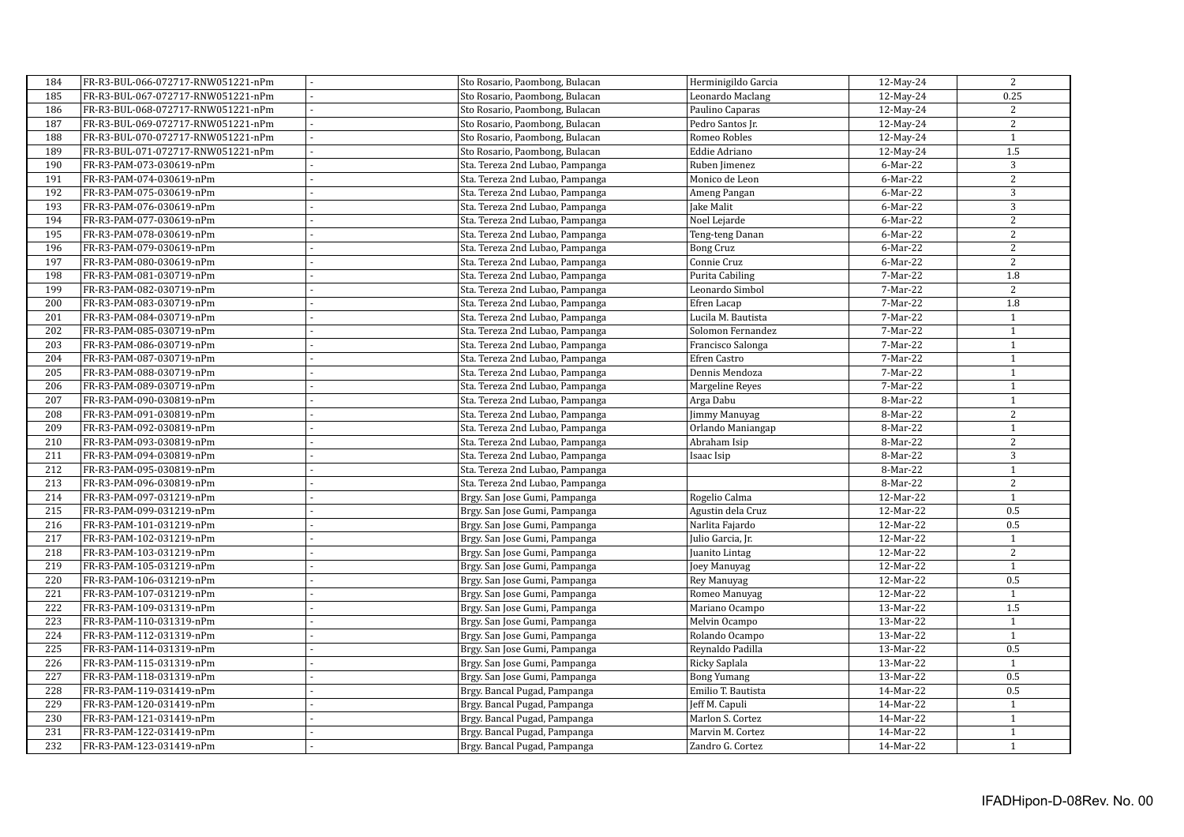| 184 | FR-R3-BUL-066-072717-RNW051221-nPm |    | Sto Rosario, Paombong, Bulacan  | Herminigildo Garcia | 12-May-24 | 2                |
|-----|------------------------------------|----|---------------------------------|---------------------|-----------|------------------|
| 185 | FR-R3-BUL-067-072717-RNW051221-nPm |    | Sto Rosario, Paombong, Bulacan  | Leonardo Maclang    | 12-May-24 | 0.25             |
| 186 | FR-R3-BUL-068-072717-RNW051221-nPm |    | Sto Rosario, Paombong, Bulacan  | Paulino Caparas     | 12-May-24 | 2                |
| 187 | FR-R3-BUL-069-072717-RNW051221-nPm |    | Sto Rosario, Paombong, Bulacan  | Pedro Santos Jr.    | 12-May-24 | 2                |
| 188 | FR-R3-BUL-070-072717-RNW051221-nPm |    | Sto Rosario, Paombong, Bulacan  | Romeo Robles        | 12-May-24 | $\mathbf{1}$     |
| 189 | FR-R3-BUL-071-072717-RNW051221-nPm |    | Sto Rosario, Paombong, Bulacan  | Eddie Adriano       | 12-May-24 | 1.5              |
| 190 | FR-R3-PAM-073-030619-nPm           | ä, | Sta. Tereza 2nd Lubao, Pampanga | Ruben Jimenez       | 6-Mar-22  | 3                |
| 191 | FR-R3-PAM-074-030619-nPm           |    | Sta. Tereza 2nd Lubao, Pampanga | Monico de Leon      | 6-Mar-22  | 2                |
| 192 | FR-R3-PAM-075-030619-nPm           | ÷  | Sta. Tereza 2nd Lubao, Pampanga | Ameng Pangan        | 6-Mar-22  | 3                |
| 193 | FR-R3-PAM-076-030619-nPm           |    | Sta. Tereza 2nd Lubao, Pampanga | Jake Malit          | 6-Mar-22  | 3                |
| 194 | FR-R3-PAM-077-030619-nPm           |    | Sta. Tereza 2nd Lubao, Pampanga | Noel Lejarde        | 6-Mar-22  | 2                |
| 195 | FR-R3-PAM-078-030619-nPm           |    | Sta. Tereza 2nd Lubao, Pampanga | Teng-teng Danan     | 6-Mar-22  | 2                |
| 196 | FR-R3-PAM-079-030619-nPm           |    | Sta. Tereza 2nd Lubao, Pampanga | <b>Bong Cruz</b>    | 6-Mar-22  | 2                |
| 197 | FR-R3-PAM-080-030619-nPm           |    | Sta. Tereza 2nd Lubao, Pampanga | Connie Cruz         | 6-Mar-22  | 2                |
| 198 | FR-R3-PAM-081-030719-nPm           |    | Sta. Tereza 2nd Lubao, Pampanga | Purita Cabiling     | 7-Mar-22  | 1.8              |
| 199 | FR-R3-PAM-082-030719-nPm           |    | Sta. Tereza 2nd Lubao, Pampanga | Leonardo Simbol     | 7-Mar-22  | 2                |
| 200 | FR-R3-PAM-083-030719-nPm           |    | Sta. Tereza 2nd Lubao, Pampanga | Efren Lacap         | 7-Mar-22  | 1.8              |
| 201 | FR-R3-PAM-084-030719-nPm           |    | Sta. Tereza 2nd Lubao, Pampanga | Lucila M. Bautista  | 7-Mar-22  | $\mathbf{1}$     |
| 202 | FR-R3-PAM-085-030719-nPm           |    | Sta. Tereza 2nd Lubao, Pampanga | Solomon Fernandez   | 7-Mar-22  | $\mathbf{1}$     |
| 203 | FR-R3-PAM-086-030719-nPm           |    | Sta. Tereza 2nd Lubao, Pampanga | Francisco Salonga   | 7-Mar-22  | $\,1\,$          |
| 204 | FR-R3-PAM-087-030719-nPm           |    | Sta. Tereza 2nd Lubao, Pampanga | Efren Castro        | 7-Mar-22  | $1\,$            |
| 205 | FR-R3-PAM-088-030719-nPm           |    | Sta. Tereza 2nd Lubao, Pampanga | Dennis Mendoza      | 7-Mar-22  | $\mathbf{1}$     |
| 206 | FR-R3-PAM-089-030719-nPm           |    | Sta. Tereza 2nd Lubao, Pampanga | Margeline Reyes     | 7-Mar-22  | $\mathbf{1}$     |
| 207 | FR-R3-PAM-090-030819-nPm           |    | Sta. Tereza 2nd Lubao, Pampanga | Arga Dabu           | 8-Mar-22  | $1\,$            |
| 208 | FR-R3-PAM-091-030819-nPm           |    | Sta. Tereza 2nd Lubao, Pampanga | Jimmy Manuyag       | 8-Mar-22  | 2                |
| 209 | FR-R3-PAM-092-030819-nPm           |    | Sta. Tereza 2nd Lubao, Pampanga | Orlando Maniangap   | 8-Mar-22  | $\,1\,$          |
| 210 | FR-R3-PAM-093-030819-nPm           |    | Sta. Tereza 2nd Lubao, Pampanga | Abraham Isip        | 8-Mar-22  | 2                |
| 211 | FR-R3-PAM-094-030819-nPm           |    | Sta. Tereza 2nd Lubao, Pampanga | Isaac Isip          | 8-Mar-22  | 3                |
| 212 | FR-R3-PAM-095-030819-nPm           |    | Sta. Tereza 2nd Lubao, Pampanga |                     | 8-Mar-22  | $\mathbf{1}$     |
| 213 | FR-R3-PAM-096-030819-nPm           |    | Sta. Tereza 2nd Lubao, Pampanga |                     | 8-Mar-22  | 2                |
| 214 | FR-R3-PAM-097-031219-nPm           |    | Brgy. San Jose Gumi, Pampanga   | Rogelio Calma       | 12-Mar-22 | $\mathbf{1}$     |
| 215 | FR-R3-PAM-099-031219-nPm           |    | Brgy. San Jose Gumi, Pampanga   | Agustin dela Cruz   | 12-Mar-22 | 0.5              |
| 216 | FR-R3-PAM-101-031219-nPm           |    | Brgy. San Jose Gumi, Pampanga   | Narlita Fajardo     | 12-Mar-22 | 0.5              |
| 217 | FR-R3-PAM-102-031219-nPm           |    | Brgy. San Jose Gumi, Pampanga   | Julio Garcia, Jr.   | 12-Mar-22 | $\mathbf{1}$     |
| 218 | FR-R3-PAM-103-031219-nPm           |    | Brgy. San Jose Gumi, Pampanga   | Juanito Lintag      | 12-Mar-22 | 2                |
| 219 | FR-R3-PAM-105-031219-nPm           |    | Brgy. San Jose Gumi, Pampanga   | Joey Manuyag        | 12-Mar-22 | $\mathbf{1}$     |
| 220 | FR-R3-PAM-106-031219-nPm           |    | Brgy. San Jose Gumi, Pampanga   | Rey Manuyag         | 12-Mar-22 | 0.5              |
| 221 | FR-R3-PAM-107-031219-nPm           |    | Brgy. San Jose Gumi, Pampanga   | Romeo Manuyag       | 12-Mar-22 | $\mathbf{1}$     |
| 222 | FR-R3-PAM-109-031319-nPm           |    | Brgy. San Jose Gumi, Pampanga   | Mariano Ocampo      | 13-Mar-22 | $\overline{1.5}$ |
| 223 | FR-R3-PAM-110-031319-nPm           |    | Brgy. San Jose Gumi, Pampanga   | Melvin Ocampo       | 13-Mar-22 | $\mathbf{1}$     |
| 224 | FR-R3-PAM-112-031319-nPm           |    | Brgy. San Jose Gumi, Pampanga   | Rolando Ocampo      | 13-Mar-22 | $\mathbf{1}$     |
| 225 | FR-R3-PAM-114-031319-nPm           |    | Brgy. San Jose Gumi, Pampanga   | Reynaldo Padilla    | 13-Mar-22 | 0.5              |
| 226 | FR-R3-PAM-115-031319-nPm           |    | Brgy. San Jose Gumi, Pampanga   | Ricky Saplala       | 13-Mar-22 | $\mathbf{1}$     |
| 227 | FR-R3-PAM-118-031319-nPm           |    | Brgy. San Jose Gumi, Pampanga   | <b>Bong Yumang</b>  | 13-Mar-22 | 0.5              |
| 228 | FR-R3-PAM-119-031419-nPm           |    | Brgy. Bancal Pugad, Pampanga    | Emilio T. Bautista  | 14-Mar-22 | 0.5              |
| 229 | FR-R3-PAM-120-031419-nPm           |    | Brgy. Bancal Pugad, Pampanga    | Jeff M. Capuli      | 14-Mar-22 | $\mathbf{1}$     |
| 230 | FR-R3-PAM-121-031419-nPm           |    | Brgy. Bancal Pugad, Pampanga    | Marlon S. Cortez    | 14-Mar-22 | $\mathbf{1}$     |
| 231 | FR-R3-PAM-122-031419-nPm           |    | Brgy. Bancal Pugad, Pampanga    | Marvin M. Cortez    | 14-Mar-22 | $\mathbf{1}$     |
| 232 | FR-R3-PAM-123-031419-nPm           |    | Brgy. Bancal Pugad, Pampanga    | Zandro G. Cortez    | 14-Mar-22 | $\mathbf{1}$     |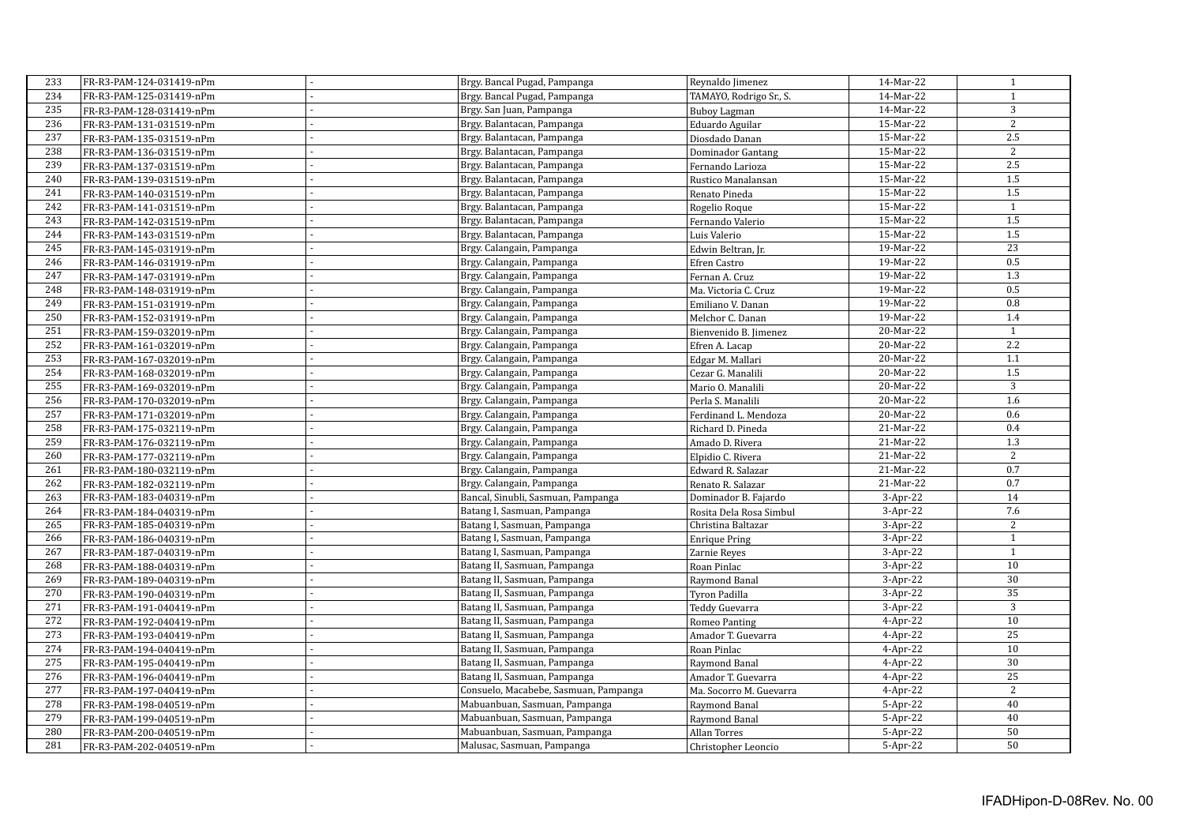| 233 | FR-R3-PAM-124-031419-nPm |    | Brgy. Bancal Pugad, Pampanga          | Reynaldo Jimenez        | 14-Mar-22  | $\mathbf{1}$     |
|-----|--------------------------|----|---------------------------------------|-------------------------|------------|------------------|
| 234 | FR-R3-PAM-125-031419-nPm |    | Brgy. Bancal Pugad, Pampanga          | TAMAYO, Rodrigo Sr., S. | 14-Mar-22  | $\mathbf{1}$     |
| 235 | FR-R3-PAM-128-031419-nPm |    | Brgy. San Juan, Pampanga              | <b>Buboy Lagman</b>     | 14-Mar-22  | 3                |
| 236 | FR-R3-PAM-131-031519-nPm |    | Brgy. Balantacan, Pampanga            | Eduardo Aguilar         | 15-Mar-22  | 2                |
| 237 | FR-R3-PAM-135-031519-nPm |    | Brgy. Balantacan, Pampanga            | Diosdado Danan          | 15-Mar-22  | 2.5              |
| 238 | FR-R3-PAM-136-031519-nPm |    | Brgy. Balantacan, Pampanga            | Dominador Gantang       | 15-Mar-22  | $\overline{2}$   |
| 239 | FR-R3-PAM-137-031519-nPm |    | Brgy. Balantacan, Pampanga            | Fernando Larioza        | 15-Mar-22  | 2.5              |
| 240 | FR-R3-PAM-139-031519-nPm |    | Brgy. Balantacan, Pampanga            | Rustico Manalansan      | 15-Mar-22  | $\overline{1.5}$ |
| 241 | FR-R3-PAM-140-031519-nPm | ×. | Brgy. Balantacan, Pampanga            | Renato Pineda           | 15-Mar-22  | $\overline{1.5}$ |
| 242 | FR-R3-PAM-141-031519-nPm |    | Brgy. Balantacan, Pampanga            | Rogelio Roque           | 15-Mar-22  | $\mathbf{1}$     |
| 243 | FR-R3-PAM-142-031519-nPm |    | Brgy. Balantacan, Pampanga            | Fernando Valerio        | 15-Mar-22  | $1.5$            |
| 244 | FR-R3-PAM-143-031519-nPm |    | Brgy. Balantacan, Pampanga            | Luis Valerio            | 15-Mar-22  | 1.5              |
| 245 | FR-R3-PAM-145-031919-nPm |    | Brgy. Calangain, Pampanga             | Edwin Beltran, Jr.      | 19-Mar-22  | 23               |
| 246 | FR-R3-PAM-146-031919-nPm |    | Brgy. Calangain, Pampanga             | Efren Castro            | 19-Mar-22  | 0.5              |
| 247 | FR-R3-PAM-147-031919-nPm |    | Brgy. Calangain, Pampanga             | Fernan A. Cruz          | 19-Mar-22  | 1.3              |
| 248 | FR-R3-PAM-148-031919-nPm |    | Brgy. Calangain, Pampanga             | Ma. Victoria C. Cruz    | 19-Mar-22  | 0.5              |
| 249 | FR-R3-PAM-151-031919-nPm |    | Brgy. Calangain, Pampanga             | Emiliano V. Danan       | 19-Mar-22  | $\overline{0.8}$ |
| 250 | FR-R3-PAM-152-031919-nPm |    | Brgy. Calangain, Pampanga             | Melchor C. Danan        | 19-Mar-22  | 1.4              |
| 251 | FR-R3-PAM-159-032019-nPm |    | Brgy. Calangain, Pampanga             | Bienvenido B. Jimenez   | 20-Mar-22  | $\mathbf{1}$     |
| 252 | FR-R3-PAM-161-032019-nPm |    | Brgy. Calangain, Pampanga             | Efren A. Lacap          | 20-Mar-22  | 2.2              |
| 253 | FR-R3-PAM-167-032019-nPm |    | Brgy. Calangain, Pampanga             | Edgar M. Mallari        | 20-Mar-22  | 1.1              |
| 254 | FR-R3-PAM-168-032019-nPm |    | Brgy. Calangain, Pampanga             | Cezar G. Manalili       | 20-Mar-22  | 1.5              |
| 255 | FR-R3-PAM-169-032019-nPm |    | Brgy. Calangain, Pampanga             | Mario O. Manalili       | 20-Mar-22  | 3                |
| 256 | FR-R3-PAM-170-032019-nPm |    | Brgy. Calangain, Pampanga             | Perla S. Manalili       | 20-Mar-22  | 1.6              |
| 257 | FR-R3-PAM-171-032019-nPm |    | Brgy. Calangain, Pampanga             | Ferdinand L. Mendoza    | 20-Mar-22  | 0.6              |
| 258 | FR-R3-PAM-175-032119-nPm |    | Brgy. Calangain, Pampanga             | Richard D. Pineda       | 21-Mar-22  | 0.4              |
| 259 | FR-R3-PAM-176-032119-nPm |    | Brgy. Calangain, Pampanga             | Amado D. Rivera         | 21-Mar-22  | 1.3              |
| 260 | FR-R3-PAM-177-032119-nPm |    | Brgy. Calangain, Pampanga             | Elpidio C. Rivera       | 21-Mar-22  | 2                |
| 261 | FR-R3-PAM-180-032119-nPm |    | Brgy. Calangain, Pampanga             | Edward R. Salazar       | 21-Mar-22  | 0.7              |
| 262 | FR-R3-PAM-182-032119-nPm |    | Brgy. Calangain, Pampanga             | Renato R. Salazar       | 21-Mar-22  | 0.7              |
| 263 | FR-R3-PAM-183-040319-nPm |    | Bancal, Sinubli, Sasmuan, Pampanga    | Dominador B. Fajardo    | $3-Apr-22$ | 14               |
| 264 | FR-R3-PAM-184-040319-nPm |    | Batang I, Sasmuan, Pampanga           | Rosita Dela Rosa Simbul | $3-Apr-22$ | $7.6\,$          |
| 265 | FR-R3-PAM-185-040319-nPm |    | Batang I, Sasmuan, Pampanga           | Christina Baltazar      | $3-Apr-22$ | 2                |
| 266 | FR-R3-PAM-186-040319-nPm |    | Batang I, Sasmuan, Pampanga           | <b>Enrique Pring</b>    | $3-Apr-22$ | $\mathbf{1}$     |
| 267 | FR-R3-PAM-187-040319-nPm |    | Batang I, Sasmuan, Pampanga           | Zarnie Reyes            | $3-Apr-22$ | $\mathbf{1}$     |
| 268 | FR-R3-PAM-188-040319-nPm |    | Batang II, Sasmuan, Pampanga          | Roan Pinlac             | $3-Apr-22$ | 10               |
| 269 | FR-R3-PAM-189-040319-nPm |    | Batang II, Sasmuan, Pampanga          | Raymond Banal           | $3-Apr-22$ | 30               |
| 270 | FR-R3-PAM-190-040319-nPm |    | Batang II, Sasmuan, Pampanga          | Tyron Padilla           | $3-Apr-22$ | 35               |
| 271 | FR-R3-PAM-191-040419-nPm |    | Batang II, Sasmuan, Pampanga          | Teddy Guevarra          | $3-Apr-22$ | $\overline{3}$   |
| 272 | FR-R3-PAM-192-040419-nPm |    | Batang II, Sasmuan, Pampanga          | Romeo Panting           | $4-Apr-22$ | 10               |
| 273 | FR-R3-PAM-193-040419-nPm |    | Batang II, Sasmuan, Pampanga          | Amador T. Guevarra      | $4-Apr-22$ | 25               |
| 274 | FR-R3-PAM-194-040419-nPm |    | Batang II, Sasmuan, Pampanga          | Roan Pinlac             | $4-Apr-22$ | 10               |
| 275 | FR-R3-PAM-195-040419-nPm |    | Batang II, Sasmuan, Pampanga          | Raymond Banal           | $4-Apr-22$ | 30               |
| 276 | FR-R3-PAM-196-040419-nPm |    | Batang II, Sasmuan, Pampanga          | Amador T. Guevarra      | $4-Apr-22$ | 25               |
| 277 | FR-R3-PAM-197-040419-nPm |    | Consuelo, Macabebe, Sasmuan, Pampanga | Ma. Socorro M. Guevarra | $4-Apr-22$ | $\overline{2}$   |
| 278 | FR-R3-PAM-198-040519-nPm |    | Mabuanbuan, Sasmuan, Pampanga         | Raymond Banal           | $5-Apr-22$ | 40               |
| 279 | FR-R3-PAM-199-040519-nPm |    | Mabuanbuan, Sasmuan, Pampanga         | Raymond Banal           | $5-Apr-22$ | 40               |
| 280 | FR-R3-PAM-200-040519-nPm |    | Mabuanbuan, Sasmuan, Pampanga         | Allan Torres            | $5-Apr-22$ | 50               |
| 281 | FR-R3-PAM-202-040519-nPm |    | Malusac, Sasmuan, Pampanga            | Christopher Leoncio     | 5-Apr-22   | 50               |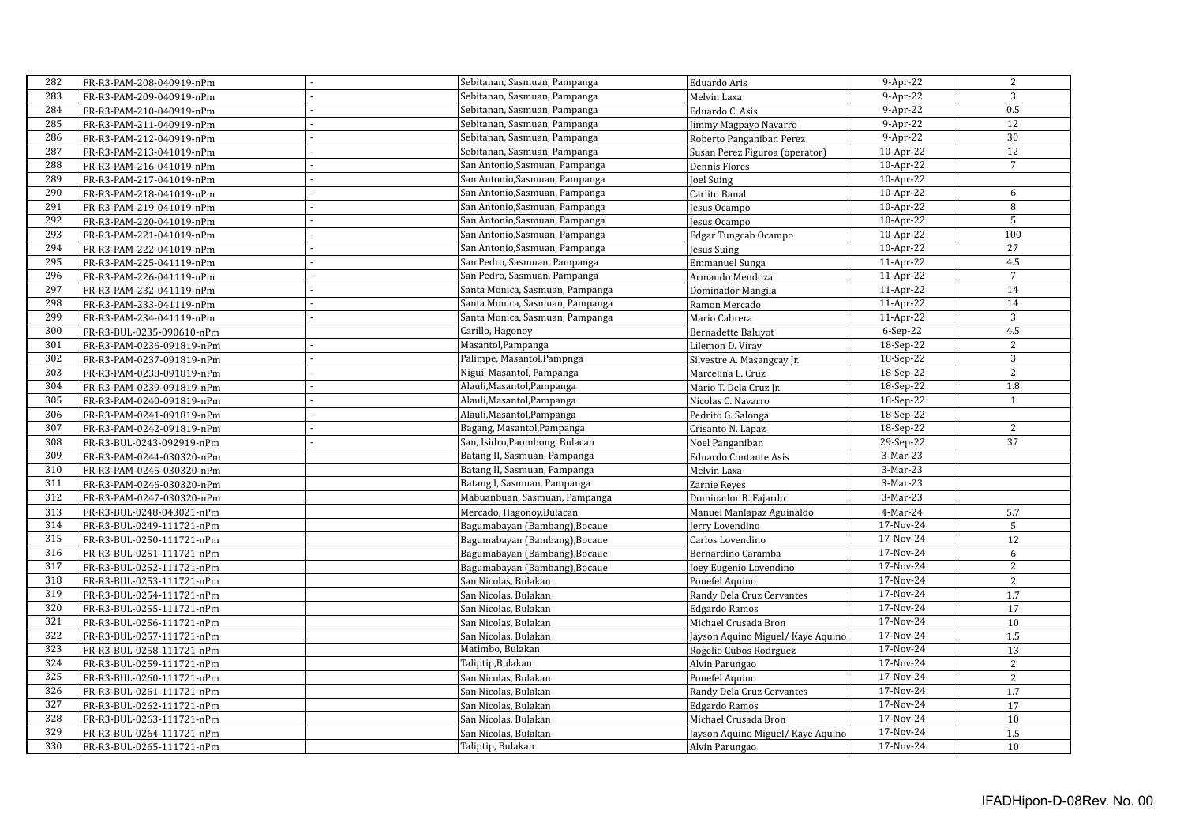| 282 | FR-R3-PAM-208-040919-nPm  | Sebitanan, Sasmuan, Pampanga    | Eduardo Aris                      | 9-Apr-22    | 2               |
|-----|---------------------------|---------------------------------|-----------------------------------|-------------|-----------------|
| 283 | FR-R3-PAM-209-040919-nPm  | Sebitanan, Sasmuan, Pampanga    | Melvin Laxa                       | $9$ -Apr-22 | 3               |
| 284 | FR-R3-PAM-210-040919-nPm  | Sebitanan, Sasmuan, Pampanga    | Eduardo C. Asis                   | $9-Apr-22$  | 0.5             |
| 285 | FR-R3-PAM-211-040919-nPm  | Sebitanan, Sasmuan, Pampanga    | Jimmy Magpayo Navarro             | $9-Apr-22$  | 12              |
| 286 | FR-R3-PAM-212-040919-nPm  | Sebitanan, Sasmuan, Pampanga    | Roberto Panganiban Perez          | $9-Apr-22$  | $\overline{30}$ |
| 287 | FR-R3-PAM-213-041019-nPm  | Sebitanan, Sasmuan, Pampanga    | Susan Perez Figuroa (operator)    | 10-Apr-22   | 12              |
| 288 | FR-R3-PAM-216-041019-nPm  | San Antonio, Sasmuan, Pampanga  | Dennis Flores                     | 10-Apr-22   | $\overline{7}$  |
| 289 | FR-R3-PAM-217-041019-nPm  | San Antonio, Sasmuan, Pampanga  | Joel Suing                        | 10-Apr-22   |                 |
| 290 | FR-R3-PAM-218-041019-nPm  | San Antonio, Sasmuan, Pampanga  | Carlito Banal                     | 10-Apr-22   | 6               |
| 291 | FR-R3-PAM-219-041019-nPm  | San Antonio, Sasmuan, Pampanga  | Jesus Ocampo                      | 10-Apr-22   | 8               |
| 292 | FR-R3-PAM-220-041019-nPm  | San Antonio, Sasmuan, Pampanga  | Jesus Ocampo                      | 10-Apr-22   | 5               |
| 293 | FR-R3-PAM-221-041019-nPm  | San Antonio, Sasmuan, Pampanga  | Edgar Tungcab Ocampo              | 10-Apr-22   | 100             |
| 294 | FR-R3-PAM-222-041019-nPm  | San Antonio, Sasmuan, Pampanga  | Jesus Suing                       | 10-Apr-22   | 27              |
| 295 | FR-R3-PAM-225-041119-nPm  | San Pedro, Sasmuan, Pampanga    | <b>Emmanuel Sunga</b>             | $11-Apr-22$ | 4.5             |
| 296 | FR-R3-PAM-226-041119-nPm  | San Pedro, Sasmuan, Pampanga    | Armando Mendoza                   | 11-Apr-22   | $\overline{7}$  |
| 297 | FR-R3-PAM-232-041119-nPm  | Santa Monica, Sasmuan, Pampanga | Dominador Mangila                 | 11-Apr-22   | 14              |
| 298 | FR-R3-PAM-233-041119-nPm  | Santa Monica, Sasmuan, Pampanga | Ramon Mercado                     | 11-Apr-22   | 14              |
| 299 | FR-R3-PAM-234-041119-nPm  | Santa Monica, Sasmuan, Pampanga | Mario Cabrera                     | 11-Apr-22   | $\overline{3}$  |
| 300 | FR-R3-BUL-0235-090610-nPm | Carillo, Hagonoy                | Bernadette Baluyot                | $6-Sep-22$  | 4.5             |
| 301 | FR-R3-PAM-0236-091819-nPm | Masantol, Pampanga              | Lilemon D. Viray                  | 18-Sep-22   | 2               |
| 302 | FR-R3-PAM-0237-091819-nPm | Palimpe, Masantol, Pampnga      | Silvestre A. Masangcay Jr.        | 18-Sep-22   | 3               |
| 303 | FR-R3-PAM-0238-091819-nPm | Nigui, Masantol, Pampanga       | Marcelina L. Cruz                 | 18-Sep-22   | 2               |
| 304 | FR-R3-PAM-0239-091819-nPm | Alauli, Masantol, Pampanga      | Mario T. Dela Cruz Jr.            | 18-Sep-22   | 1.8             |
| 305 | FR-R3-PAM-0240-091819-nPm | Alauli, Masantol, Pampanga      | Nicolas C. Navarro                | 18-Sep-22   | $\mathbf{1}$    |
| 306 | FR-R3-PAM-0241-091819-nPm | Alauli, Masantol, Pampanga      | Pedrito G. Salonga                | 18-Sep-22   |                 |
| 307 | FR-R3-PAM-0242-091819-nPm | Bagang, Masantol, Pampanga      | Crisanto N. Lapaz                 | 18-Sep-22   | 2               |
| 308 | FR-R3-BUL-0243-092919-nPm | San, Isidro, Paombong, Bulacan  | Noel Panganiban                   | 29-Sep-22   | 37              |
| 309 | FR-R3-PAM-0244-030320-nPm | Batang II, Sasmuan, Pampanga    | Eduardo Contante Asis             | 3-Mar-23    |                 |
| 310 | FR-R3-PAM-0245-030320-nPm | Batang II, Sasmuan, Pampanga    | Melvin Laxa                       | 3-Mar-23    |                 |
| 311 | FR-R3-PAM-0246-030320-nPm | Batang I, Sasmuan, Pampanga     | Zarnie Reyes                      | 3-Mar-23    |                 |
| 312 | FR-R3-PAM-0247-030320-nPm | Mabuanbuan, Sasmuan, Pampanga   | Dominador B. Fajardo              | $3-Mar-23$  |                 |
| 313 | FR-R3-BUL-0248-043021-nPm | Mercado, Hagonoy, Bulacan       | Manuel Manlapaz Aguinaldo         | 4-Mar-24    | 5.7             |
| 314 | FR-R3-BUL-0249-111721-nPm | Bagumabayan (Bambang), Bocaue   | Jerry Lovendino                   | 17-Nov-24   | $5\phantom{.0}$ |
| 315 | FR-R3-BUL-0250-111721-nPm | Bagumabayan (Bambang), Bocaue   | Carlos Lovendino                  | 17-Nov-24   | 12              |
| 316 | FR-R3-BUL-0251-111721-nPm | Bagumabayan (Bambang), Bocaue   | Bernardino Caramba                | 17-Nov-24   | 6               |
| 317 | FR-R3-BUL-0252-111721-nPm | Bagumabayan (Bambang), Bocaue   | Joey Eugenio Lovendino            | 17-Nov-24   | 2               |
| 318 | FR-R3-BUL-0253-111721-nPm | San Nicolas, Bulakan            | Ponefel Aquino                    | 17-Nov-24   | $\overline{2}$  |
| 319 | FR-R3-BUL-0254-111721-nPm | San Nicolas, Bulakan            | Randy Dela Cruz Cervantes         | 17-Nov-24   | 1.7             |
| 320 | FR-R3-BUL-0255-111721-nPm | San Nicolas, Bulakan            | <b>Edgardo Ramos</b>              | 17-Nov-24   | 17              |
| 321 | FR-R3-BUL-0256-111721-nPm | San Nicolas, Bulakan            | Michael Crusada Bron              | 17-Nov-24   | 10              |
| 322 | FR-R3-BUL-0257-111721-nPm | San Nicolas, Bulakan            | Jayson Aquino Miguel/ Kaye Aquino | 17-Nov-24   | $1.5\,$         |
| 323 | FR-R3-BUL-0258-111721-nPm | Matimbo, Bulakan                | Rogelio Cubos Rodrguez            | 17-Nov-24   | 13              |
| 324 | FR-R3-BUL-0259-111721-nPm | Taliptip, Bulakan               | Alvin Parungao                    | 17-Nov-24   | $\sqrt{2}$      |
| 325 | FR-R3-BUL-0260-111721-nPm | San Nicolas, Bulakan            | Ponefel Aquino                    | 17-Nov-24   | $\sqrt{2}$      |
| 326 | FR-R3-BUL-0261-111721-nPm | San Nicolas, Bulakan            | Randy Dela Cruz Cervantes         | 17-Nov-24   | 1.7             |
| 327 | FR-R3-BUL-0262-111721-nPm | San Nicolas, Bulakan            | <b>Edgardo Ramos</b>              | 17-Nov-24   | 17              |
| 328 | FR-R3-BUL-0263-111721-nPm | San Nicolas, Bulakan            | Michael Crusada Bron              | 17-Nov-24   | 10              |
| 329 | FR-R3-BUL-0264-111721-nPm | San Nicolas, Bulakan            | Jayson Aquino Miguel/ Kaye Aquino | 17-Nov-24   | $1.5\,$         |
| 330 | FR-R3-BUL-0265-111721-nPm | Taliptip, Bulakan               | Alvin Parungao                    | 17-Nov-24   | 10              |
|     |                           |                                 |                                   |             |                 |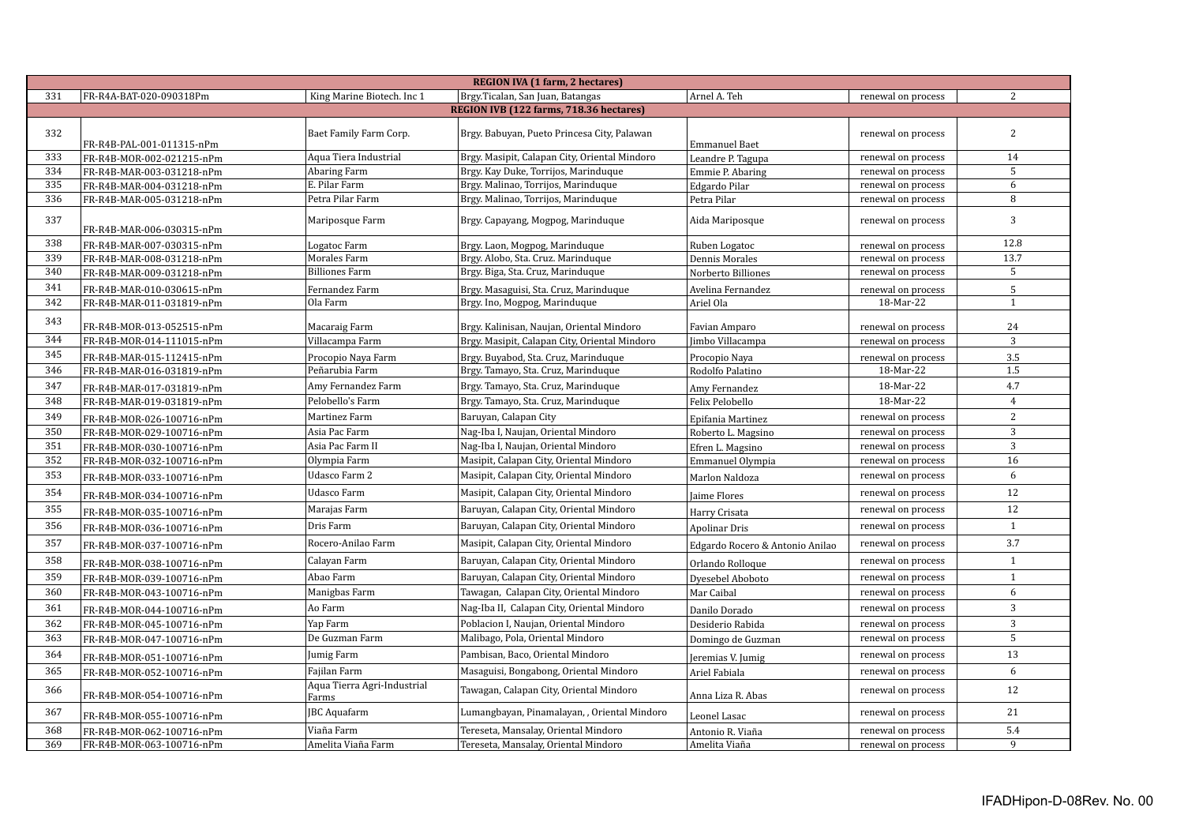|     | <b>REGION IVA (1 farm, 2 hectares)</b>  |                                      |                                               |                                 |                    |                |  |  |  |
|-----|-----------------------------------------|--------------------------------------|-----------------------------------------------|---------------------------------|--------------------|----------------|--|--|--|
| 331 | FR-R4A-BAT-020-090318Pm                 | King Marine Biotech. Inc 1           | Brgy.Ticalan, San Juan, Batangas              | Arnel A. Teh                    | renewal on process | 2              |  |  |  |
|     | REGION IVB (122 farms, 718.36 hectares) |                                      |                                               |                                 |                    |                |  |  |  |
| 332 | FR-R4B-PAL-001-011315-nPm               | Baet Family Farm Corp.               | Brgy. Babuyan, Pueto Princesa City, Palawan   | <b>Emmanuel Baet</b>            | renewal on process | 2              |  |  |  |
| 333 | FR-R4B-MOR-002-021215-nPm               | Aqua Tiera Industrial                | Brgy. Masipit, Calapan City, Oriental Mindoro | Leandre P. Tagupa               | renewal on process | 14             |  |  |  |
| 334 | FR-R4B-MAR-003-031218-nPm               | Abaring Farm                         | Brgy. Kay Duke, Torrijos, Marinduque          | Emmie P. Abaring                | renewal on process | 5              |  |  |  |
| 335 | FR-R4B-MAR-004-031218-nPm               | E. Pilar Farm                        | Brgy. Malinao, Torrijos, Marinduque           | Edgardo Pilar                   | renewal on process | 6              |  |  |  |
| 336 | FR-R4B-MAR-005-031218-nPm               | Petra Pilar Farm                     | Brgy. Malinao, Torrijos, Marinduque           | Petra Pilar                     | renewal on process | 8              |  |  |  |
| 337 | FR-R4B-MAR-006-030315-nPm               | Mariposque Farm                      | Brgy. Capayang, Mogpog, Marinduque            | Aida Mariposque                 | renewal on process | 3              |  |  |  |
| 338 | FR-R4B-MAR-007-030315-nPm               | Logatoc Farm                         | Brgy. Laon, Mogpog, Marinduque                | Ruben Logatoc                   | renewal on process | 12.8           |  |  |  |
| 339 | FR-R4B-MAR-008-031218-nPm               | Morales Farm                         | Brgy. Alobo, Sta. Cruz. Marinduque            | <b>Dennis Morales</b>           | renewal on process | 13.7           |  |  |  |
| 340 | FR-R4B-MAR-009-031218-nPm               | <b>Billiones Farm</b>                | Brgy. Biga, Sta. Cruz, Marinduque             | Norberto Billiones              | renewal on process | 5              |  |  |  |
| 341 | FR-R4B-MAR-010-030615-nPm               | Fernandez Farm                       | Brgy. Masaguisi, Sta. Cruz, Marinduque        | Avelina Fernandez               | renewal on process | 5              |  |  |  |
| 342 | FR-R4B-MAR-011-031819-nPm               | Ola Farm                             | Brgy. Ino, Mogpog, Marinduque                 | Ariel Ola                       | 18-Mar-22          | 1              |  |  |  |
| 343 | FR-R4B-MOR-013-052515-nPm               | Macaraig Farm                        | Brgy. Kalinisan, Naujan, Oriental Mindoro     | Favian Amparo                   | renewal on process | 24             |  |  |  |
| 344 | FR-R4B-MOR-014-111015-nPm               | Villacampa Farm                      | Brgy. Masipit, Calapan City, Oriental Mindoro | Jimbo Villacampa                | renewal on process | 3              |  |  |  |
| 345 | FR-R4B-MAR-015-112415-nPm               | Procopio Naya Farm                   | Brgy. Buyabod, Sta. Cruz, Marinduque          | Procopio Naya                   | renewal on process | 3.5            |  |  |  |
| 346 | FR-R4B-MAR-016-031819-nPm               | Peñarubia Farm                       | Brgy. Tamayo, Sta. Cruz, Marinduque           | Rodolfo Palatino                | 18-Mar-22          | 1.5            |  |  |  |
| 347 | FR-R4B-MAR-017-031819-nPm               | Amy Fernandez Farm                   | Brgy. Tamayo, Sta. Cruz, Marinduque           | Amy Fernandez                   | 18-Mar-22          | 4.7            |  |  |  |
| 348 | FR-R4B-MAR-019-031819-nPm               | Pelobello's Farm                     | Brgy. Tamayo, Sta. Cruz, Marinduque           | Felix Pelobello                 | 18-Mar-22          | $\overline{4}$ |  |  |  |
| 349 | FR-R4B-MOR-026-100716-nPm               | Martinez Farm                        | Baruyan, Calapan City                         | Epifania Martinez               | renewal on process | 2              |  |  |  |
| 350 | FR-R4B-MOR-029-100716-nPm               | Asia Pac Farm                        | Nag-Iba I, Naujan, Oriental Mindoro           | Roberto L. Magsino              | renewal on process | 3              |  |  |  |
| 351 | FR-R4B-MOR-030-100716-nPm               | Asia Pac Farm II                     | Nag-Iba I, Naujan, Oriental Mindoro           | Efren L. Magsino                | renewal on process | 3              |  |  |  |
| 352 | FR-R4B-MOR-032-100716-nPm               | Olympia Farm                         | Masipit, Calapan City, Oriental Mindoro       | Emmanuel Olympia                | renewal on process | 16             |  |  |  |
| 353 | FR-R4B-MOR-033-100716-nPm               | Udasco Farm 2                        | Masipit, Calapan City, Oriental Mindoro       | Marlon Naldoza                  | renewal on process | 6              |  |  |  |
| 354 | FR-R4B-MOR-034-100716-nPm               | <b>Udasco Farm</b>                   | Masipit, Calapan City, Oriental Mindoro       | Jaime Flores                    | renewal on process | 12             |  |  |  |
| 355 | FR-R4B-MOR-035-100716-nPm               | Marajas Farm                         | Baruyan, Calapan City, Oriental Mindoro       | Harry Crisata                   | renewal on process | 12             |  |  |  |
| 356 | FR-R4B-MOR-036-100716-nPm               | Dris Farm                            | Baruyan, Calapan City, Oriental Mindoro       | Apolinar Dris                   | renewal on process | $\mathbf{1}$   |  |  |  |
| 357 | FR-R4B-MOR-037-100716-nPm               | Rocero-Anilao Farm                   | Masipit, Calapan City, Oriental Mindoro       | Edgardo Rocero & Antonio Anilao | renewal on process | 3.7            |  |  |  |
| 358 | FR-R4B-MOR-038-100716-nPm               | Calayan Farm                         | Baruyan, Calapan City, Oriental Mindoro       | Orlando Rolloque                | renewal on process | $\mathbf{1}$   |  |  |  |
| 359 | FR-R4B-MOR-039-100716-nPm               | Abao Farm                            | Baruyan, Calapan City, Oriental Mindoro       | Dyesebel Aboboto                | renewal on process | $\mathbf{1}$   |  |  |  |
| 360 | FR-R4B-MOR-043-100716-nPm               | Manigbas Farm                        | Tawagan, Calapan City, Oriental Mindoro       | Mar Caibal                      | renewal on process | 6              |  |  |  |
| 361 | FR-R4B-MOR-044-100716-nPm               | Ao Farm                              | Nag-Iba II, Calapan City, Oriental Mindoro    | Danilo Dorado                   | renewal on process | $\mathbf{3}$   |  |  |  |
| 362 | FR-R4B-MOR-045-100716-nPm               | Yap Farm                             | Poblacion I, Naujan, Oriental Mindoro         | Desiderio Rabida                | renewal on process | 3              |  |  |  |
| 363 | FR-R4B-MOR-047-100716-nPm               | De Guzman Farm                       | Malibago, Pola, Oriental Mindoro              | Domingo de Guzman               | renewal on process | 5              |  |  |  |
| 364 | FR-R4B-MOR-051-100716-nPm               | Jumig Farm                           | Pambisan, Baco, Oriental Mindoro              | Jeremias V. Jumig               | renewal on process | 13             |  |  |  |
| 365 | FR-R4B-MOR-052-100716-nPm               | Fajilan Farm                         | Masaguisi, Bongabong, Oriental Mindoro        | Ariel Fabiala                   | renewal on process | 6              |  |  |  |
| 366 | FR-R4B-MOR-054-100716-nPm               | Aqua Tierra Agri-Industrial<br>Farms | Tawagan, Calapan City, Oriental Mindoro       | Anna Liza R. Abas               | renewal on process | 12             |  |  |  |
| 367 | FR-R4B-MOR-055-100716-nPm               | <b>JBC</b> Aquafarm                  | Lumangbayan, Pinamalayan, , Oriental Mindoro  | Leonel Lasac                    | renewal on process | 21             |  |  |  |
| 368 | FR-R4B-MOR-062-100716-nPm               | Viaña Farm                           | Tereseta, Mansalay, Oriental Mindoro          | Antonio R. Viaña                | renewal on process | 5.4            |  |  |  |
| 369 | FR-R4B-MOR-063-100716-nPm               | Amelita Viaña Farm                   | Tereseta, Mansalay, Oriental Mindoro          | Amelita Viaña                   | renewal on process | 9              |  |  |  |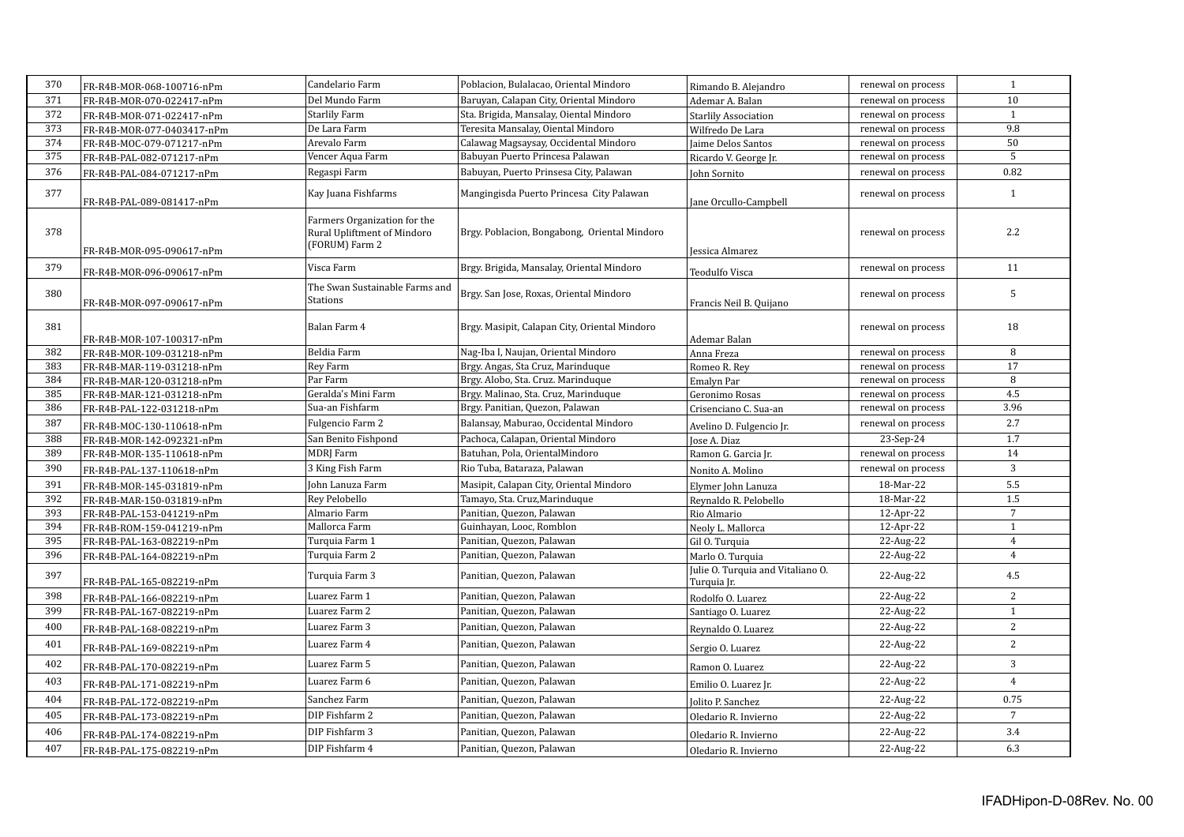| 370 | FR-R4B-MOR-068-100716-nPm  | Candelario Farm                                                               | Poblacion, Bulalacao, Oriental Mindoro        | Rimando B. Alejandro                             | renewal on process | $\mathbf{1}$    |
|-----|----------------------------|-------------------------------------------------------------------------------|-----------------------------------------------|--------------------------------------------------|--------------------|-----------------|
| 371 | FR-R4B-MOR-070-022417-nPm  | Del Mundo Farm                                                                | Baruyan, Calapan City, Oriental Mindoro       | Ademar A. Balan                                  | renewal on process | 10              |
| 372 | FR-R4B-MOR-071-022417-nPm  | <b>Starlily Farm</b>                                                          | Sta. Brigida, Mansalay, Oiental Mindoro       | <b>Starlily Association</b>                      | renewal on process | $\mathbf{1}$    |
| 373 | FR-R4B-MOR-077-0403417-nPm | De Lara Farm                                                                  | Teresita Mansalay, Oiental Mindoro            | Wilfredo De Lara                                 | renewal on process | 9.8             |
| 374 | FR-R4B-MOC-079-071217-nPm  | Arevalo Farm                                                                  | Calawag Magsaysay, Occidental Mindoro         | Jaime Delos Santos                               | renewal on process | 50              |
| 375 | FR-R4B-PAL-082-071217-nPm  | Vencer Aqua Farm                                                              | Babuyan Puerto Princesa Palawan               | Ricardo V. George Jr.                            | renewal on process | 5               |
| 376 | FR-R4B-PAL-084-071217-nPm  | Regaspi Farm                                                                  | Babuyan, Puerto Prinsesa City, Palawan        | John Sornito                                     | renewal on process | 0.82            |
| 377 | FR-R4B-PAL-089-081417-nPm  | Kay Juana Fishfarms                                                           | Mangingisda Puerto Princesa City Palawan      | Jane Orcullo-Campbell                            | renewal on process | 1               |
| 378 | FR-R4B-MOR-095-090617-nPm  | Farmers Organization for the<br>Rural Upliftment of Mindoro<br>(FORUM) Farm 2 | Brgy. Poblacion, Bongabong, Oriental Mindoro  | Jessica Almarez                                  | renewal on process | 2.2             |
| 379 | FR-R4B-MOR-096-090617-nPm  | Visca Farm                                                                    | Brgy. Brigida, Mansalay, Oriental Mindoro     | Teodulfo Visca                                   | renewal on process | 11              |
| 380 | FR-R4B-MOR-097-090617-nPm  | The Swan Sustainable Farms and<br><b>Stations</b>                             | Brgy. San Jose, Roxas, Oriental Mindoro       | Francis Neil B. Quijano                          | renewal on process | 5               |
| 381 | FR-R4B-MOR-107-100317-nPm  | Balan Farm 4                                                                  | Brgy. Masipit, Calapan City, Oriental Mindoro | Ademar Balan                                     | renewal on process | 18              |
| 382 | FR-R4B-MOR-109-031218-nPm  | Beldia Farm                                                                   | Nag-Iba I, Naujan, Oriental Mindoro           | Anna Freza                                       | renewal on process | 8               |
| 383 | FR-R4B-MAR-119-031218-nPm  | Rey Farm                                                                      | Brgy. Angas, Sta Cruz, Marinduque             | Romeo R. Rey                                     | renewal on process | 17              |
| 384 | FR-R4B-MAR-120-031218-nPm  | Par Farm                                                                      | Brgy. Alobo, Sta. Cruz. Marinduque            | Emalyn Par                                       | renewal on process | 8               |
| 385 | FR-R4B-MAR-121-031218-nPm  | Geralda's Mini Farm                                                           | Brgy. Malinao, Sta. Cruz, Marinduque          | Geronimo Rosas                                   | renewal on process | 4.5             |
| 386 | FR-R4B-PAL-122-031218-nPm  | Sua-an Fishfarm                                                               | Brgy. Panitian, Quezon, Palawan               | Crisenciano C. Sua-an                            | renewal on process | 3.96            |
| 387 | FR-R4B-MOC-130-110618-nPm  | Fulgencio Farm 2                                                              | Balansay, Maburao, Occidental Mindoro         | Avelino D. Fulgencio Jr.                         | renewal on process | 2.7             |
| 388 | FR-R4B-MOR-142-092321-nPm  | San Benito Fishpond                                                           | Pachoca, Calapan, Oriental Mindoro            | Jose A. Diaz                                     | 23-Sep-24          | 1.7             |
| 389 | FR-R4B-MOR-135-110618-nPm  | MDRJ Farm                                                                     | Batuhan, Pola, OrientalMindoro                | Ramon G. Garcia Jr.                              | renewal on process | 14              |
| 390 | FR-R4B-PAL-137-110618-nPm  | 3 King Fish Farm                                                              | Rio Tuba, Bataraza, Palawan                   | Nonito A. Molino                                 | renewal on process | 3               |
| 391 | FR-R4B-MOR-145-031819-nPm  | John Lanuza Farm                                                              | Masipit, Calapan City, Oriental Mindoro       | Elymer John Lanuza                               | 18-Mar-22          | 5.5             |
| 392 | FR-R4B-MAR-150-031819-nPm  | Rey Pelobello                                                                 | Tamayo, Sta. Cruz, Marinduque                 | Reynaldo R. Pelobello                            | 18-Mar-22          | 1.5             |
| 393 | FR-R4B-PAL-153-041219-nPm  | Almario Farm                                                                  | Panitian, Quezon, Palawan                     | Rio Almario                                      | 12-Apr-22          | $7\overline{ }$ |
| 394 | FR-R4B-ROM-159-041219-nPm  | Mallorca Farm                                                                 | Guinhayan, Looc, Romblon                      | Neoly L. Mallorca                                | 12-Apr-22          | 1               |
| 395 | FR-R4B-PAL-163-082219-nPm  | Turquia Farm 1                                                                | Panitian, Quezon, Palawan                     | Gil O. Turquia                                   | 22-Aug-22          | $\overline{4}$  |
| 396 | FR-R4B-PAL-164-082219-nPm  | Turquia Farm 2                                                                | Panitian, Quezon, Palawan                     | Marlo O. Turquia                                 | 22-Aug-22          | $\overline{4}$  |
| 397 | FR-R4B-PAL-165-082219-nPm  | Turquia Farm 3                                                                | Panitian, Quezon, Palawan                     | Julie O. Turquia and Vitaliano O.<br>Turquia Jr. | 22-Aug-22          | 4.5             |
| 398 | FR-R4B-PAL-166-082219-nPm  | Luarez Farm 1                                                                 | Panitian, Quezon, Palawan                     | Rodolfo O. Luarez                                | 22-Aug-22          | 2               |
| 399 | FR-R4B-PAL-167-082219-nPm  | Luarez Farm 2                                                                 | Panitian, Quezon, Palawan                     | Santiago O. Luarez                               | 22-Aug-22          | $\mathbf{1}$    |
| 400 | FR-R4B-PAL-168-082219-nPm  | Luarez Farm 3                                                                 | Panitian, Quezon, Palawan                     | Reynaldo O. Luarez                               | 22-Aug-22          | 2               |
| 401 | FR-R4B-PAL-169-082219-nPm  | Luarez Farm 4                                                                 | Panitian, Quezon, Palawan                     | Sergio O. Luarez                                 | 22-Aug-22          | 2               |
| 402 | FR-R4B-PAL-170-082219-nPm  | Luarez Farm 5                                                                 | Panitian, Quezon, Palawan                     | Ramon O. Luarez                                  | 22-Aug-22          | 3               |
| 403 | FR-R4B-PAL-171-082219-nPm  | Luarez Farm 6                                                                 | Panitian, Quezon, Palawan                     | Emilio O. Luarez Jr.                             | 22-Aug-22          | $\overline{4}$  |
| 404 | FR-R4B-PAL-172-082219-nPm  | Sanchez Farm                                                                  | Panitian, Quezon, Palawan                     | Jolito P. Sanchez                                | 22-Aug-22          | 0.75            |
| 405 | FR-R4B-PAL-173-082219-nPm  | DIP Fishfarm 2                                                                | Panitian, Quezon, Palawan                     | Oledario R. Invierno                             | 22-Aug-22          | $7\overline{ }$ |
| 406 | FR-R4B-PAL-174-082219-nPm  | DIP Fishfarm 3                                                                | Panitian, Quezon, Palawan                     | Oledario R. Invierno                             | 22-Aug-22          | 3.4             |
| 407 | FR-R4B-PAL-175-082219-nPm  | DIP Fishfarm 4                                                                | Panitian, Quezon, Palawan                     | Oledario R. Invierno                             | 22-Aug-22          | 6.3             |
|     |                            |                                                                               |                                               |                                                  |                    |                 |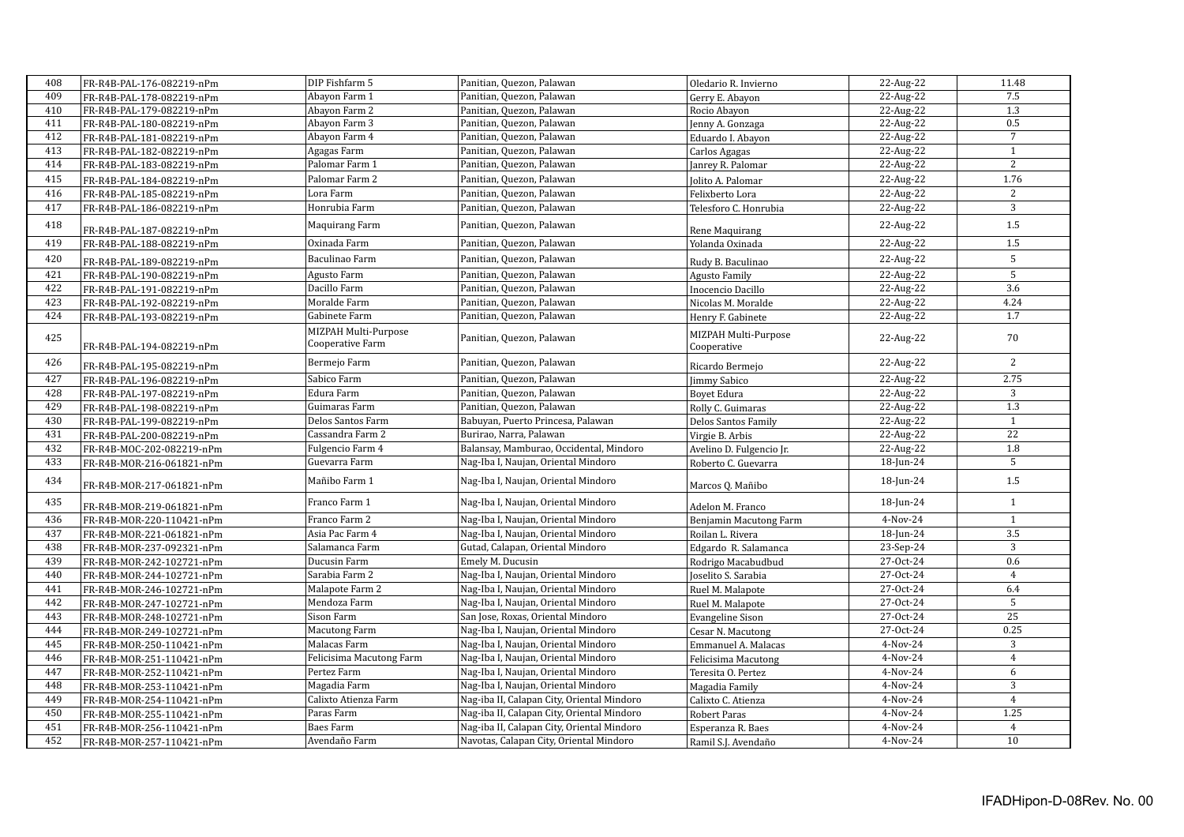| 408 | FR-R4B-PAL-176-082219-nPm | DIP Fishfarm 5                           | Panitian, Quezon, Palawan                  | Oledario R. Invierno                | 22-Aug-22  | 11.48            |
|-----|---------------------------|------------------------------------------|--------------------------------------------|-------------------------------------|------------|------------------|
| 409 | FR-R4B-PAL-178-082219-nPm | Abayon Farm 1                            | Panitian, Quezon, Palawan                  | Gerry E. Abayon                     | 22-Aug-22  | 7.5              |
| 410 | FR-R4B-PAL-179-082219-nPm | Abayon Farm 2                            | Panitian, Quezon, Palawan                  | Rocio Abayon                        | 22-Aug-22  | 1.3              |
| 411 | FR-R4B-PAL-180-082219-nPm | Abayon Farm 3                            | Panitian, Quezon, Palawan                  | Jenny A. Gonzaga                    | 22-Aug-22  | 0.5              |
| 412 | FR-R4B-PAL-181-082219-nPm | Abayon Farm 4                            | Panitian, Quezon, Palawan                  | Eduardo I. Abayon                   | 22-Aug-22  | $\overline{7}$   |
| 413 | FR-R4B-PAL-182-082219-nPm | Agagas Farm                              | Panitian, Quezon, Palawan                  | Carlos Agagas                       | 22-Aug-22  | $\mathbf{1}$     |
| 414 | FR-R4B-PAL-183-082219-nPm | Palomar Farm 1                           | Panitian, Quezon, Palawan                  | Janrey R. Palomar                   | 22-Aug-22  | 2                |
| 415 | FR-R4B-PAL-184-082219-nPm | Palomar Farm 2                           | Panitian, Quezon, Palawan                  | Jolito A. Palomar                   | 22-Aug-22  | 1.76             |
| 416 | FR-R4B-PAL-185-082219-nPm | Lora Farm                                | Panitian, Quezon, Palawan                  | Felixberto Lora                     | 22-Aug-22  | 2                |
| 417 | FR-R4B-PAL-186-082219-nPm | Honrubia Farm                            | Panitian, Quezon, Palawan                  | Telesforo C. Honrubia               | 22-Aug-22  | $\overline{3}$   |
| 418 | FR-R4B-PAL-187-082219-nPm | Maquirang Farm                           | Panitian, Quezon, Palawan                  | Rene Maquirang                      | 22-Aug-22  | 1.5              |
| 419 | FR-R4B-PAL-188-082219-nPm | Oxinada Farm                             | Panitian, Quezon, Palawan                  | Yolanda Oxinada                     | 22-Aug-22  | 1.5              |
| 420 | FR-R4B-PAL-189-082219-nPm | Baculinao Farm                           | Panitian, Quezon, Palawan                  | Rudy B. Baculinao                   | 22-Aug-22  | 5                |
| 421 | FR-R4B-PAL-190-082219-nPm | Agusto Farm                              | Panitian, Quezon, Palawan                  | Agusto Family                       | 22-Aug-22  | 5                |
| 422 | FR-R4B-PAL-191-082219-nPm | Dacillo Farm                             | Panitian, Quezon, Palawan                  | Inocencio Dacillo                   | 22-Aug-22  | 3.6              |
| 423 | FR-R4B-PAL-192-082219-nPm | Moralde Farm                             | Panitian, Quezon, Palawan                  | Nicolas M. Moralde                  | 22-Aug-22  | 4.24             |
| 424 | FR-R4B-PAL-193-082219-nPm | Gabinete Farm                            | Panitian, Quezon, Palawan                  | Henry F. Gabinete                   | 22-Aug-22  | 1.7              |
| 425 | FR-R4B-PAL-194-082219-nPm | MIZPAH Multi-Purpose<br>Cooperative Farm | Panitian, Quezon, Palawan                  | MIZPAH Multi-Purpose<br>Cooperative | 22-Aug-22  | 70               |
| 426 | FR-R4B-PAL-195-082219-nPm | Bermejo Farm                             | Panitian, Quezon, Palawan                  | Ricardo Bermejo                     | 22-Aug-22  | $\overline{2}$   |
| 427 | FR-R4B-PAL-196-082219-nPm | Sabico Farm                              | Panitian, Quezon, Palawan                  | Jimmy Sabico                        | 22-Aug-22  | 2.75             |
| 428 | FR-R4B-PAL-197-082219-nPm | Edura Farm                               | Panitian, Quezon, Palawan                  | <b>Boyet Edura</b>                  | 22-Aug-22  | 3                |
| 429 | FR-R4B-PAL-198-082219-nPm | Guimaras Farm                            | Panitian, Quezon, Palawan                  | Rolly C. Guimaras                   | 22-Aug-22  | 1.3              |
| 430 | FR-R4B-PAL-199-082219-nPm | Delos Santos Farm                        | Babuyan, Puerto Princesa, Palawan          | Delos Santos Family                 | 22-Aug-22  | $\mathbf{1}$     |
| 431 | FR-R4B-PAL-200-082219-nPm | Cassandra Farm 2                         | Burirao, Narra, Palawan                    | Virgie B. Arbis                     | 22-Aug-22  | 22               |
| 432 | FR-R4B-MOC-202-082219-nPm | Fulgencio Farm 4                         | Balansay, Mamburao, Occidental, Mindoro    | Avelino D. Fulgencio Jr.            | 22-Aug-22  | 1.8              |
| 433 | FR-R4B-MOR-216-061821-nPm | Guevarra Farm                            | Nag-Iba I, Naujan, Oriental Mindoro        | Roberto C. Guevarra                 | 18-Jun-24  | 5                |
| 434 | FR-R4B-MOR-217-061821-nPm | Mañibo Farm 1                            | Nag-Iba I, Naujan, Oriental Mindoro        | Marcos Q. Mañibo                    | 18-Jun-24  | $1.5\,$          |
| 435 | FR-R4B-MOR-219-061821-nPm | Franco Farm 1                            | Nag-Iba I, Naujan, Oriental Mindoro        | Adelon M. Franco                    | 18-Jun-24  | $\mathbf{1}$     |
| 436 | FR-R4B-MOR-220-110421-nPm | Franco Farm 2                            | Nag-Iba I, Naujan, Oriental Mindoro        | Benjamin Macutong Farm              | $4-Nov-24$ | $\mathbf{1}$     |
| 437 | FR-R4B-MOR-221-061821-nPm | Asia Pac Farm 4                          | Nag-Iba I, Naujan, Oriental Mindoro        | Roilan L. Rivera                    | 18-Jun-24  | $\overline{3.5}$ |
| 438 | FR-R4B-MOR-237-092321-nPm | Salamanca Farm                           | Gutad, Calapan, Oriental Mindoro           | Edgardo R. Salamanca                | 23-Sep-24  | 3                |
| 439 | FR-R4B-MOR-242-102721-nPm | Ducusin Farm                             | Emely M. Ducusin                           | Rodrigo Macabudbud                  | 27-Oct-24  | 0.6              |
| 440 | FR-R4B-MOR-244-102721-nPm | Sarabia Farm 2                           | Nag-Iba I, Naujan, Oriental Mindoro        | Joselito S. Sarabia                 | 27-Oct-24  | $\overline{4}$   |
| 441 | FR-R4B-MOR-246-102721-nPm | Malapote Farm 2                          | Nag-Iba I, Naujan, Oriental Mindoro        | Ruel M. Malapote                    | 27-Oct-24  | 6.4              |
| 442 | FR-R4B-MOR-247-102721-nPm | Mendoza Farm                             | Nag-Iba I, Naujan, Oriental Mindoro        | Ruel M. Malapote                    | 27-Oct-24  | 5                |
| 443 | FR-R4B-MOR-248-102721-nPm | Sison Farm                               | San Jose, Roxas, Oriental Mindoro          | <b>Evangeline Sison</b>             | 27-Oct-24  | 25               |
| 444 | FR-R4B-MOR-249-102721-nPm | <b>Macutong Farm</b>                     | Nag-Iba I, Naujan, Oriental Mindoro        | Cesar N. Macutong                   | 27-Oct-24  | 0.25             |
| 445 | FR-R4B-MOR-250-110421-nPm | Malacas Farm                             | Nag-Iba I, Naujan, Oriental Mindoro        | Emmanuel A. Malacas                 | 4-Nov-24   | 3                |
| 446 | FR-R4B-MOR-251-110421-nPm | Felicisima Macutong Farm                 | Nag-Iba I, Naujan, Oriental Mindoro        | Felicisima Macutong                 | 4-Nov-24   | $\overline{4}$   |
| 447 | FR-R4B-MOR-252-110421-nPm | Pertez Farm                              | Nag-Iba I, Naujan, Oriental Mindoro        | Teresita O. Pertez                  | 4-Nov-24   | 6                |
| 448 | FR-R4B-MOR-253-110421-nPm | Magadia Farm                             | Nag-Iba I, Naujan, Oriental Mindoro        | Magadia Family                      | 4-Nov-24   | 3                |
| 449 | FR-R4B-MOR-254-110421-nPm | Calixto Atienza Farm                     | Nag-iba II, Calapan City, Oriental Mindoro | Calixto C. Atienza                  | 4-Nov-24   | $\overline{4}$   |
| 450 | FR-R4B-MOR-255-110421-nPm | Paras Farm                               | Nag-iba II, Calapan City, Oriental Mindoro | Robert Paras                        | 4-Nov-24   | 1.25             |
| 451 | FR-R4B-MOR-256-110421-nPm | <b>Baes Farm</b>                         | Nag-iba II, Calapan City, Oriental Mindoro | Esperanza R. Baes                   | $4-Nov-24$ | $\overline{4}$   |
| 452 | FR-R4B-MOR-257-110421-nPm | Avendaño Farm                            | Navotas, Calapan City, Oriental Mindoro    | Ramil S.J. Avendaño                 | 4-Nov-24   | 10               |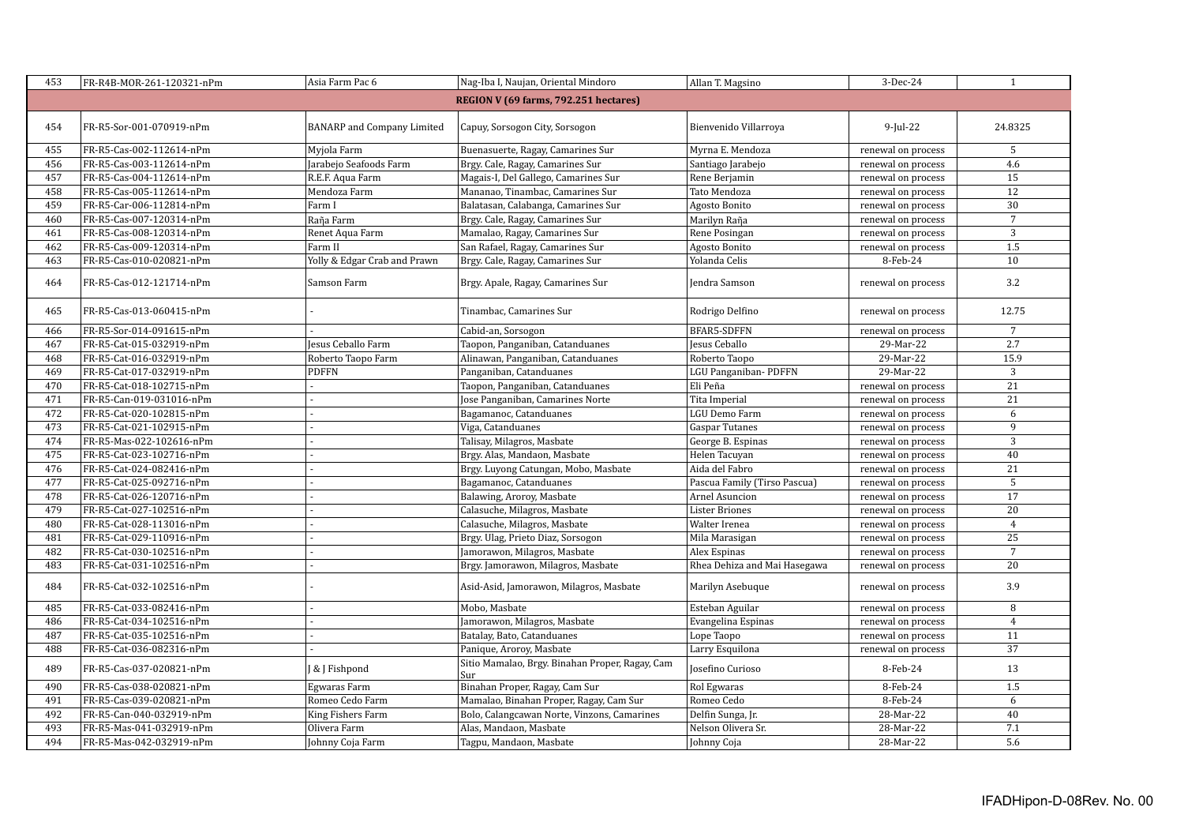| 453 | FR-R4B-MOR-261-120321-nPm | Asia Farm Pac 6                   | Nag-Iba I, Naujan, Oriental Mindoro                    | Allan T. Magsino             | 3-Dec-24           | $\mathbf{1}$         |
|-----|---------------------------|-----------------------------------|--------------------------------------------------------|------------------------------|--------------------|----------------------|
|     |                           |                                   | REGION V (69 farms, 792.251 hectares)                  |                              |                    |                      |
| 454 | FR-R5-Sor-001-070919-nPm  | <b>BANARP</b> and Company Limited | Capuy, Sorsogon City, Sorsogon                         | Bienvenido Villarroya        | $9$ -Jul-22        | 24.8325              |
| 455 | FR-R5-Cas-002-112614-nPm  | Myjola Farm                       | Buenasuerte, Ragay, Camarines Sur                      | Myrna E. Mendoza             | renewal on process | 5                    |
| 456 | FR-R5-Cas-003-112614-nPm  | Jarabejo Seafoods Farm            | Brgy. Cale, Ragay, Camarines Sur                       | Santiago Jarabejo            | renewal on process | 4.6                  |
| 457 | FR-R5-Cas-004-112614-nPm  | R.E.F. Aqua Farm                  | Magais-I, Del Gallego, Camarines Sur                   | Rene Berjamin                | renewal on process | 15                   |
| 458 | FR-R5-Cas-005-112614-nPm  | Mendoza Farm                      | Mananao, Tinambac, Camarines Sur                       | Tato Mendoza                 | renewal on process | 12                   |
| 459 | FR-R5-Car-006-112814-nPm  | Farm I                            | Balatasan, Calabanga, Camarines Sur                    | Agosto Bonito                | renewal on process | 30                   |
| 460 | FR-R5-Cas-007-120314-nPm  | Raña Farm                         | Brgy. Cale, Ragay, Camarines Sur                       | Marilyn Raña                 | renewal on process | $\overline{7}$       |
| 461 | FR-R5-Cas-008-120314-nPm  | Renet Aqua Farm                   | Mamalao, Ragay, Camarines Sur                          | Rene Posingan                | renewal on process | $\overline{3}$       |
| 462 | FR-R5-Cas-009-120314-nPm  | Farm II                           | San Rafael, Ragay, Camarines Sur                       | Agosto Bonito                | renewal on process | 1.5                  |
| 463 | FR-R5-Cas-010-020821-nPm  | Yolly & Edgar Crab and Prawn      | Brgy. Cale, Ragay, Camarines Sur                       | Yolanda Celis                | 8-Feb-24           | 10                   |
| 464 | FR-R5-Cas-012-121714-nPm  | Samson Farm                       | Brgy. Apale, Ragay, Camarines Sur                      | Jendra Samson                | renewal on process | 3.2                  |
| 465 | FR-R5-Cas-013-060415-nPm  |                                   | Tinambac, Camarines Sur                                | Rodrigo Delfino              | renewal on process | 12.75                |
| 466 | FR-R5-Sor-014-091615-nPm  |                                   | Cabid-an, Sorsogon                                     | <b>BFAR5-SDFFN</b>           | renewal on process | $7\overline{ }$      |
| 467 | FR-R5-Cat-015-032919-nPm  | Jesus Ceballo Farm                | Taopon, Panganiban, Catanduanes                        | Jesus Ceballo                | 29-Mar-22          | 2.7                  |
| 468 | FR-R5-Cat-016-032919-nPm  | Roberto Taopo Farm                | Alinawan, Panganiban, Catanduanes                      | Roberto Taopo                | 29-Mar-22          | 15.9                 |
| 469 | FR-R5-Cat-017-032919-nPm  | PDFFN                             | Panganiban, Catanduanes                                | LGU Panganiban-PDFFN         | 29-Mar-22          | $\mathbf{3}$         |
| 470 | FR-R5-Cat-018-102715-nPm  |                                   | Taopon, Panganiban, Catanduanes                        | Eli Peña                     | renewal on process | $\overline{21}$      |
| 471 | FR-R5-Can-019-031016-nPm  |                                   | Jose Panganiban, Camarines Norte                       | Tita Imperial                | renewal on process | 21                   |
| 472 | FR-R5-Cat-020-102815-nPm  |                                   | Bagamanoc, Catanduanes                                 | LGU Demo Farm                | renewal on process | 6                    |
| 473 | FR-R5-Cat-021-102915-nPm  |                                   | Viga, Catanduanes                                      | <b>Gaspar Tutanes</b>        | renewal on process | 9                    |
| 474 | FR-R5-Mas-022-102616-nPm  |                                   | Talisay, Milagros, Masbate                             | George B. Espinas            | renewal on process | 3                    |
| 475 | FR-R5-Cat-023-102716-nPm  |                                   | Brgy. Alas, Mandaon, Masbate                           | Helen Tacuyan                | renewal on process | 40                   |
| 476 | FR-R5-Cat-024-082416-nPm  |                                   | Brgy. Luyong Catungan, Mobo, Masbate                   | Aida del Fabro               | renewal on process | 21                   |
| 477 | FR-R5-Cat-025-092716-nPm  |                                   | Bagamanoc, Catanduanes                                 | Pascua Family (Tirso Pascua) | renewal on process | 5                    |
| 478 | FR-R5-Cat-026-120716-nPm  |                                   | Balawing, Aroroy, Masbate                              | Arnel Asuncion               | renewal on process | 17                   |
| 479 | FR-R5-Cat-027-102516-nPm  |                                   | Calasuche, Milagros, Masbate                           | <b>Lister Briones</b>        | renewal on process | 20                   |
| 480 | FR-R5-Cat-028-113016-nPm  |                                   | Calasuche, Milagros, Masbate                           | Walter Irenea                | renewal on process | $\overline{4}$       |
| 481 | FR-R5-Cat-029-110916-nPm  |                                   | Brgy. Ulag, Prieto Diaz, Sorsogon                      | Mila Marasigan               | renewal on process | 25<br>$\overline{7}$ |
| 482 | FR-R5-Cat-030-102516-nPm  |                                   | Jamorawon, Milagros, Masbate                           | Alex Espinas                 | renewal on process |                      |
| 483 | FR-R5-Cat-031-102516-nPm  |                                   | Brgy. Jamorawon, Milagros, Masbate                     | Rhea Dehiza and Mai Hasegawa | renewal on process | 20                   |
| 484 | FR-R5-Cat-032-102516-nPm  |                                   | Asid-Asid, Jamorawon, Milagros, Masbate                | Marilyn Asebuque             | renewal on process | 3.9                  |
| 485 | FR-R5-Cat-033-082416-nPm  |                                   | Mobo, Masbate                                          | Esteban Aguilar              | renewal on process | 8                    |
| 486 | FR-R5-Cat-034-102516-nPm  |                                   | Jamorawon, Milagros, Masbate                           | Evangelina Espinas           | renewal on process | $\overline{4}$       |
| 487 | FR-R5-Cat-035-102516-nPm  |                                   | Batalay, Bato, Catanduanes                             | Lope Taopo                   | renewal on process | 11                   |
| 488 | FR-R5-Cat-036-082316-nPm  |                                   | Panique, Aroroy, Masbate                               | Larry Esquilona              | renewal on process | 37                   |
| 489 | FR-R5-Cas-037-020821-nPm  | <b>&amp; J Fishpond</b>           | Sitio Mamalao, Brgy. Binahan Proper, Ragay, Cam<br>Sur | Josefino Curioso             | 8-Feb-24           | 13                   |
| 490 | FR-R5-Cas-038-020821-nPm  | Egwaras Farm                      | Binahan Proper, Ragay, Cam Sur                         | Rol Egwaras                  | 8-Feb-24           | 1.5                  |
| 491 | FR-R5-Cas-039-020821-nPm  | Romeo Cedo Farm                   | Mamalao, Binahan Proper, Ragay, Cam Sur                | Romeo Cedo                   | 8-Feb-24           | 6                    |
| 492 | FR-R5-Can-040-032919-nPm  | King Fishers Farm                 | Bolo, Calangcawan Norte, Vinzons, Camarines            | Delfin Sunga, Jr.            | 28-Mar-22          | 40                   |
| 493 | FR-R5-Mas-041-032919-nPm  | Olivera Farm                      | Alas, Mandaon, Masbate                                 | Nelson Olivera Sr.           | 28-Mar-22          | 7.1                  |
| 494 | FR-R5-Mas-042-032919-nPm  | Johnny Coja Farm                  | Tagpu, Mandaon, Masbate                                | Johnny Coja                  | 28-Mar-22          | $\overline{5.6}$     |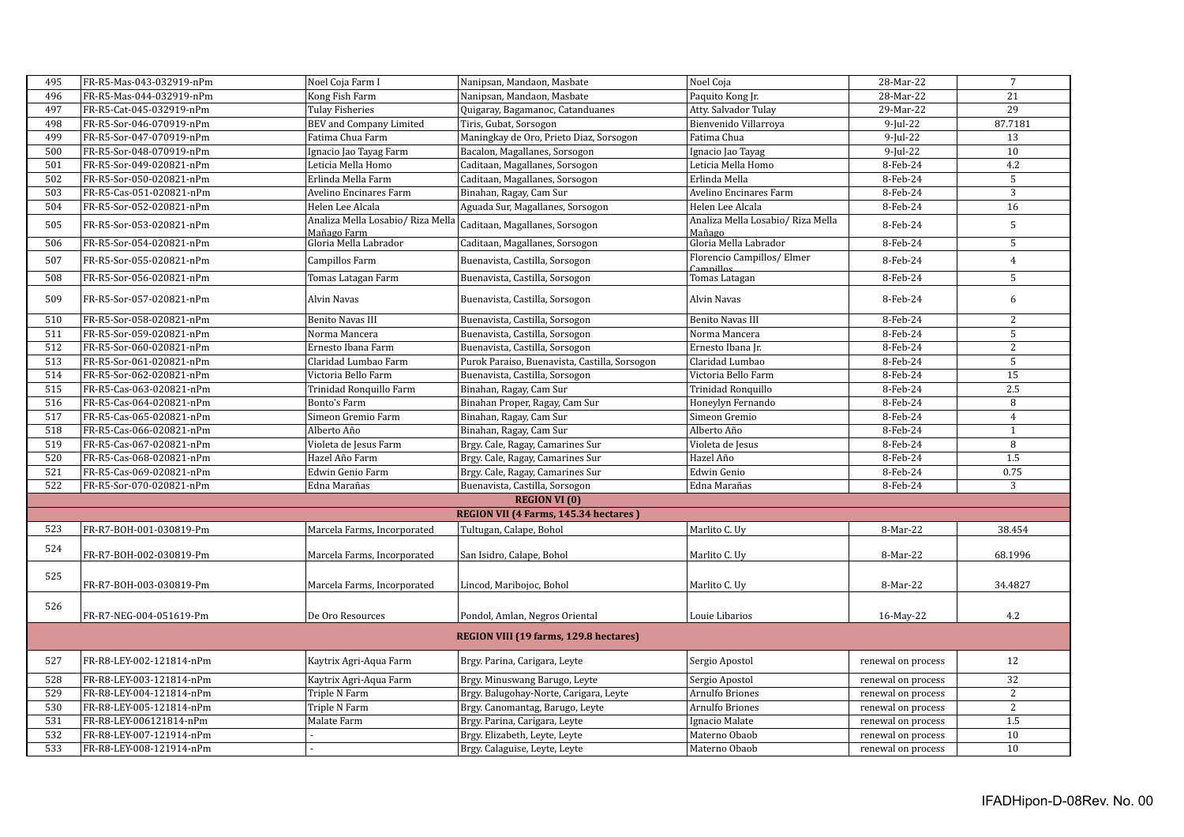| 495 | FR-R5-Mas-043-032919-nPm | Noel Coja Farm I                                 | Nanipsan, Mandaon, Masbate                    | Noel Coja                                   | 28-Mar-22          | $7\phantom{.0}$ |
|-----|--------------------------|--------------------------------------------------|-----------------------------------------------|---------------------------------------------|--------------------|-----------------|
| 496 | FR-R5-Mas-044-032919-nPm | Kong Fish Farm                                   | Nanipsan, Mandaon, Masbate                    | Paquito Kong Jr.                            | 28-Mar-22          | 21              |
| 497 | FR-R5-Cat-045-032919-nPm | <b>Tulay Fisheries</b>                           | Quigaray, Bagamanoc, Catanduanes              | Atty. Salvador Tulay                        | 29-Mar-22          | 29              |
| 498 | FR-R5-Sor-046-070919-nPm | BEV and Company Limited                          | Tiris, Gubat, Sorsogon                        | Bienvenido Villarroya                       | $9$ -Jul-22        | 87.7181         |
| 499 | FR-R5-Sor-047-070919-nPm | Fatima Chua Farm                                 | Maningkay de Oro, Prieto Diaz, Sorsogon       | Fatima Chua                                 | $9$ -Jul-22        | 13              |
| 500 | FR-R5-Sor-048-070919-nPm | Ignacio Jao Tayag Farm                           | Bacalon, Magallanes, Sorsogon                 | Ignacio Jao Tayag                           | $9$ -Jul-22        | 10              |
| 501 | FR-R5-Sor-049-020821-nPm | Leticia Mella Homo                               | Caditaan, Magallanes, Sorsogon                | Leticia Mella Homo                          | 8-Feb-24           | 4.2             |
| 502 | FR-R5-Sor-050-020821-nPm | Erlinda Mella Farm                               | Caditaan, Magallanes, Sorsogon                | Erlinda Mella                               | 8-Feb-24           | $\overline{5}$  |
| 503 | FR-R5-Cas-051-020821-nPm | Avelino Encinares Farm                           | Binahan, Ragay, Cam Sur                       | Avelino Encinares Farm                      | 8-Feb-24           | $\mathbf{3}$    |
| 504 | FR-R5-Sor-052-020821-nPm | Helen Lee Alcala                                 | Aguada Sur, Magallanes, Sorsogon              | Helen Lee Alcala                            | 8-Feb-24           | 16              |
| 505 | FR-R5-Sor-053-020821-nPm | Analiza Mella Losabio/ Riza Mella<br>Mañago Farm | Caditaan, Magallanes, Sorsogon                | Analiza Mella Losabio/ Riza Mella<br>Mañago | 8-Feb-24           | $\sqrt{5}$      |
| 506 | FR-R5-Sor-054-020821-nPm | Gloria Mella Labrador                            | Caditaan, Magallanes, Sorsogon                | Gloria Mella Labrador                       | 8-Feb-24           | 5               |
| 507 | FR-R5-Sor-055-020821-nPm | Campillos Farm                                   | Buenavista, Castilla, Sorsogon                | Florencio Campillos/ Elmer<br>Campillos     | 8-Feb-24           | $\overline{4}$  |
| 508 | FR-R5-Sor-056-020821-nPm | Tomas Latagan Farm                               | Buenavista, Castilla, Sorsogon                | Tomas Latagan                               | 8-Feb-24           | 5               |
| 509 | FR-R5-Sor-057-020821-nPm | Alvin Navas                                      | Buenavista, Castilla, Sorsogon                | Alvin Navas                                 | 8-Feb-24           | 6               |
| 510 | FR-R5-Sor-058-020821-nPm | <b>Benito Navas III</b>                          | Buenavista, Castilla, Sorsogon                | <b>Benito Navas III</b>                     | 8-Feb-24           | 2               |
| 511 | FR-R5-Sor-059-020821-nPm | Norma Mancera                                    | Buenavista, Castilla, Sorsogon                | Norma Mancera                               | 8-Feb-24           | 5               |
| 512 | FR-R5-Sor-060-020821-nPm | Ernesto Ibana Farm                               | Buenavista, Castilla, Sorsogon                | Ernesto Ibana Jr.                           | 8-Feb-24           | 2               |
| 513 | FR-R5-Sor-061-020821-nPm | Claridad Lumbao Farm                             | Purok Paraiso, Buenavista, Castilla, Sorsogon | Claridad Lumbao                             | 8-Feb-24           | 5               |
| 514 | FR-R5-Sor-062-020821-nPm | Victoria Bello Farm                              | Buenavista, Castilla, Sorsogon                | Victoria Bello Farm                         | 8-Feb-24           | 15              |
| 515 | FR-R5-Cas-063-020821-nPm | Trinidad Ronquillo Farm                          | Binahan, Ragay, Cam Sur                       | Trinidad Ronquillo                          | 8-Feb-24           | 2.5             |
| 516 | FR-R5-Cas-064-020821-nPm | Bonto's Farm                                     | Binahan Proper, Ragay, Cam Sur                | Honeylyn Fernando                           | 8-Feb-24           | 8               |
| 517 | FR-R5-Cas-065-020821-nPm | Simeon Gremio Farm                               | Binahan, Ragay, Cam Sur                       | Simeon Gremio                               | 8-Feb-24           | $\overline{4}$  |
| 518 | FR-R5-Cas-066-020821-nPm | Alberto Año                                      | Binahan, Ragay, Cam Sur                       | Alberto Año                                 | 8-Feb-24           | 1               |
| 519 | FR-R5-Cas-067-020821-nPm | Violeta de Jesus Farm                            | Brgy. Cale, Ragay, Camarines Sur              | Violeta de Jesus                            | 8-Feb-24           | 8               |
| 520 | FR-R5-Cas-068-020821-nPm | Hazel Año Farm                                   | Brgy. Cale, Ragay, Camarines Sur              | Hazel Año                                   | 8-Feb-24           | 1.5             |
| 521 | FR-R5-Cas-069-020821-nPm | Edwin Genio Farm                                 | Brgy. Cale, Ragay, Camarines Sur              | Edwin Genio                                 | 8-Feb-24           | 0.75            |
| 522 | FR-R5-Sor-070-020821-nPm | Edna Marañas                                     | Buenavista, Castilla, Sorsogon                | Edna Marañas                                | 8-Feb-24           | 3               |
|     |                          |                                                  | <b>REGION VI (0)</b>                          |                                             |                    |                 |
|     |                          |                                                  | REGION VII (4 Farms, 145.34 hectares)         |                                             |                    |                 |
| 523 | FR-R7-BOH-001-030819-Pm  | Marcela Farms, Incorporated                      | Tultugan, Calape, Bohol                       | Marlito C. Uy                               | 8-Mar-22           | 38.454          |
| 524 | FR-R7-BOH-002-030819-Pm  | Marcela Farms, Incorporated                      | San Isidro, Calape, Bohol                     | Marlito C. Uy                               | 8-Mar-22           | 68.1996         |
| 525 | FR-R7-BOH-003-030819-Pm  | Marcela Farms, Incorporated                      | Lincod, Maribojoc, Bohol                      | Marlito C. Uy                               | 8-Mar-22           | 34.4827         |
| 526 | FR-R7-NEG-004-051619-Pm  | De Oro Resources                                 | Pondol, Amlan, Negros Oriental                | Louie Libarios                              | 16-May-22          | 4.2             |
|     |                          |                                                  | REGION VIII (19 farms, 129.8 hectares)        |                                             |                    |                 |
| 527 | FR-R8-LEY-002-121814-nPm | Kaytrix Agri-Aqua Farm                           | Brgy. Parina, Carigara, Leyte                 | Sergio Apostol                              | renewal on process | 12              |
| 528 | FR-R8-LEY-003-121814-nPm | Kaytrix Agri-Aqua Farm                           | Brgy. Minuswang Barugo, Leyte                 | Sergio Apostol                              | renewal on process | 32              |
| 529 | FR-R8-LEY-004-121814-nPm | Triple N Farm                                    | Brgy. Balugohay-Norte, Carigara, Leyte        | Arnulfo Briones                             | renewal on process | $\sqrt{2}$      |
| 530 | FR-R8-LEY-005-121814-nPm | Triple N Farm                                    | Brgy. Canomantag, Barugo, Leyte               | Arnulfo Briones                             | renewal on process | 2               |
| 531 | FR-R8-LEY-006121814-nPm  | Malate Farm                                      | Brgy. Parina, Carigara, Leyte                 | Ignacio Malate                              | renewal on process | 1.5             |
| 532 | FR-R8-LEY-007-121914-nPm |                                                  | Brgy. Elizabeth, Leyte, Leyte                 | Materno Obaob                               | renewal on process | 10              |
| 533 | FR-R8-LEY-008-121914-nPm |                                                  | Brgy. Calaguise, Leyte, Leyte                 | Materno Obaob                               | renewal on process | 10              |
|     |                          |                                                  |                                               |                                             |                    |                 |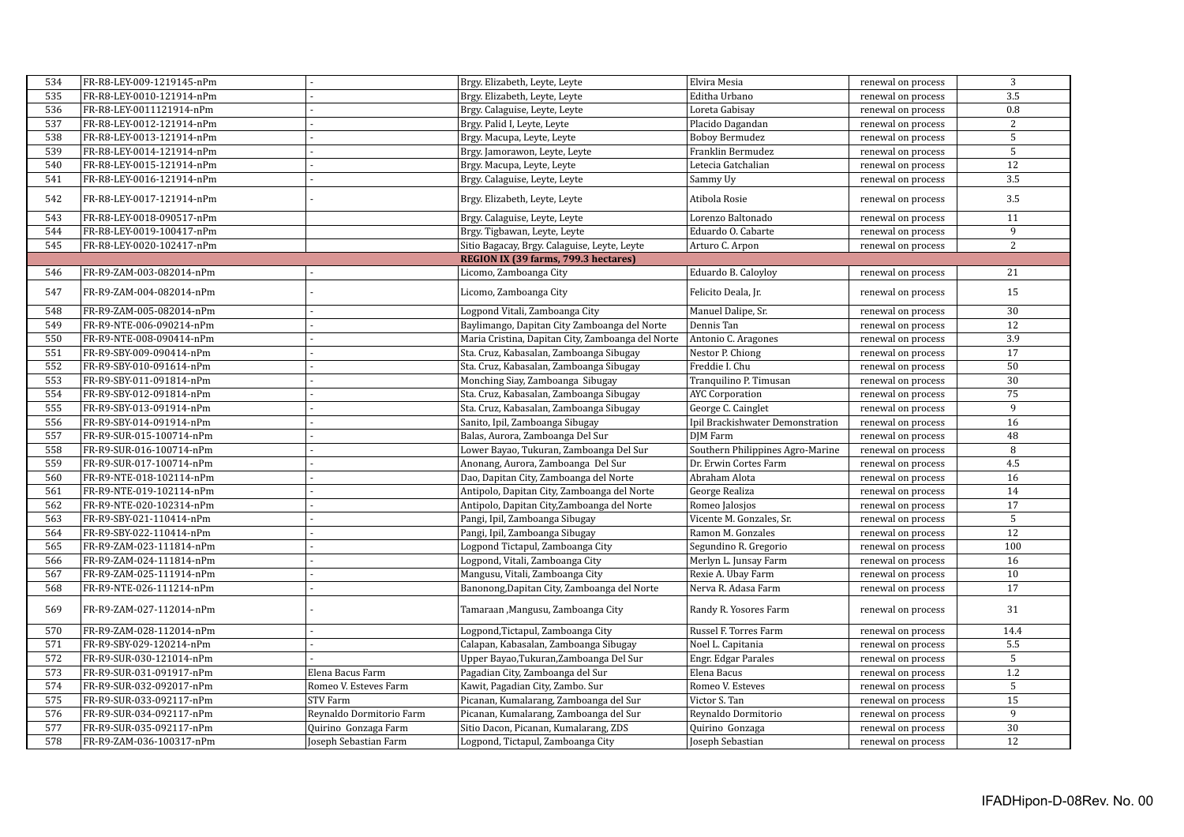| 534 | FR-R8-LEY-009-1219145-nPm |                          | Brgy. Elizabeth, Leyte, Leyte                     | Elvira Mesia                     | renewal on process | 3               |
|-----|---------------------------|--------------------------|---------------------------------------------------|----------------------------------|--------------------|-----------------|
| 535 | FR-R8-LEY-0010-121914-nPm |                          | Brgy. Elizabeth, Leyte, Leyte                     | Editha Urbano                    | renewal on process | 3.5             |
| 536 | FR-R8-LEY-0011121914-nPm  |                          | Brgy. Calaguise, Leyte, Leyte                     | Loreta Gabisay                   | renewal on process | 0.8             |
| 537 | FR-R8-LEY-0012-121914-nPm |                          | Brgy. Palid I, Leyte, Leyte                       | Placido Dagandan                 | renewal on process | $\overline{2}$  |
| 538 | FR-R8-LEY-0013-121914-nPm |                          | Brgy. Macupa, Leyte, Leyte                        | <b>Boboy Bermudez</b>            | renewal on process | 5               |
| 539 | FR-R8-LEY-0014-121914-nPm |                          | Brgy. Jamorawon, Leyte, Leyte                     | Franklin Bermudez                | renewal on process | 5               |
| 540 | FR-R8-LEY-0015-121914-nPm |                          | Brgy. Macupa, Leyte, Leyte                        | Letecia Gatchalian               | renewal on process | $\overline{12}$ |
| 541 | FR-R8-LEY-0016-121914-nPm |                          | Brgy. Calaguise, Leyte, Leyte                     | Sammy Uy                         | renewal on process | 3.5             |
| 542 | FR-R8-LEY-0017-121914-nPm |                          | Brgy. Elizabeth, Leyte, Leyte                     | Atibola Rosie                    | renewal on process | 3.5             |
| 543 | FR-R8-LEY-0018-090517-nPm |                          | Brgy. Calaguise, Leyte, Leyte                     | Lorenzo Baltonado                | renewal on process | 11              |
| 544 | FR-R8-LEY-0019-100417-nPm |                          | Brgy. Tigbawan, Leyte, Leyte                      | Eduardo O. Cabarte               | renewal on process | 9               |
| 545 | FR-R8-LEY-0020-102417-nPm |                          | Sitio Bagacay, Brgy. Calaguise, Leyte, Leyte      | Arturo C. Arpon                  | renewal on process | $\overline{2}$  |
|     |                           |                          | REGION IX (39 farms, 799.3 hectares)              |                                  |                    |                 |
| 546 | FR-R9-ZAM-003-082014-nPm  |                          | Licomo, Zamboanga City                            | Eduardo B. Caloyloy              | renewal on process | 21              |
| 547 | FR-R9-ZAM-004-082014-nPm  |                          | Licomo, Zamboanga City                            | Felicito Deala, Jr.              | renewal on process | 15              |
| 548 | FR-R9-ZAM-005-082014-nPm  |                          | Logpond Vitali, Zamboanga City                    | Manuel Dalipe, Sr.               | renewal on process | 30              |
| 549 | FR-R9-NTE-006-090214-nPm  |                          | Baylimango, Dapitan City Zamboanga del Norte      | Dennis Tan                       | renewal on process | 12              |
| 550 | FR-R9-NTE-008-090414-nPm  |                          | Maria Cristina, Dapitan City, Zamboanga del Norte | Antonio C. Aragones              | renewal on process | 3.9             |
| 551 | FR-R9-SBY-009-090414-nPm  |                          | Sta. Cruz, Kabasalan, Zamboanga Sibugay           | Nestor P. Chiong                 | renewal on process | $\overline{17}$ |
| 552 | FR-R9-SBY-010-091614-nPm  |                          | Sta. Cruz, Kabasalan, Zamboanga Sibugay           | Freddie I. Chu                   | renewal on process | 50              |
| 553 | FR-R9-SBY-011-091814-nPm  |                          | Monching Siay, Zamboanga Sibugay                  | Tranquilino P. Timusan           | renewal on process | 30              |
| 554 | FR-R9-SBY-012-091814-nPm  |                          | Sta. Cruz, Kabasalan, Zamboanga Sibugay           | <b>AYC</b> Corporation           | renewal on process | 75              |
| 555 | FR-R9-SBY-013-091914-nPm  |                          | Sta. Cruz, Kabasalan, Zamboanga Sibugay           | George C. Cainglet               | renewal on process | 9               |
| 556 | FR-R9-SBY-014-091914-nPm  |                          | Sanito, Ipil, Zamboanga Sibugay                   | Ipil Brackishwater Demonstration | renewal on process | 16              |
| 557 | FR-R9-SUR-015-100714-nPm  |                          | Balas, Aurora, Zamboanga Del Sur                  | DJM Farm                         | renewal on process | 48              |
| 558 | FR-R9-SUR-016-100714-nPm  |                          | Lower Bayao, Tukuran, Zamboanga Del Sur           | Southern Philippines Agro-Marine | renewal on process | 8               |
| 559 | FR-R9-SUR-017-100714-nPm  |                          | Anonang, Aurora, Zamboanga Del Sur                | Dr. Erwin Cortes Farm            | renewal on process | 4.5             |
| 560 | FR-R9-NTE-018-102114-nPm  |                          | Dao, Dapitan City, Zamboanga del Norte            | Abraham Alota                    | renewal on process | 16              |
| 561 | FR-R9-NTE-019-102114-nPm  |                          | Antipolo, Dapitan City, Zamboanga del Norte       | George Realiza                   | renewal on process | $\overline{14}$ |
| 562 | FR-R9-NTE-020-102314-nPm  |                          | Antipolo, Dapitan City, Zamboanga del Norte       | Romeo Jalosjos                   | renewal on process | $\overline{17}$ |
| 563 | FR-R9-SBY-021-110414-nPm  |                          | Pangi, Ipil, Zamboanga Sibugay                    | Vicente M. Gonzales, Sr.         | renewal on process | $\sqrt{5}$      |
| 564 | FR-R9-SBY-022-110414-nPm  |                          | Pangi, Ipil, Zamboanga Sibugay                    | Ramon M. Gonzales                | renewal on process | $\overline{12}$ |
| 565 | FR-R9-ZAM-023-111814-nPm  |                          | Logpond Tictapul, Zamboanga City                  | Segundino R. Gregorio            | renewal on process | 100             |
| 566 | FR-R9-ZAM-024-111814-nPm  |                          | Logpond, Vitali, Zamboanga City                   | Merlyn L. Junsay Farm            | renewal on process | 16              |
| 567 | FR-R9-ZAM-025-111914-nPm  |                          | Mangusu, Vitali, Zamboanga City                   | Rexie A. Ubay Farm               | renewal on process | 10              |
| 568 | FR-R9-NTE-026-111214-nPm  |                          | Banonong, Dapitan City, Zamboanga del Norte       | Nerva R. Adasa Farm              | renewal on process | 17              |
| 569 | FR-R9-ZAM-027-112014-nPm  |                          | Tamaraan , Mangusu, Zamboanga City                | Randy R. Yosores Farm            | renewal on process | 31              |
| 570 | FR-R9-ZAM-028-112014-nPm  |                          | Logpond, Tictapul, Zamboanga City                 | Russel F. Torres Farm            | renewal on process | 14.4            |
| 571 | FR-R9-SBY-029-120214-nPm  |                          | Calapan, Kabasalan, Zamboanga Sibugay             | Noel L. Capitania                | renewal on process | 5.5             |
| 572 | FR-R9-SUR-030-121014-nPm  |                          | Upper Bayao, Tukuran, Zamboanga Del Sur           | Engr. Edgar Parales              | renewal on process | $\overline{5}$  |
| 573 | FR-R9-SUR-031-091917-nPm  | Elena Bacus Farm         | Pagadian City, Zamboanga del Sur                  | Elena Bacus                      | renewal on process | 1.2             |
| 574 | FR-R9-SUR-032-092017-nPm  | Romeo V. Esteves Farm    | Kawit, Pagadian City, Zambo. Sur                  | Romeo V. Esteves                 | renewal on process | 5               |
| 575 | FR-R9-SUR-033-092117-nPm  | <b>STV Farm</b>          | Picanan, Kumalarang, Zamboanga del Sur            | Victor S. Tan                    | renewal on process | $\overline{15}$ |
| 576 | FR-R9-SUR-034-092117-nPm  | Reynaldo Dormitorio Farm | Picanan, Kumalarang, Zamboanga del Sur            | Reynaldo Dormitorio              | renewal on process | $\overline{9}$  |
| 577 | FR-R9-SUR-035-092117-nPm  | Quirino Gonzaga Farm     | Sitio Dacon, Picanan, Kumalarang, ZDS             | Quirino Gonzaga                  | renewal on process | 30              |
| 578 | FR-R9-ZAM-036-100317-nPm  | Joseph Sebastian Farm    | Logpond, Tictapul, Zamboanga City                 | Joseph Sebastian                 | renewal on process | 12              |
|     |                           |                          |                                                   |                                  |                    |                 |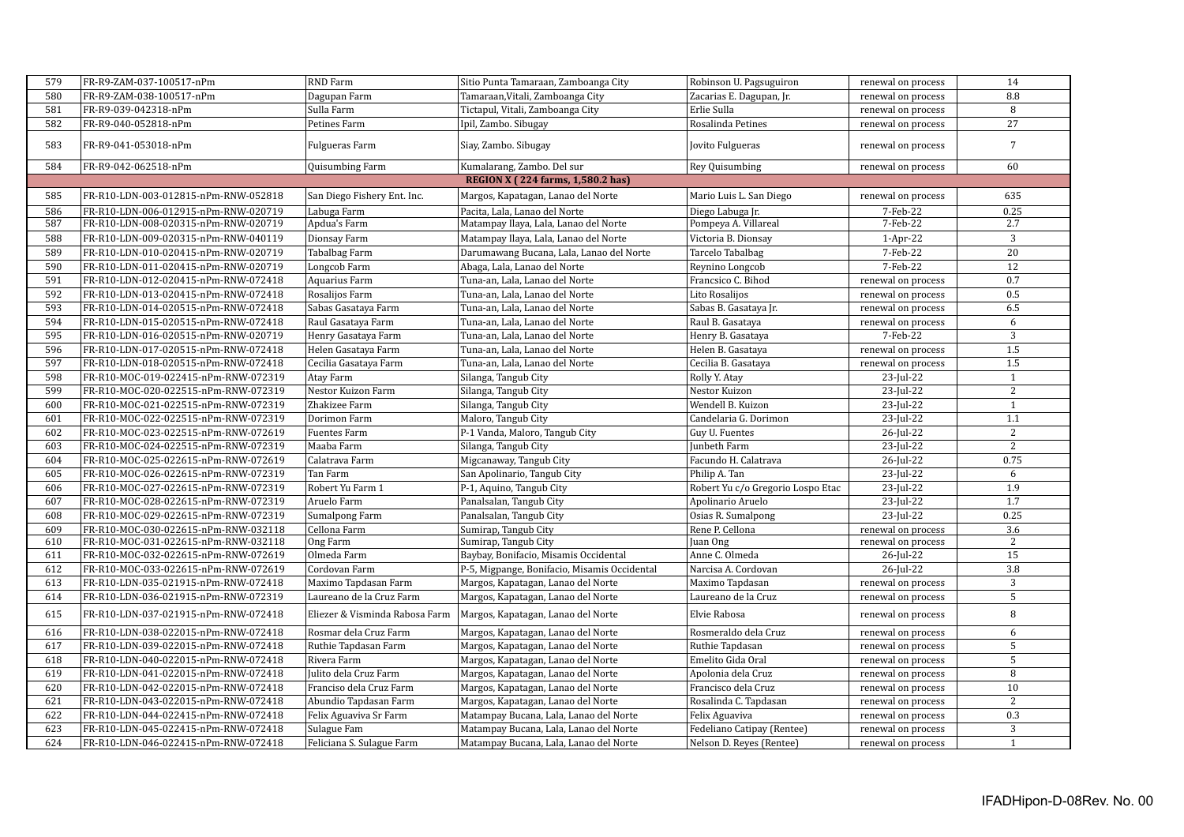| 579 | FR-R9-ZAM-037-100517-nPm             | <b>RND</b> Farm                | Sitio Punta Tamaraan, Zamboanga City         | Robinson U. Pagsuguiron           | renewal on process | 14              |
|-----|--------------------------------------|--------------------------------|----------------------------------------------|-----------------------------------|--------------------|-----------------|
| 580 | FR-R9-ZAM-038-100517-nPm             | Dagupan Farm                   | Tamaraan, Vitali, Zamboanga City             | Zacarias E. Dagupan, Jr.          | renewal on process | 8.8             |
| 581 | FR-R9-039-042318-nPm                 | Sulla Farm                     | Tictapul, Vitali, Zamboanga City             | Erlie Sulla                       | renewal on process | 8               |
| 582 | FR-R9-040-052818-nPm                 | Petines Farm                   | Ipil, Zambo. Sibugay                         | Rosalinda Petines                 | renewal on process | $\overline{27}$ |
| 583 | FR-R9-041-053018-nPm                 | Fulgueras Farm                 | Siay, Zambo. Sibugay                         | Jovito Fulgueras                  | renewal on process | $7\overline{ }$ |
| 584 | FR-R9-042-062518-nPm                 | Quisumbing Farm                | Kumalarang, Zambo. Del sur                   | Rey Quisumbing                    | renewal on process | 60              |
|     |                                      |                                | REGION X (224 farms, 1,580.2 has)            |                                   |                    |                 |
| 585 | FR-R10-LDN-003-012815-nPm-RNW-052818 | San Diego Fishery Ent. Inc.    | Margos, Kapatagan, Lanao del Norte           | Mario Luis L. San Diego           | renewal on process | 635             |
| 586 | FR-R10-LDN-006-012915-nPm-RNW-020719 | Labuga Farm                    | Pacita, Lala, Lanao del Norte                | Diego Labuga Jr.                  | 7-Feb-22           | 0.25            |
| 587 | FR-R10-LDN-008-020315-nPm-RNW-020719 | Apdua's Farm                   | Matampay Ilaya, Lala, Lanao del Norte        | Pompeya A. Villareal              | 7-Feb-22           | 2.7             |
| 588 | FR-R10-LDN-009-020315-nPm-RNW-040119 | Dionsay Farm                   | Matampay Ilaya, Lala, Lanao del Norte        | Victoria B. Dionsay               | $1-Apr-22$         | 3               |
| 589 | FR-R10-LDN-010-020415-nPm-RNW-020719 | Tabalbag Farm                  | Darumawang Bucana, Lala, Lanao del Norte     | Tarcelo Tabalbag                  | 7-Feb-22           | 20              |
| 590 | FR-R10-LDN-011-020415-nPm-RNW-020719 | Longcob Farm                   | Abaga, Lala, Lanao del Norte                 | Reynino Longcob                   | 7-Feb-22           | 12              |
| 591 | FR-R10-LDN-012-020415-nPm-RNW-072418 | Aquarius Farm                  | Tuna-an, Lala, Lanao del Norte               | Francsico C. Bihod                | renewal on process | 0.7             |
| 592 | FR-R10-LDN-013-020415-nPm-RNW-072418 | Rosalijos Farm                 | Tuna-an, Lala, Lanao del Norte               | Lito Rosalijos                    | renewal on process | 0.5             |
| 593 | FR-R10-LDN-014-020515-nPm-RNW-072418 | Sabas Gasataya Farm            | Tuna-an, Lala, Lanao del Norte               | Sabas B. Gasataya Jr.             | renewal on process | 6.5             |
| 594 | FR-R10-LDN-015-020515-nPm-RNW-072418 | Raul Gasataya Farm             | Tuna-an, Lala, Lanao del Norte               | Raul B. Gasataya                  | renewal on process | 6               |
| 595 | FR-R10-LDN-016-020515-nPm-RNW-020719 | Henry Gasataya Farm            | Tuna-an, Lala, Lanao del Norte               | Henry B. Gasataya                 | 7-Feb-22           | 3               |
| 596 | FR-R10-LDN-017-020515-nPm-RNW-072418 | Helen Gasataya Farm            | Tuna-an, Lala, Lanao del Norte               | Helen B. Gasataya                 | renewal on process | $1.5\,$         |
| 597 | FR-R10-LDN-018-020515-nPm-RNW-072418 | Cecilia Gasataya Farm          | Tuna-an, Lala, Lanao del Norte               | Cecilia B. Gasataya               | renewal on process | 1.5             |
| 598 | FR-R10-MOC-019-022415-nPm-RNW-072319 | Atay Farm                      | Silanga, Tangub City                         | Rolly Y. Atay                     | 23-Jul-22          | $\mathbf{1}$    |
| 599 | FR-R10-MOC-020-022515-nPm-RNW-072319 | Nestor Kuizon Farm             | Silanga, Tangub City                         | Nestor Kuizon                     | 23-Jul-22          | 2               |
| 600 | FR-R10-MOC-021-022515-nPm-RNW-072319 | Zhakizee Farm                  | Silanga, Tangub City                         | Wendell B. Kuizon                 | 23-Jul-22          | $\mathbf{1}$    |
| 601 | FR-R10-MOC-022-022515-nPm-RNW-072319 | Dorimon Farm                   | Maloro, Tangub City                          | Candelaria G. Dorimon             | 23-Jul-22          | 1.1             |
| 602 | FR-R10-MOC-023-022515-nPm-RNW-072619 | <b>Fuentes Farm</b>            | P-1 Vanda, Maloro, Tangub City               | Guy U. Fuentes                    | 26-Jul-22          | 2               |
| 603 | FR-R10-MOC-024-022515-nPm-RNW-072319 | Maaba Farm                     | Silanga, Tangub City                         | Junbeth Farm                      | 23-Jul-22          | 2               |
| 604 | FR-R10-MOC-025-022615-nPm-RNW-072619 | Calatrava Farm                 | Migcanaway, Tangub City                      | Facundo H. Calatrava              | 26-Jul-22          | 0.75            |
| 605 | FR-R10-MOC-026-022615-nPm-RNW-072319 | Tan Farm                       | San Apolinario, Tangub City                  | Philip A. Tan                     | 23-Jul-22          | 6               |
| 606 | FR-R10-MOC-027-022615-nPm-RNW-072319 | Robert Yu Farm 1               | P-1, Aquino, Tangub City                     | Robert Yu c/o Gregorio Lospo Etac | 23-Jul-22          | 1.9             |
| 607 | FR-R10-MOC-028-022615-nPm-RNW-072319 | Aruelo Farm                    | Panalsalan, Tangub City                      | Apolinario Aruelo                 | 23-Jul-22          | 1.7             |
| 608 | FR-R10-MOC-029-022615-nPm-RNW-072319 | Sumalpong Farm                 | Panalsalan, Tangub City                      | Osias R. Sumalpong                | 23-Jul-22          | 0.25            |
| 609 | FR-R10-MOC-030-022615-nPm-RNW-032118 | Cellona Farm                   | Sumirap. Tangub City                         | Rene P. Cellona                   | renewal on process | 3.6             |
| 610 | FR-R10-MOC-031-022615-nPm-RNW-032118 | Ong Farm                       | Sumirap, Tangub City                         | Juan Ong                          | renewal on process | 2               |
| 611 | FR-R10-MOC-032-022615-nPm-RNW-072619 | Olmeda Farm                    | Baybay, Bonifacio, Misamis Occidental        | Anne C. Olmeda                    | 26-Jul-22          | 15              |
| 612 | FR-R10-MOC-033-022615-nPm-RNW-072619 | Cordovan Farm                  | P-5, Migpange, Bonifacio, Misamis Occidental | Narcisa A. Cordovan               | 26-Jul-22          | 3.8             |
| 613 | FR-R10-LDN-035-021915-nPm-RNW-072418 | Maximo Tapdasan Farm           | Margos, Kapatagan, Lanao del Norte           | Maximo Tapdasan                   | renewal on process | 3               |
| 614 | FR-R10-LDN-036-021915-nPm-RNW-072319 | Laureano de la Cruz Farm       | Margos, Kapatagan, Lanao del Norte           | Laureano de la Cruz               | renewal on process | 5               |
| 615 | FR-R10-LDN-037-021915-nPm-RNW-072418 | Eliezer & Visminda Rabosa Farm | Margos, Kapatagan, Lanao del Norte           | Elvie Rabosa                      | renewal on process | 8               |
| 616 | FR-R10-LDN-038-022015-nPm-RNW-072418 | Rosmar dela Cruz Farm          | Margos, Kapatagan, Lanao del Norte           | Rosmeraldo dela Cruz              | renewal on process | 6               |
| 617 | FR-R10-LDN-039-022015-nPm-RNW-072418 | Ruthie Tapdasan Farm           | Margos, Kapatagan, Lanao del Norte           | Ruthie Tapdasan                   | renewal on process | 5               |
| 618 | FR-R10-LDN-040-022015-nPm-RNW-072418 | Rivera Farm                    | Margos, Kapatagan, Lanao del Norte           | Emelito Gida Oral                 | renewal on process | 5               |
| 619 | FR-R10-LDN-041-022015-nPm-RNW-072418 | Julito dela Cruz Farm          | Margos, Kapatagan, Lanao del Norte           | Apolonia dela Cruz                | renewal on process | 8               |
| 620 | FR-R10-LDN-042-022015-nPm-RNW-072418 | Franciso dela Cruz Farm        | Margos, Kapatagan, Lanao del Norte           | Francisco dela Cruz               | renewal on process | 10              |
| 621 | FR-R10-LDN-043-022015-nPm-RNW-072418 | Abundio Tapdasan Farm          | Margos, Kapatagan, Lanao del Norte           | Rosalinda C. Tapdasan             | renewal on process | 2               |
| 622 | FR-R10-LDN-044-022415-nPm-RNW-072418 | Felix Aguaviva Sr Farm         | Matampay Bucana, Lala, Lanao del Norte       | Felix Aguaviva                    | renewal on process | 0.3             |
| 623 | FR-R10-LDN-045-022415-nPm-RNW-072418 | Sulague Fam                    | Matampay Bucana, Lala, Lanao del Norte       | Fedeliano Catipay (Rentee)        | renewal on process | $\overline{3}$  |
| 624 | FR-R10-LDN-046-022415-nPm-RNW-072418 | Feliciana S. Sulague Farm      | Matampay Bucana, Lala, Lanao del Norte       | Nelson D. Reyes (Rentee)          | renewal on process | $\mathbf{1}$    |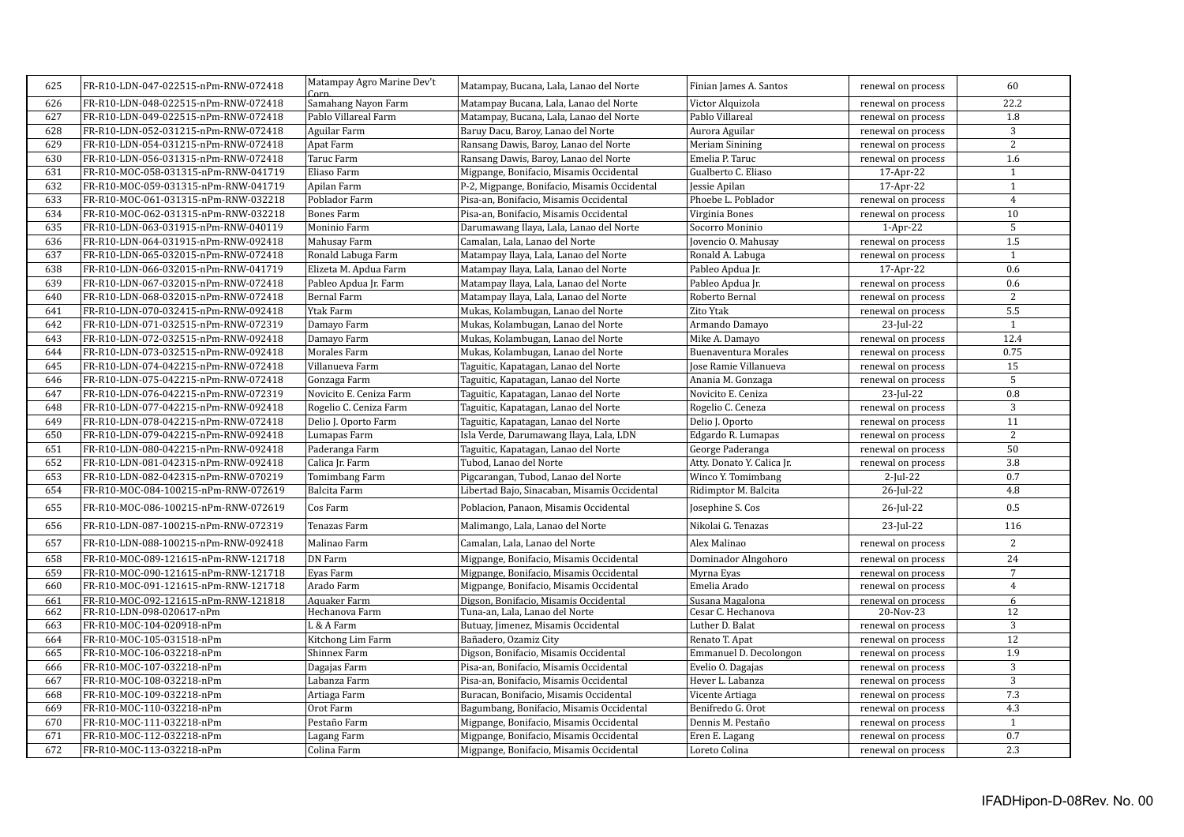| 625        | FR-R10-LDN-047-022515-nPm-RNW-072418                   | Matampay Agro Marine Dev't<br>Corn | Matampay, Bucana, Lala, Lanao del Norte      | Finian James A. Santos          | renewal on process | 60                  |
|------------|--------------------------------------------------------|------------------------------------|----------------------------------------------|---------------------------------|--------------------|---------------------|
| 626        | FR-R10-LDN-048-022515-nPm-RNW-072418                   | Samahang Nayon Farm                | Matampay Bucana, Lala, Lanao del Norte       | Victor Alquizola                | renewal on process | 22.2                |
| 627        | FR-R10-LDN-049-022515-nPm-RNW-072418                   | Pablo Villareal Farm               | Matampay, Bucana, Lala, Lanao del Norte      | Pablo Villareal                 | renewal on process | 1.8                 |
| 628        | FR-R10-LDN-052-031215-nPm-RNW-072418                   | Aguilar Farm                       | Baruy Dacu, Baroy, Lanao del Norte           | Aurora Aguilar                  | renewal on process | 3                   |
| 629        | FR-R10-LDN-054-031215-nPm-RNW-072418                   | Apat Farm                          | Ransang Dawis, Baroy, Lanao del Norte        | Meriam Sinining                 | renewal on process | 2                   |
| 630        | FR-R10-LDN-056-031315-nPm-RNW-072418                   | Taruc Farm                         | Ransang Dawis, Baroy, Lanao del Norte        | Emelia P. Taruc                 | renewal on process | 1.6                 |
| 631        | FR-R10-MOC-058-031315-nPm-RNW-041719                   | Eliaso Farm                        | Migpange, Bonifacio, Misamis Occidental      | Gualberto C. Eliaso             | 17-Apr-22          | $\mathbf{1}$        |
| 632        | FR-R10-MOC-059-031315-nPm-RNW-041719                   | Apilan Farm                        | P-2, Migpange, Bonifacio, Misamis Occidental | Jessie Apilan                   | 17-Apr-22          | $\mathbf{1}$        |
| 633        | FR-R10-MOC-061-031315-nPm-RNW-032218                   | Poblador Farm                      | Pisa-an, Bonifacio, Misamis Occidental       | Phoebe L. Poblador              | renewal on process | $\overline{4}$      |
| 634        | FR-R10-MOC-062-031315-nPm-RNW-032218                   | <b>Bones Farm</b>                  | Pisa-an, Bonifacio, Misamis Occidental       | Virginia Bones                  | renewal on process | 10                  |
| 635        | FR-R10-LDN-063-031915-nPm-RNW-040119                   | Moninio Farm                       | Darumawang Ilaya, Lala, Lanao del Norte      | Socorro Moninio                 | $1-Apr-22$         | $\overline{5}$      |
| 636        | FR-R10-LDN-064-031915-nPm-RNW-092418                   | Mahusay Farm                       | Camalan, Lala, Lanao del Norte               | Jovencio O. Mahusay             | renewal on process | 1.5                 |
| 637        | FR-R10-LDN-065-032015-nPm-RNW-072418                   | Ronald Labuga Farm                 | Matampay Ilaya, Lala, Lanao del Norte        | Ronald A. Labuga                | renewal on process | $\mathbf{1}$        |
| 638        | FR-R10-LDN-066-032015-nPm-RNW-041719                   | Elizeta M. Apdua Farm              | Matampay Ilaya, Lala, Lanao del Norte        | Pableo Apdua Jr.                | 17-Apr-22          | 0.6                 |
| 639        | FR-R10-LDN-067-032015-nPm-RNW-072418                   | Pableo Apdua Jr. Farm              | Matampay Ilaya, Lala, Lanao del Norte        | Pableo Apdua Jr.                | renewal on process | 0.6                 |
| 640        | FR-R10-LDN-068-032015-nPm-RNW-072418                   | <b>Bernal Farm</b>                 | Matampay Ilaya, Lala, Lanao del Norte        | Roberto Bernal                  | renewal on process | 2                   |
| 641        | FR-R10-LDN-070-032415-nPm-RNW-092418                   | Ytak Farm                          | Mukas, Kolambugan, Lanao del Norte           | Zito Ytak                       | renewal on process | 5.5                 |
| 642        | FR-R10-LDN-071-032515-nPm-RNW-072319                   | Damayo Farm                        | Mukas, Kolambugan, Lanao del Norte           | Armando Damayo                  | 23-Jul-22          | 1                   |
| 643        | FR-R10-LDN-072-032515-nPm-RNW-092418                   | Damayo Farm                        | Mukas, Kolambugan, Lanao del Norte           | Mike A. Damayo                  | renewal on process | 12.4                |
| 644        | FR-R10-LDN-073-032515-nPm-RNW-092418                   | Morales Farm                       | Mukas, Kolambugan, Lanao del Norte           | <b>Buenaventura Morales</b>     | renewal on process | 0.75                |
| 645        | FR-R10-LDN-074-042215-nPm-RNW-072418                   | Villanueva Farm                    | Taguitic, Kapatagan, Lanao del Norte         | Jose Ramie Villanueva           | renewal on process | 15                  |
| 646        | FR-R10-LDN-075-042215-nPm-RNW-072418                   | Gonzaga Farm                       | Taguitic, Kapatagan, Lanao del Norte         | Anania M. Gonzaga               | renewal on process | 5                   |
| 647        | FR-R10-LDN-076-042215-nPm-RNW-072319                   | Novicito E. Ceniza Farm            | Taguitic, Kapatagan, Lanao del Norte         | Novicito E. Ceniza              | 23-Jul-22          | 0.8                 |
| 648        | FR-R10-LDN-077-042215-nPm-RNW-092418                   | Rogelio C. Ceniza Farm             | Taguitic, Kapatagan, Lanao del Norte         | Rogelio C. Ceneza               | renewal on process | 3                   |
| 649        | FR-R10-LDN-078-042215-nPm-RNW-072418                   | Delio J. Oporto Farm               | Taguitic, Kapatagan, Lanao del Norte         | Delio J. Oporto                 | renewal on process | 11                  |
| 650        | FR-R10-LDN-079-042215-nPm-RNW-092418                   | Lumapas Farm                       | Isla Verde, Darumawang Ilaya, Lala, LDN      | Edgardo R. Lumapas              | renewal on process | 2                   |
| 651        | FR-R10-LDN-080-042215-nPm-RNW-092418                   | Paderanga Farm                     | Taguitic, Kapatagan, Lanao del Norte         | George Paderanga                | renewal on process | 50                  |
| 652        | FR-R10-LDN-081-042315-nPm-RNW-092418                   | Calica Jr. Farm                    | Tubod, Lanao del Norte                       | Atty. Donato Y. Calica Jr.      | renewal on process | 3.8                 |
| 653        | FR-R10-LDN-082-042315-nPm-RNW-070219                   | Tomimbang Farm                     | Pigcarangan, Tubod, Lanao del Norte          | Winco Y. Tomimbang              | $2$ -Jul-22        | 0.7                 |
| 654        | FR-R10-MOC-084-100215-nPm-RNW-072619                   | Balcita Farm                       | Libertad Bajo, Sinacaban, Misamis Occidental | Ridimptor M. Balcita            | 26-Jul-22          | 4.8                 |
| 655        | FR-R10-MOC-086-100215-nPm-RNW-072619                   | Cos Farm                           | Poblacion, Panaon, Misamis Occidental        | Josephine S. Cos                | 26-Jul-22          | 0.5                 |
| 656        | FR-R10-LDN-087-100215-nPm-RNW-072319                   | Tenazas Farm                       | Malimango, Lala, Lanao del Norte             | Nikolai G. Tenazas              | 23-Jul-22          | 116                 |
| 657        | FR-R10-LDN-088-100215-nPm-RNW-092418                   | Malinao Farm                       | Camalan, Lala, Lanao del Norte               | Alex Malinao                    | renewal on process | 2                   |
| 658        | FR-R10-MOC-089-121615-nPm-RNW-121718                   | <b>DN</b> Farm                     | Migpange, Bonifacio, Misamis Occidental      | Dominador Alngohoro             | renewal on process | 24                  |
| 659        | FR-R10-MOC-090-121615-nPm-RNW-121718                   | Evas Farm                          | Migpange, Bonifacio, Misamis Occidental      | Myrna Eyas                      | renewal on process | $7\overline{ }$     |
| 660        | FR-R10-MOC-091-121615-nPm-RNW-121718                   | Arado Farm                         | Migpange, Bonifacio, Misamis Occidental      | Emelia Arado                    | renewal on process | $\overline{4}$      |
| 661        | FR-R10-MOC-092-121615-nPm-RNW-121818                   | Aquaker Farm                       | Digson, Bonifacio, Misamis Occidental        | Susana Magalona                 | renewal on process | 6                   |
| 662        | FR-R10-LDN-098-020617-nPm                              | Hechanova Farm                     | Tuna-an, Lala, Lanao del Norte               | Cesar C. Hechanova              | 20-Nov-23          | 12                  |
| 663        | FR-R10-MOC-104-020918-nPm                              | L & A Farm                         | Butuay, Jimenez, Misamis Occidental          | Luther D. Balat                 | renewal on process | $\overline{3}$      |
| 664        | FR-R10-MOC-105-031518-nPm                              | Kitchong Lim Farm                  | Bañadero, Ozamiz City                        | Renato T. Apat                  | renewal on process | 12                  |
| 665        | FR-R10-MOC-106-032218-nPm                              | Shinnex Farm                       | Digson, Bonifacio, Misamis Occidental        | Emmanuel D. Decolongon          | renewal on process | 1.9                 |
| 666        | FR-R10-MOC-107-032218-nPm                              | Dagajas Farm                       | Pisa-an, Bonifacio, Misamis Occidental       | Evelio O. Dagajas               | renewal on process | 3                   |
| 667        | FR-R10-MOC-108-032218-nPm                              | Labanza Farm                       | Pisa-an, Bonifacio, Misamis Occidental       | Hever L. Labanza                | renewal on process | 3                   |
| 668        | FR-R10-MOC-109-032218-nPm                              | Artiaga Farm                       | Buracan, Bonifacio, Misamis Occidental       | Vicente Artiaga                 | renewal on process | 7.3                 |
| 669        | FR-R10-MOC-110-032218-nPm<br>FR-R10-MOC-111-032218-nPm | Orot Farm                          | Bagumbang, Bonifacio, Misamis Occidental     | Benifredo G. Orot               | renewal on process | 4.3                 |
| 670        | FR-R10-MOC-112-032218-nPm                              | Pestaño Farm                       | Migpange, Bonifacio, Misamis Occidental      | Dennis M. Pestaño               | renewal on process | $\mathbf{1}$<br>0.7 |
| 671<br>672 | FR-R10-MOC-113-032218-nPm                              | Lagang Farm                        | Migpange, Bonifacio, Misamis Occidental      | Eren E. Lagang<br>Loreto Colina | renewal on process | 2.3                 |
|            |                                                        | Colina Farm                        | Migpange, Bonifacio, Misamis Occidental      |                                 | renewal on process |                     |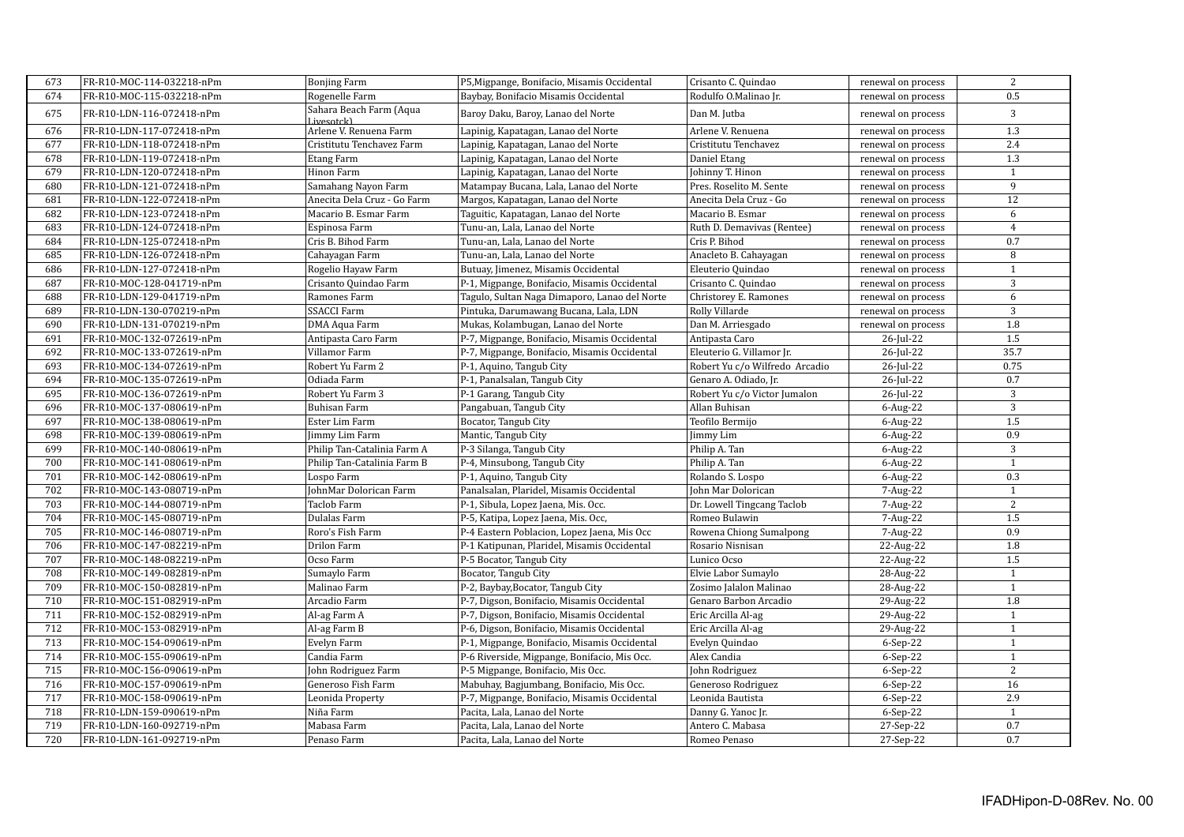| 673 | FR-R10-MOC-114-032218-nPm | <b>Bonjing Farm</b>                   | P5, Migpange, Bonifacio, Misamis Occidental   | Crisanto C. Quindao            | renewal on process | 2              |
|-----|---------------------------|---------------------------------------|-----------------------------------------------|--------------------------------|--------------------|----------------|
| 674 | FR-R10-MOC-115-032218-nPm | Rogenelle Farm                        | Baybay, Bonifacio Misamis Occidental          | Rodulfo O.Malinao Jr.          | renewal on process | 0.5            |
| 675 | FR-R10-LDN-116-072418-nPm | Sahara Beach Farm (Aqua<br>Livesotck) | Baroy Daku, Baroy, Lanao del Norte            | Dan M. Jutba                   | renewal on process | 3              |
| 676 | FR-R10-LDN-117-072418-nPm | Arlene V. Renuena Farm                | Lapinig, Kapatagan, Lanao del Norte           | Arlene V. Renuena              | renewal on process | 1.3            |
| 677 | FR-R10-LDN-118-072418-nPm | Cristitutu Tenchavez Farm             | Lapinig, Kapatagan, Lanao del Norte           | Cristitutu Tenchavez           | renewal on process | 2.4            |
| 678 | FR-R10-LDN-119-072418-nPm | Etang Farm                            | Lapinig, Kapatagan, Lanao del Norte           | Daniel Etang                   | renewal on process | 1.3            |
| 679 | FR-R10-LDN-120-072418-nPm | Hinon Farm                            | Lapinig, Kapatagan, Lanao del Norte           | Johinny T. Hinon               | renewal on process | $\mathbf{1}$   |
| 680 | FR-R10-LDN-121-072418-nPm | Samahang Nayon Farm                   | Matampay Bucana, Lala, Lanao del Norte        | Pres. Roselito M. Sente        | renewal on process | 9              |
| 681 | FR-R10-LDN-122-072418-nPm | Anecita Dela Cruz - Go Farm           | Margos, Kapatagan, Lanao del Norte            | Anecita Dela Cruz - Go         | renewal on process | 12             |
| 682 | FR-R10-LDN-123-072418-nPm | Macario B. Esmar Farm                 | Taguitic, Kapatagan, Lanao del Norte          | Macario B. Esmar               | renewal on process | 6              |
| 683 | FR-R10-LDN-124-072418-nPm | Espinosa Farm                         | Tunu-an, Lala, Lanao del Norte                | Ruth D. Demavivas (Rentee)     | renewal on process | $\overline{4}$ |
| 684 | FR-R10-LDN-125-072418-nPm | Cris B. Bihod Farm                    | Tunu-an, Lala, Lanao del Norte                | Cris P. Bihod                  | renewal on process | 0.7            |
| 685 | FR-R10-LDN-126-072418-nPm | Cahayagan Farm                        | Tunu-an, Lala, Lanao del Norte                | Anacleto B. Cahayagan          | renewal on process | 8              |
| 686 | FR-R10-LDN-127-072418-nPm | Rogelio Hayaw Farm                    | Butuay, Jimenez, Misamis Occidental           | Eleuterio Quindao              | renewal on process | $\mathbf{1}$   |
| 687 | FR-R10-MOC-128-041719-nPm | Crisanto Quindao Farm                 | P-1, Migpange, Bonifacio, Misamis Occidental  | Crisanto C. Quindao            | renewal on process | $\overline{3}$ |
| 688 | FR-R10-LDN-129-041719-nPm | Ramones Farm                          | Tagulo, Sultan Naga Dimaporo, Lanao del Norte | Christorey E. Ramones          | renewal on process | 6              |
| 689 | FR-R10-LDN-130-070219-nPm | <b>SSACCI Farm</b>                    | Pintuka, Darumawang Bucana, Lala, LDN         | Rolly Villarde                 | renewal on process | 3              |
| 690 | FR-R10-LDN-131-070219-nPm | DMA Aqua Farm                         | Mukas, Kolambugan, Lanao del Norte            | Dan M. Arriesgado              | renewal on process | $1.8\,$        |
| 691 | FR-R10-MOC-132-072619-nPm | Antipasta Caro Farm                   | P-7, Migpange, Bonifacio, Misamis Occidental  | Antipasta Caro                 | 26-Jul-22          | 1.5            |
| 692 | FR-R10-MOC-133-072619-nPm | Villamor Farm                         | P-7, Migpange, Bonifacio, Misamis Occidental  | Eleuterio G. Villamor Jr.      | 26-Jul-22          | 35.7           |
| 693 | FR-R10-MOC-134-072619-nPm | Robert Yu Farm 2                      | P-1, Aquino, Tangub City                      | Robert Yu c/o Wilfredo Arcadio | 26-Jul-22          | 0.75           |
| 694 | FR-R10-MOC-135-072619-nPm | Odiada Farm                           | P-1, Panalsalan, Tangub City                  | Genaro A. Odiado, Jr.          | 26-Jul-22          | 0.7            |
| 695 | FR-R10-MOC-136-072619-nPm | Robert Yu Farm 3                      | P-1 Garang, Tangub City                       | Robert Yu c/o Victor Jumalon   | 26-Jul-22          | 3              |
| 696 | FR-R10-MOC-137-080619-nPm | Buhisan Farm                          | Pangabuan, Tangub City                        | Allan Buhisan                  | $6$ -Aug-22        | 3              |
| 697 | FR-R10-MOC-138-080619-nPm | Ester Lim Farm                        | Bocator, Tangub City                          | Teofilo Bermijo                | $6$ -Aug-22        | 1.5            |
| 698 | FR-R10-MOC-139-080619-nPm | Jimmy Lim Farm                        | Mantic, Tangub City                           | Jimmy Lim                      | $6$ -Aug-22        | 0.9            |
| 699 | FR-R10-MOC-140-080619-nPm | Philip Tan-Catalinia Farm A           | P-3 Silanga, Tangub City                      | Philip A. Tan                  | $6$ -Aug-22        | $\overline{3}$ |
| 700 | FR-R10-MOC-141-080619-nPm | Philip Tan-Catalinia Farm B           | P-4, Minsubong, Tangub City                   | Philip A. Tan                  | $6$ -Aug-22        | $\mathbf{1}$   |
| 701 | FR-R10-MOC-142-080619-nPm | Lospo Farm                            | P-1, Aquino, Tangub City                      | Rolando S. Lospo               | $6$ -Aug-22        | 0.3            |
| 702 | FR-R10-MOC-143-080719-nPm | JohnMar Dolorican Farm                | Panalsalan, Plaridel, Misamis Occidental      | John Mar Dolorican             | 7-Aug-22           | $\mathbf{1}$   |
| 703 | FR-R10-MOC-144-080719-nPm | Taclob Farm                           | P-1, Sibula, Lopez Jaena, Mis. Occ.           | Dr. Lowell Tingcang Taclob     | 7-Aug-22           | $\overline{2}$ |
| 704 | FR-R10-MOC-145-080719-nPm | Dulalas Farm                          | P-5, Katipa, Lopez Jaena, Mis. Occ,           | Romeo Bulawin                  | 7-Aug-22           | 1.5            |
| 705 | FR-R10-MOC-146-080719-nPm | Roro's Fish Farm                      | P-4 Eastern Poblacion, Lopez Jaena, Mis Occ   | Rowena Chiong Sumalpong        | 7-Aug-22           | 0.9            |
| 706 | FR-R10-MOC-147-082219-nPm | Drilon Farm                           | P-1 Katipunan, Plaridel, Misamis Occidental   | Rosario Nisnisan               | 22-Aug-22          | 1.8            |
| 707 | FR-R10-MOC-148-082219-nPm | Ocso Farm                             | P-5 Bocator, Tangub City                      | Lunico Ocso                    | 22-Aug-22          | 1.5            |
| 708 | FR-R10-MOC-149-082819-nPm | Sumaylo Farm                          | Bocator, Tangub City                          | Elvie Labor Sumaylo            | 28-Aug-22          | $\mathbf{1}$   |
| 709 | FR-R10-MOC-150-082819-nPm | Malinao Farm                          | P-2, Baybay, Bocator, Tangub City             | Zosimo Jalalon Malinao         | 28-Aug-22          | $1\,$          |
| 710 | FR-R10-MOC-151-082919-nPm | Arcadio Farm                          | P-7, Digson, Bonifacio, Misamis Occidental    | Genaro Barbon Arcadio          | 29-Aug-22          | 1.8            |
| 711 | FR-R10-MOC-152-082919-nPm | Al-ag Farm A                          | P-7, Digson, Bonifacio, Misamis Occidental    | Eric Arcilla Al-ag             | 29-Aug-22          | $\mathbf{1}$   |
| 712 | FR-R10-MOC-153-082919-nPm | Al-ag Farm B                          | P-6, Digson, Bonifacio, Misamis Occidental    | Eric Arcilla Al-ag             | 29-Aug-22          | $\mathbf{1}$   |
| 713 | FR-R10-MOC-154-090619-nPm | Evelyn Farm                           | P-1, Migpange, Bonifacio, Misamis Occidental  | Evelyn Quindao                 | $6-Sep-22$         | $\mathbf{1}$   |
| 714 | FR-R10-MOC-155-090619-nPm | Candia Farm                           | P-6 Riverside, Migpange, Bonifacio, Mis Occ.  | Alex Candia                    | $6-Sep-22$         | $\mathbf{1}$   |
| 715 | FR-R10-MOC-156-090619-nPm | John Rodriguez Farm                   | P-5 Migpange, Bonifacio, Mis Occ.             | John Rodriguez                 | 6-Sep-22           | 2              |
| 716 | FR-R10-MOC-157-090619-nPm | Generoso Fish Farm                    | Mabuhay, Bagjumbang, Bonifacio, Mis Occ.      | Generoso Rodriguez             | $6-Sep-22$         | 16             |
| 717 | FR-R10-MOC-158-090619-nPm | Leonida Property                      | P-7, Migpange, Bonifacio, Misamis Occidental  | Leonida Bautista               | $6-Sep-22$         | 2.9            |
| 718 | FR-R10-LDN-159-090619-nPm | Niña Farm                             | Pacita, Lala, Lanao del Norte                 | Danny G. Yanoc Jr.             | 6-Sep-22           | $\mathbf{1}$   |
| 719 | FR-R10-LDN-160-092719-nPm | Mabasa Farm                           | Pacita, Lala, Lanao del Norte                 | Antero C. Mabasa               | 27-Sep-22          | 0.7            |
| 720 | FR-R10-LDN-161-092719-nPm | Penaso Farm                           | Pacita, Lala, Lanao del Norte                 | Romeo Penaso                   | 27-Sep-22          | 0.7            |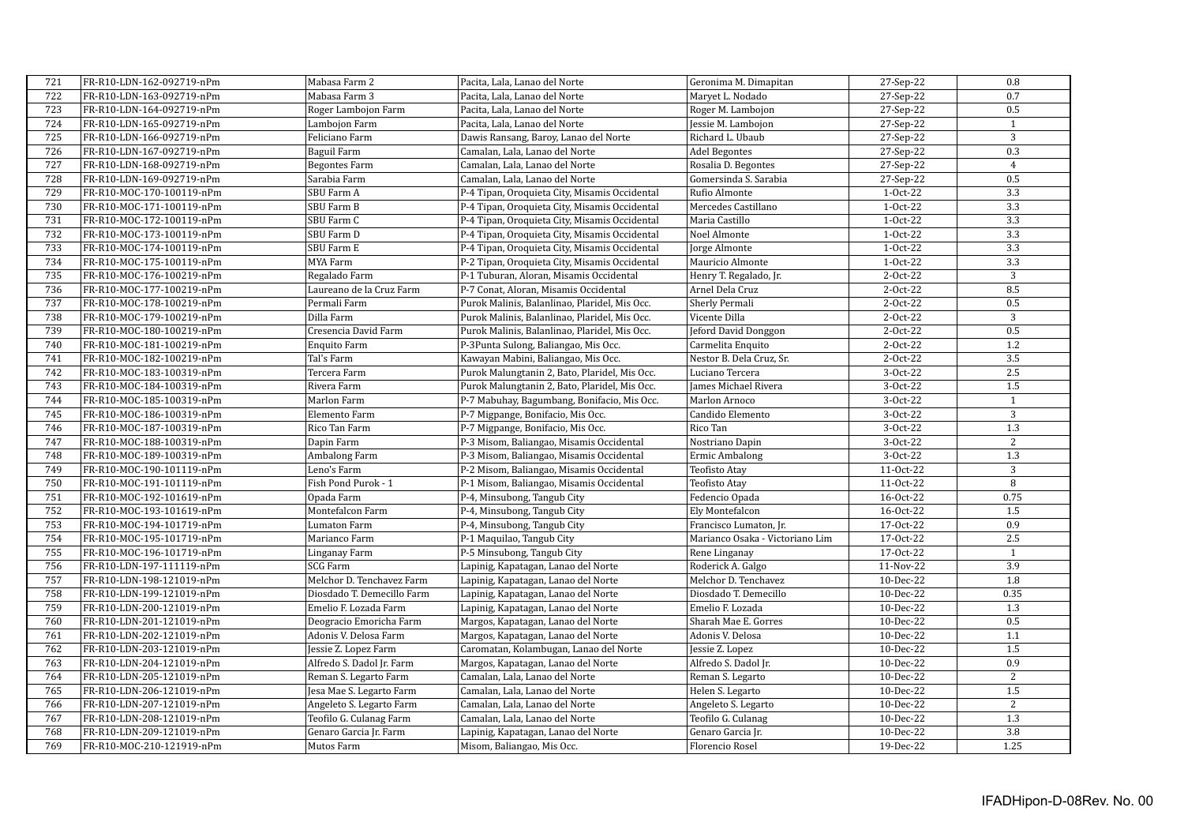| 721 | FR-R10-LDN-162-092719-nPm | Mabasa Farm 2              | Pacita, Lala, Lanao del Norte                 | Geronima M. Dimapitan           | 27-Sep-22  | 0.8              |
|-----|---------------------------|----------------------------|-----------------------------------------------|---------------------------------|------------|------------------|
| 722 | FR-R10-LDN-163-092719-nPm | Mabasa Farm 3              | Pacita, Lala, Lanao del Norte                 | Maryet L. Nodado                | 27-Sep-22  | 0.7              |
| 723 | FR-R10-LDN-164-092719-nPm | Roger Lambojon Farm        | Pacita, Lala, Lanao del Norte                 | Roger M. Lambojon               | 27-Sep-22  | 0.5              |
| 724 | FR-R10-LDN-165-092719-nPm | Lambojon Farm              | Pacita, Lala, Lanao del Norte                 | Jessie M. Lambojon              | 27-Sep-22  | $\mathbf{1}$     |
| 725 | FR-R10-LDN-166-092719-nPm | Feliciano Farm             | Dawis Ransang, Baroy, Lanao del Norte         | Richard L. Ubaub                | 27-Sep-22  | 3                |
| 726 | FR-R10-LDN-167-092719-nPm | Baguil Farm                | Camalan, Lala, Lanao del Norte                | Adel Begontes                   | 27-Sep-22  | 0.3              |
| 727 | FR-R10-LDN-168-092719-nPm | <b>Begontes Farm</b>       | Camalan, Lala, Lanao del Norte                | Rosalia D. Begontes             | 27-Sep-22  | $\overline{4}$   |
| 728 | FR-R10-LDN-169-092719-nPm | Sarabia Farm               | Camalan, Lala, Lanao del Norte                | Gomersinda S. Sarabia           | 27-Sep-22  | 0.5              |
| 729 | FR-R10-MOC-170-100119-nPm | SBU Farm A                 | P-4 Tipan, Oroquieta City, Misamis Occidental | Rufio Almonte                   | 1-Oct-22   | $\overline{3.3}$ |
| 730 | FR-R10-MOC-171-100119-nPm | SBU Farm B                 | P-4 Tipan, Oroquieta City, Misamis Occidental | Mercedes Castillano             | $1-0ct-22$ | $\overline{3.3}$ |
| 731 | FR-R10-MOC-172-100119-nPm | SBU Farm C                 | P-4 Tipan, Oroquieta City, Misamis Occidental | Maria Castillo                  | 1-Oct-22   | 3.3              |
| 732 | FR-R10-MOC-173-100119-nPm | SBU Farm D                 | P-4 Tipan, Oroquieta City, Misamis Occidental | Noel Almonte                    | 1-Oct-22   | 3.3              |
| 733 | FR-R10-MOC-174-100119-nPm | SBU Farm E                 | P-4 Tipan, Oroquieta City, Misamis Occidental | Jorge Almonte                   | $1-0ct-22$ | 3.3              |
| 734 | FR-R10-MOC-175-100119-nPm | MYA Farm                   | P-2 Tipan, Oroquieta City, Misamis Occidental | Mauricio Almonte                | 1-Oct-22   | 3.3              |
| 735 | FR-R10-MOC-176-100219-nPm | Regalado Farm              | P-1 Tuburan, Aloran, Misamis Occidental       | Henry T. Regalado, Jr.          | 2-Oct-22   | 3                |
| 736 | FR-R10-MOC-177-100219-nPm | Laureano de la Cruz Farm   | P-7 Conat, Aloran, Misamis Occidental         | Arnel Dela Cruz                 | 2-Oct-22   | 8.5              |
| 737 | FR-R10-MOC-178-100219-nPm | Permali Farm               | Purok Malinis, Balanlinao, Plaridel, Mis Occ. | Sherly Permali                  | 2-Oct-22   | 0.5              |
| 738 | FR-R10-MOC-179-100219-nPm | Dilla Farm                 | Purok Malinis, Balanlinao, Plaridel, Mis Occ. | Vicente Dilla                   | 2-Oct-22   | $\overline{3}$   |
| 739 | FR-R10-MOC-180-100219-nPm | Cresencia David Farm       | Purok Malinis, Balanlinao, Plaridel, Mis Occ. | Jeford David Donggon            | 2-Oct-22   | 0.5              |
| 740 | FR-R10-MOC-181-100219-nPm | Enquito Farm               | P-3Punta Sulong, Baliangao, Mis Occ.          | Carmelita Enquito               | 2-Oct-22   | $1.2\,$          |
| 741 | FR-R10-MOC-182-100219-nPm | Tal's Farm                 | Kawayan Mabini, Baliangao, Mis Occ.           | Nestor B. Dela Cruz, Sr.        | 2-Oct-22   | $\overline{3.5}$ |
| 742 | FR-R10-MOC-183-100319-nPm | Tercera Farm               | Purok Malungtanin 2, Bato, Plaridel, Mis Occ. | Luciano Tercera                 | 3-Oct-22   | 2.5              |
| 743 | FR-R10-MOC-184-100319-nPm | Rivera Farm                | Purok Malungtanin 2, Bato, Plaridel, Mis Occ. | James Michael Rivera            | 3-Oct-22   | 1.5              |
| 744 | FR-R10-MOC-185-100319-nPm | Marlon Farm                | P-7 Mabuhay, Bagumbang, Bonifacio, Mis Occ.   | Marlon Arnoco                   | 3-Oct-22   | $\mathbf{1}$     |
| 745 | FR-R10-MOC-186-100319-nPm | Elemento Farm              | P-7 Migpange, Bonifacio, Mis Occ.             | Candido Elemento                | 3-Oct-22   | 3                |
| 746 | FR-R10-MOC-187-100319-nPm | Rico Tan Farm              | P-7 Migpange, Bonifacio, Mis Occ.             | Rico Tan                        | 3-Oct-22   | 1.3              |
| 747 | FR-R10-MOC-188-100319-nPm | Dapin Farm                 | P-3 Misom, Baliangao, Misamis Occidental      | Nostriano Dapin                 | 3-Oct-22   | 2                |
| 748 | FR-R10-MOC-189-100319-nPm | Ambalong Farm              | P-3 Misom, Baliangao, Misamis Occidental      | Ermic Ambalong                  | 3-Oct-22   | 1.3              |
| 749 | FR-R10-MOC-190-101119-nPm | Leno's Farm                | P-2 Misom, Baliangao, Misamis Occidental      | <b>Teofisto Atay</b>            | 11-Oct-22  | 3                |
| 750 | FR-R10-MOC-191-101119-nPm | Fish Pond Purok - 1        | P-1 Misom, Baliangao, Misamis Occidental      | Teofisto Atay                   | 11-Oct-22  | $\, 8$           |
| 751 | FR-R10-MOC-192-101619-nPm | Opada Farm                 | P-4, Minsubong, Tangub City                   | Fedencio Opada                  | 16-Oct-22  | 0.75             |
| 752 | FR-R10-MOC-193-101619-nPm | Montefalcon Farm           | P-4, Minsubong, Tangub City                   | Ely Montefalcon                 | 16-Oct-22  | 1.5              |
| 753 | FR-R10-MOC-194-101719-nPm | Lumaton Farm               | P-4, Minsubong, Tangub City                   | Francisco Lumaton, Jr.          | 17-Oct-22  | 0.9              |
| 754 | FR-R10-MOC-195-101719-nPm | Marianco Farm              | P-1 Maquilao, Tangub City                     | Marianco Osaka - Victoriano Lim | 17-Oct-22  | 2.5              |
| 755 | FR-R10-MOC-196-101719-nPm | Linganay Farm              | P-5 Minsubong, Tangub City                    | Rene Linganay                   | 17-Oct-22  | $\mathbf{1}$     |
| 756 | FR-R10-LDN-197-111119-nPm | SCG Farm                   | Lapinig, Kapatagan, Lanao del Norte           | Roderick A. Galgo               | 11-Nov-22  | 3.9              |
| 757 | FR-R10-LDN-198-121019-nPm | Melchor D. Tenchavez Farm  | Lapinig, Kapatagan, Lanao del Norte           | Melchor D. Tenchavez            | 10-Dec-22  | 1.8              |
| 758 | FR-R10-LDN-199-121019-nPm | Diosdado T. Demecillo Farm | Lapinig, Kapatagan, Lanao del Norte           | Diosdado T. Demecillo           | 10-Dec-22  | 0.35             |
| 759 | FR-R10-LDN-200-121019-nPm | Emelio F. Lozada Farm      | Lapinig, Kapatagan, Lanao del Norte           | Emelio F. Lozada                | 10-Dec-22  | 1.3              |
| 760 | FR-R10-LDN-201-121019-nPm | Deogracio Emoricha Farm    | Margos, Kapatagan, Lanao del Norte            | Sharah Mae E. Gorres            | 10-Dec-22  | 0.5              |
| 761 | FR-R10-LDN-202-121019-nPm | Adonis V. Delosa Farm      | Margos, Kapatagan, Lanao del Norte            | Adonis V. Delosa                | 10-Dec-22  | 1.1              |
| 762 | FR-R10-LDN-203-121019-nPm | Jessie Z. Lopez Farm       | Caromatan, Kolambugan, Lanao del Norte        | Jessie Z. Lopez                 | 10-Dec-22  | 1.5              |
| 763 | FR-R10-LDN-204-121019-nPm | Alfredo S. Dadol Jr. Farm  | Margos, Kapatagan, Lanao del Norte            | Alfredo S. Dadol Jr.            | 10-Dec-22  | 0.9              |
| 764 | FR-R10-LDN-205-121019-nPm | Reman S. Legarto Farm      | Camalan, Lala, Lanao del Norte                | Reman S. Legarto                | 10-Dec-22  | 2                |
| 765 | FR-R10-LDN-206-121019-nPm | Jesa Mae S. Legarto Farm   | Camalan, Lala, Lanao del Norte                | Helen S. Legarto                | 10-Dec-22  | 1.5              |
| 766 | FR-R10-LDN-207-121019-nPm | Angeleto S. Legarto Farm   | Camalan, Lala, Lanao del Norte                | Angeleto S. Legarto             | 10-Dec-22  | 2                |
| 767 | FR-R10-LDN-208-121019-nPm | Teofilo G. Culanag Farm    | Camalan, Lala, Lanao del Norte                | Teofilo G. Culanag              | 10-Dec-22  | 1.3              |
| 768 | FR-R10-LDN-209-121019-nPm | Genaro Garcia Jr. Farm     | Lapinig, Kapatagan, Lanao del Norte           | Genaro Garcia Jr.               | 10-Dec-22  | 3.8              |
| 769 | FR-R10-MOC-210-121919-nPm | Mutos Farm                 | Misom, Baliangao, Mis Occ.                    | Florencio Rosel                 | 19-Dec-22  | 1.25             |
|     |                           |                            |                                               |                                 |            |                  |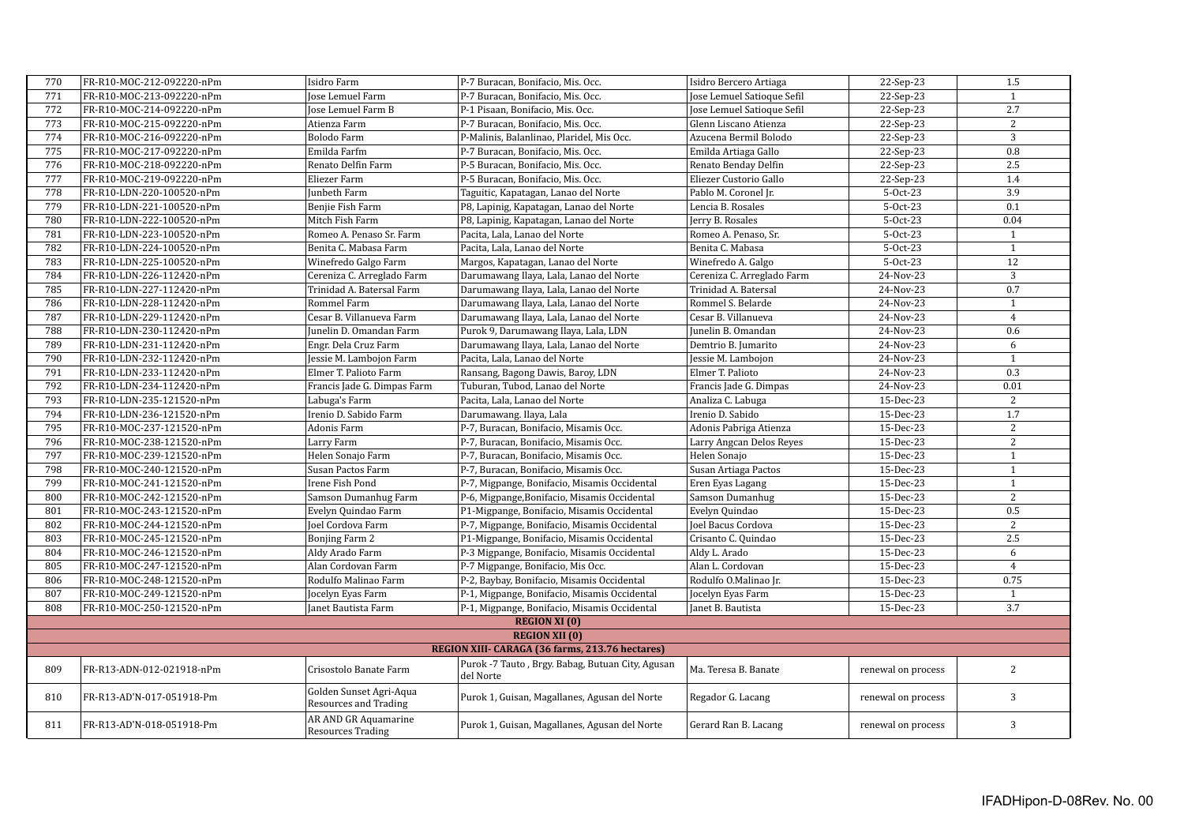| 770 | FR-R10-MOC-212-092220-nPm                       | Isidro Farm                                      | P-7 Buracan, Bonifacio, Mis. Occ.                             | Isidro Bercero Artiaga     | 22-Sep-23          | 1.5            |  |  |
|-----|-------------------------------------------------|--------------------------------------------------|---------------------------------------------------------------|----------------------------|--------------------|----------------|--|--|
| 771 | FR-R10-MOC-213-092220-nPm                       | Jose Lemuel Farm                                 | P-7 Buracan, Bonifacio, Mis. Occ.                             | Jose Lemuel Satioque Sefil | 22-Sep-23          | $\mathbf{1}$   |  |  |
| 772 | FR-R10-MOC-214-092220-nPm                       | <b>Jose Lemuel Farm B</b>                        | P-1 Pisaan, Bonifacio, Mis. Occ.                              | Jose Lemuel Satioque Sefil | 22-Sep-23          | 2.7            |  |  |
| 773 | FR-R10-MOC-215-092220-nPm                       | Atienza Farm                                     | P-7 Buracan, Bonifacio, Mis. Occ.                             | Glenn Liscano Atienza      | 22-Sep-23          | 2              |  |  |
| 774 | FR-R10-MOC-216-092220-nPm                       | Bolodo Farm                                      | P-Malinis, Balanlinao, Plaridel, Mis Occ.                     | Azucena Bermil Bolodo      | 22-Sep-23          | 3              |  |  |
| 775 | FR-R10-MOC-217-092220-nPm                       | Emilda Farfm                                     | P-7 Buracan, Bonifacio, Mis. Occ.                             | Emilda Artiaga Gallo       | 22-Sep-23          | 0.8            |  |  |
| 776 | FR-R10-MOC-218-092220-nPm                       | Renato Delfin Farm                               | P-5 Buracan, Bonifacio, Mis. Occ.                             | Renato Benday Delfin       | 22-Sep-23          | 2.5            |  |  |
| 777 | FR-R10-MOC-219-092220-nPm                       | Eliezer Farm                                     | P-5 Buracan, Bonifacio, Mis. Occ.                             | Eliezer Custorio Gallo     | 22-Sep-23          | 1.4            |  |  |
| 778 | FR-R10-LDN-220-100520-nPm                       | Junbeth Farm                                     | Taguitic, Kapatagan, Lanao del Norte                          | Pablo M. Coronel Jr.       | 5-Oct-23           | 3.9            |  |  |
| 779 | FR-R10-LDN-221-100520-nPm                       | Benjie Fish Farm                                 | P8, Lapinig, Kapatagan, Lanao del Norte                       | Lencia B. Rosales          | 5-Oct-23           | 0.1            |  |  |
| 780 | FR-R10-LDN-222-100520-nPm                       | Mitch Fish Farm                                  | P8, Lapinig, Kapatagan, Lanao del Norte                       | Jerry B. Rosales           | 5-Oct-23           | 0.04           |  |  |
| 781 | FR-R10-LDN-223-100520-nPm                       | Romeo A. Penaso Sr. Farm                         | Pacita, Lala, Lanao del Norte                                 | Romeo A. Penaso, Sr.       | 5-Oct-23           | 1              |  |  |
| 782 | FR-R10-LDN-224-100520-nPm                       | Benita C. Mabasa Farm                            | Pacita, Lala, Lanao del Norte                                 | Benita C. Mabasa           | 5-Oct-23           | $\mathbf{1}$   |  |  |
| 783 | FR-R10-LDN-225-100520-nPm                       | Winefredo Galgo Farm                             | Margos, Kapatagan, Lanao del Norte                            | Winefredo A. Galgo         | 5-Oct-23           | 12             |  |  |
| 784 | FR-R10-LDN-226-112420-nPm                       | Cereniza C. Arreglado Farm                       | Darumawang Ilaya, Lala, Lanao del Norte                       | Cereniza C. Arreglado Farm | 24-Nov-23          | $\sqrt{3}$     |  |  |
| 785 | FR-R10-LDN-227-112420-nPm                       | Trinidad A. Batersal Farm                        | Darumawang Ilaya, Lala, Lanao del Norte                       | Trinidad A. Batersal       | 24-Nov-23          | 0.7            |  |  |
| 786 | FR-R10-LDN-228-112420-nPm                       | Rommel Farm                                      | Darumawang Ilaya, Lala, Lanao del Norte                       | Rommel S. Belarde          | 24-Nov-23          | $\mathbf{1}$   |  |  |
| 787 | FR-R10-LDN-229-112420-nPm                       | Cesar B. Villanueva Farm                         | Darumawang Ilaya, Lala, Lanao del Norte                       | Cesar B. Villanueva        | 24-Nov-23          | $\overline{4}$ |  |  |
| 788 | FR-R10-LDN-230-112420-nPm                       | Junelin D. Omandan Farm                          | Purok 9, Darumawang Ilaya, Lala, LDN                          | Junelin B. Omandan         | 24-Nov-23          | 0.6            |  |  |
| 789 | FR-R10-LDN-231-112420-nPm                       | Engr. Dela Cruz Farm                             | Darumawang Ilaya, Lala, Lanao del Norte                       | Demtrio B. Jumarito        | 24-Nov-23          | 6              |  |  |
| 790 | FR-R10-LDN-232-112420-nPm                       | Jessie M. Lambojon Farm                          | Pacita, Lala, Lanao del Norte                                 | Jessie M. Lambojon         | 24-Nov-23          | $\overline{1}$ |  |  |
| 791 | FR-R10-LDN-233-112420-nPm                       | Elmer T. Palioto Farm                            | Ransang, Bagong Dawis, Baroy, LDN                             | Elmer T. Palioto           | 24-Nov-23          | 0.3            |  |  |
| 792 | FR-R10-LDN-234-112420-nPm                       | Francis Jade G. Dimpas Farm                      | Tuburan, Tubod, Lanao del Norte                               | Francis Jade G. Dimpas     | 24-Nov-23          | 0.01           |  |  |
| 793 | FR-R10-LDN-235-121520-nPm                       | Labuga's Farm                                    | Pacita, Lala, Lanao del Norte                                 | Analiza C. Labuga          | 15-Dec-23          | 2              |  |  |
| 794 | FR-R10-LDN-236-121520-nPm                       | Irenio D. Sabido Farm                            | Darumawang. Ilaya, Lala                                       | Irenio D. Sabido           | 15-Dec-23          | 1.7            |  |  |
| 795 | FR-R10-MOC-237-121520-nPm                       | Adonis Farm                                      | P-7, Buracan, Bonifacio, Misamis Occ.                         | Adonis Pabriga Atienza     | 15-Dec-23          | 2              |  |  |
| 796 | FR-R10-MOC-238-121520-nPm                       | Larry Farm                                       | P-7, Buracan, Bonifacio, Misamis Occ.                         | Larry Angcan Delos Reyes   | 15-Dec-23          | 2              |  |  |
| 797 | FR-R10-MOC-239-121520-nPm                       | Helen Sonajo Farm                                | P-7, Buracan, Bonifacio, Misamis Occ.                         | Helen Sonajo               | 15-Dec-23          | $\mathbf{1}$   |  |  |
| 798 | FR-R10-MOC-240-121520-nPm                       | Susan Pactos Farm                                | P-7, Buracan, Bonifacio, Misamis Occ.                         | Susan Artiaga Pactos       | 15-Dec-23          | $\mathbf{1}$   |  |  |
| 799 | FR-R10-MOC-241-121520-nPm                       | Irene Fish Pond                                  | P-7, Migpange, Bonifacio, Misamis Occidental                  | Eren Eyas Lagang           | 15-Dec-23          | $\mathbf{1}$   |  |  |
| 800 | FR-R10-MOC-242-121520-nPm                       | Samson Dumanhug Farm                             | P-6, Migpange, Bonifacio, Misamis Occidental                  | Samson Dumanhug            | 15-Dec-23          | 2              |  |  |
| 801 | FR-R10-MOC-243-121520-nPm                       | Evelyn Quindao Farm                              | P1-Migpange, Bonifacio, Misamis Occidental                    | Evelyn Quindao             | 15-Dec-23          | 0.5            |  |  |
| 802 | FR-R10-MOC-244-121520-nPm                       | Joel Cordova Farm                                | P-7, Migpange, Bonifacio, Misamis Occidental                  | Joel Bacus Cordova         | 15-Dec-23          | 2              |  |  |
| 803 | FR-R10-MOC-245-121520-nPm                       | Bonjing Farm 2                                   | P1-Migpange, Bonifacio, Misamis Occidental                    | Crisanto C. Quindao        | 15-Dec-23          | 2.5            |  |  |
| 804 | FR-R10-MOC-246-121520-nPm                       | Aldy Arado Farm                                  | P-3 Migpange, Bonifacio, Misamis Occidental                   | Aldy L. Arado              | 15-Dec-23          | 6              |  |  |
| 805 | FR-R10-MOC-247-121520-nPm                       | Alan Cordovan Farm                               | P-7 Migpange, Bonifacio, Mis Occ.                             | Alan L. Cordovan           | 15-Dec-23          | $\overline{4}$ |  |  |
| 806 | FR-R10-MOC-248-121520-nPm                       | Rodulfo Malinao Farm                             | P-2, Baybay, Bonifacio, Misamis Occidental                    | Rodulfo O.Malinao Jr.      | 15-Dec-23          | 0.75           |  |  |
| 807 | FR-R10-MOC-249-121520-nPm                       | Jocelyn Eyas Farm                                | P-1, Migpange, Bonifacio, Misamis Occidental                  | Jocelyn Eyas Farm          | 15-Dec-23          | 1              |  |  |
| 808 | FR-R10-MOC-250-121520-nPm                       | Janet Bautista Farm                              | P-1, Migpange, Bonifacio, Misamis Occidental                  | Janet B. Bautista          | 15-Dec-23          | 3.7            |  |  |
|     | <b>REGION XI (0)</b>                            |                                                  |                                                               |                            |                    |                |  |  |
|     | <b>REGION XII (0)</b>                           |                                                  |                                                               |                            |                    |                |  |  |
|     | REGION XIII- CARAGA (36 farms, 213.76 hectares) |                                                  |                                                               |                            |                    |                |  |  |
| 809 | FR-R13-ADN-012-021918-nPm                       | Crisostolo Banate Farm                           | Purok -7 Tauto, Brgy. Babag, Butuan City, Agusan<br>del Norte | Ma. Teresa B. Banate       | renewal on process | 2              |  |  |
| 810 | FR-R13-AD'N-017-051918-Pm                       | Golden Sunset Agri-Aqua<br>Resources and Trading | Purok 1, Guisan, Magallanes, Agusan del Norte                 | Regador G. Lacang          | renewal on process | 3              |  |  |
| 811 | FR-R13-AD'N-018-051918-Pm                       | AR AND GR Aquamarine<br><b>Resources Trading</b> | Purok 1, Guisan, Magallanes, Agusan del Norte                 | Gerard Ran B. Lacang       | renewal on process | $\sqrt{3}$     |  |  |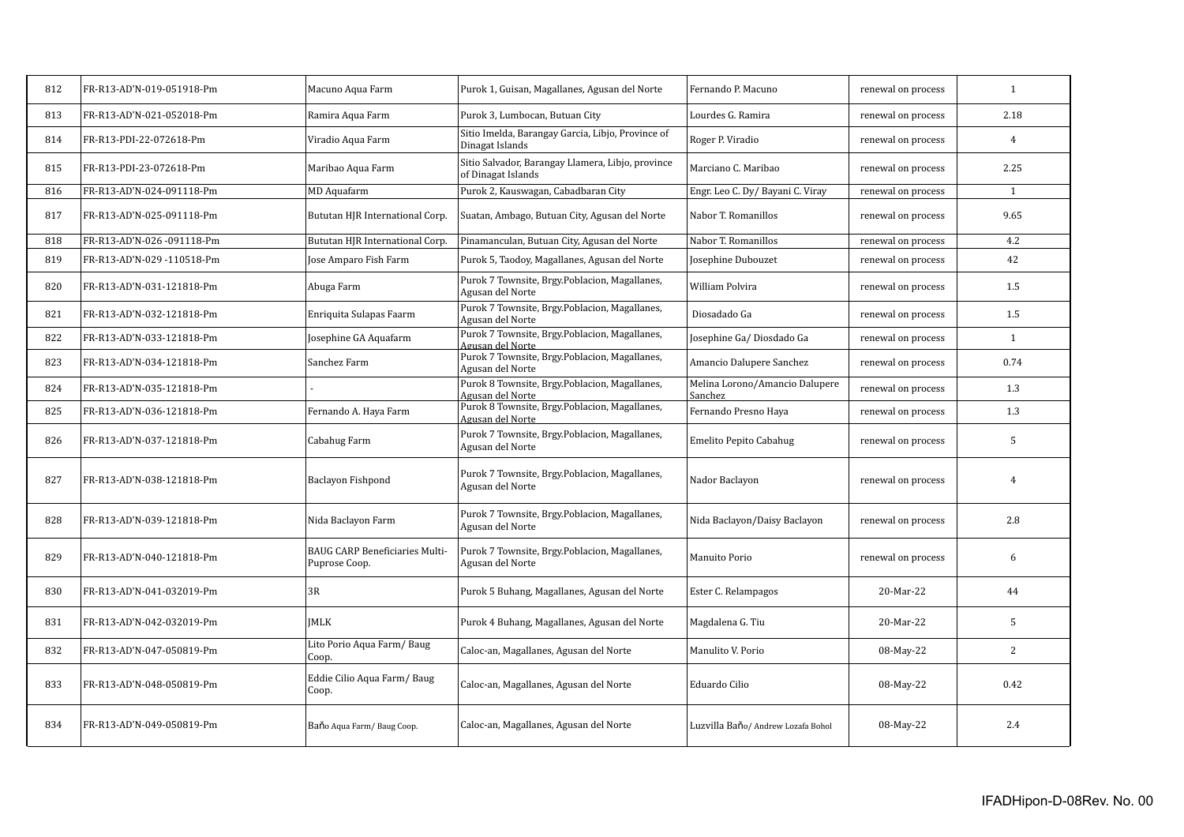| 812 | FR-R13-AD'N-019-051918-Pm | Macuno Aqua Farm                                | Purok 1, Guisan, Magallanes, Agusan del Norte                           | Fernando P. Macuno                        | renewal on process | $\mathbf{1}$   |
|-----|---------------------------|-------------------------------------------------|-------------------------------------------------------------------------|-------------------------------------------|--------------------|----------------|
| 813 | FR-R13-AD'N-021-052018-Pm | Ramira Aqua Farm                                | Purok 3, Lumbocan, Butuan City                                          | Lourdes G. Ramira                         | renewal on process | 2.18           |
| 814 | FR-R13-PDI-22-072618-Pm   | Viradio Aqua Farm                               | Sitio Imelda, Barangay Garcia, Libjo, Province of<br>Dinagat Islands    | Roger P. Viradio                          | renewal on process | 4              |
| 815 | FR-R13-PDI-23-072618-Pm   | Maribao Aqua Farm                               | Sitio Salvador, Barangay Llamera, Libjo, province<br>of Dinagat Islands | Marciano C. Maribao                       | renewal on process | 2.25           |
| 816 | FR-R13-AD'N-024-091118-Pm | <b>MD</b> Aquafarm                              | Purok 2, Kauswagan, Cabadbaran City                                     | Engr. Leo C. Dy/ Bayani C. Viray          | renewal on process | $\mathbf{1}$   |
| 817 | FR-R13-AD'N-025-091118-Pm | Bututan HJR International Corp.                 | Suatan, Ambago, Butuan City, Agusan del Norte                           | Nabor T. Romanillos                       | renewal on process | 9.65           |
| 818 | FR-R13-AD'N-026-091118-Pm | Bututan HJR International Corp.                 | Pinamanculan, Butuan City, Agusan del Norte                             | Nabor T. Romanillos                       | renewal on process | 4.2            |
| 819 | FR-R13-AD'N-029-110518-Pm | Jose Amparo Fish Farm                           | Purok 5, Taodoy, Magallanes, Agusan del Norte                           | Josephine Dubouzet                        | renewal on process | 42             |
| 820 | FR-R13-AD'N-031-121818-Pm | Abuga Farm                                      | Purok 7 Townsite, Brgy.Poblacion, Magallanes,<br>Agusan del Norte       | William Polvira                           | renewal on process | 1.5            |
| 821 | FR-R13-AD'N-032-121818-Pm | Enriquita Sulapas Faarm                         | Purok 7 Townsite, Brgy.Poblacion, Magallanes,<br>Agusan del Norte       | Diosadado Ga                              | renewal on process | 1.5            |
| 822 | FR-R13-AD'N-033-121818-Pm | Josephine GA Aquafarm                           | Purok 7 Townsite, Brgy.Poblacion, Magallanes,<br>Agusan del Norte       | Josephine Ga/Diosdado Ga                  | renewal on process | 1              |
| 823 | FR-R13-AD'N-034-121818-Pm | Sanchez Farm                                    | Purok 7 Townsite, Brgy.Poblacion, Magallanes,<br>Agusan del Norte       | Amancio Dalupere Sanchez                  | renewal on process | 0.74           |
| 824 | FR-R13-AD'N-035-121818-Pm |                                                 | Purok 8 Townsite, Brgy.Poblacion, Magallanes,<br>Agusan del Norte       | Melina Lorono/Amancio Dalupere<br>Sanchez | renewal on process | 1.3            |
| 825 | FR-R13-AD'N-036-121818-Pm | Fernando A. Haya Farm                           | Purok 8 Townsite, Brgy.Poblacion, Magallanes,<br>Agusan del Norte       | Fernando Presno Haya                      | renewal on process | 1.3            |
| 826 | FR-R13-AD'N-037-121818-Pm | Cabahug Farm                                    | Purok 7 Townsite, Brgy.Poblacion, Magallanes,<br>Agusan del Norte       | Emelito Pepito Cabahug                    | renewal on process | 5              |
| 827 | FR-R13-AD'N-038-121818-Pm | Baclayon Fishpond                               | Purok 7 Townsite, Brgy.Poblacion, Magallanes,<br>Agusan del Norte       | Nador Baclayon                            | renewal on process | $\overline{4}$ |
| 828 | FR-R13-AD'N-039-121818-Pm | Nida Baclayon Farm                              | Purok 7 Townsite, Brgy.Poblacion, Magallanes,<br>Agusan del Norte       | Nida Baclayon/Daisy Baclayon              | renewal on process | 2.8            |
| 829 | FR-R13-AD'N-040-121818-Pm | BAUG CARP Beneficiaries Multi-<br>Puprose Coop. | Purok 7 Townsite, Brgy.Poblacion, Magallanes,<br>Agusan del Norte       | Manuito Porio                             | renewal on process | 6              |
| 830 | FR-R13-AD'N-041-032019-Pm | 3R                                              | Purok 5 Buhang, Magallanes, Agusan del Norte                            | Ester C. Relampagos                       | 20-Mar-22          | 44             |
| 831 | FR-R13-AD'N-042-032019-Pm | <b>IMLK</b>                                     | Purok 4 Buhang, Magallanes, Agusan del Norte                            | Magdalena G. Tiu                          | 20-Mar-22          | 5              |
| 832 | FR-R13-AD'N-047-050819-Pm | Lito Porio Aqua Farm/Baug<br>Coop.              | Caloc-an, Magallanes, Agusan del Norte                                  | Manulito V. Porio                         | 08-May-22          | 2              |
| 833 | FR-R13-AD'N-048-050819-Pm | Eddie Cilio Aqua Farm/Baug<br>Coop.             | Caloc-an, Magallanes, Agusan del Norte                                  | Eduardo Cilio                             | 08-May-22          | 0.42           |
| 834 | FR-R13-AD'N-049-050819-Pm | Baňo Aqua Farm/Baug Coop.                       | Caloc-an, Magallanes, Agusan del Norte                                  | Luzvilla Baňo/ Andrew Lozafa Bohol        | 08-May-22          | 2.4            |